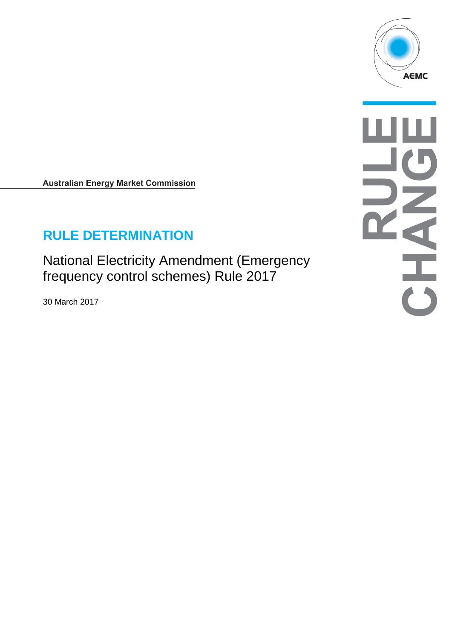

**Australian Energy Market Commission** 

# **RULE DETERMINATION**

National Electricity Amendment (Emergency frequency control schemes) Rule 2017

30 March 2017

 $\overline{\overline{6}}$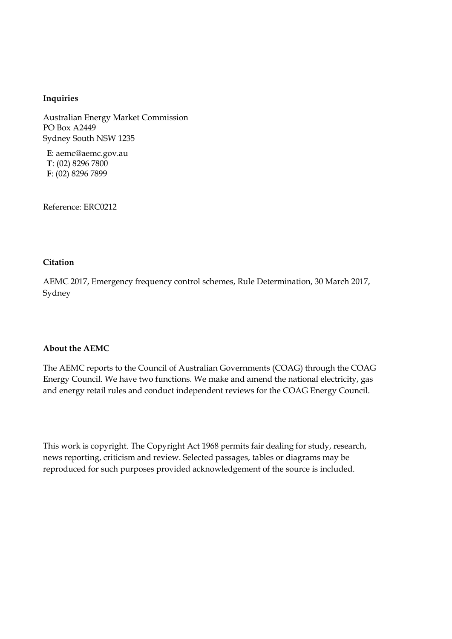#### **Inquiries**

Australian Energy Market Commission PO Box A2449 Sydney South NSW 1235

**E**: aemc@aemc.gov.au **T**: (02) 8296 7800 **F**: (02) 8296 7899

Reference: ERC0212

#### **Citation**

AEMC 2017, Emergency frequency control schemes, Rule Determination, 30 March 2017, Sydney

#### **About the AEMC**

The AEMC reports to the Council of Australian Governments (COAG) through the COAG Energy Council. We have two functions. We make and amend the national electricity, gas and energy retail rules and conduct independent reviews for the COAG Energy Council.

This work is copyright. The Copyright Act 1968 permits fair dealing for study, research, news reporting, criticism and review. Selected passages, tables or diagrams may be reproduced for such purposes provided acknowledgement of the source is included.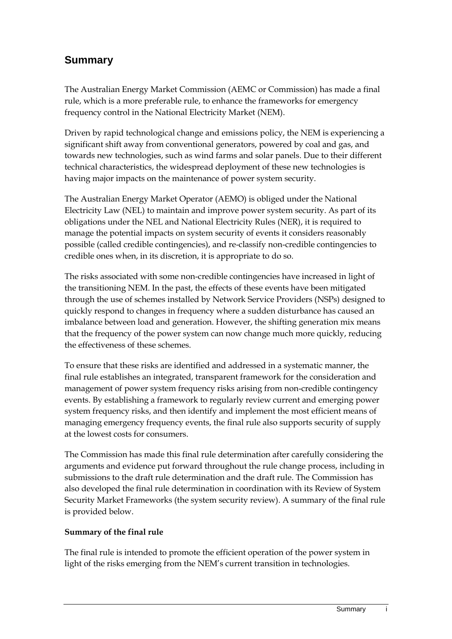## **Summary**

The Australian Energy Market Commission (AEMC or Commission) has made a final rule, which is a more preferable rule, to enhance the frameworks for emergency frequency control in the National Electricity Market (NEM).

Driven by rapid technological change and emissions policy, the NEM is experiencing a significant shift away from conventional generators, powered by coal and gas, and towards new technologies, such as wind farms and solar panels. Due to their different technical characteristics, the widespread deployment of these new technologies is having major impacts on the maintenance of power system security.

The Australian Energy Market Operator (AEMO) is obliged under the National Electricity Law (NEL) to maintain and improve power system security. As part of its obligations under the NEL and National Electricity Rules (NER), it is required to manage the potential impacts on system security of events it considers reasonably possible (called credible contingencies), and re-classify non-credible contingencies to credible ones when, in its discretion, it is appropriate to do so.

The risks associated with some non-credible contingencies have increased in light of the transitioning NEM. In the past, the effects of these events have been mitigated through the use of schemes installed by Network Service Providers (NSPs) designed to quickly respond to changes in frequency where a sudden disturbance has caused an imbalance between load and generation. However, the shifting generation mix means that the frequency of the power system can now change much more quickly, reducing the effectiveness of these schemes.

To ensure that these risks are identified and addressed in a systematic manner, the final rule establishes an integrated, transparent framework for the consideration and management of power system frequency risks arising from non-credible contingency events. By establishing a framework to regularly review current and emerging power system frequency risks, and then identify and implement the most efficient means of managing emergency frequency events, the final rule also supports security of supply at the lowest costs for consumers.

The Commission has made this final rule determination after carefully considering the arguments and evidence put forward throughout the rule change process, including in submissions to the draft rule determination and the draft rule. The Commission has also developed the final rule determination in coordination with its Review of System Security Market Frameworks (the system security review). A summary of the final rule is provided below.

#### **Summary of the final rule**

The final rule is intended to promote the efficient operation of the power system in light of the risks emerging from the NEM's current transition in technologies.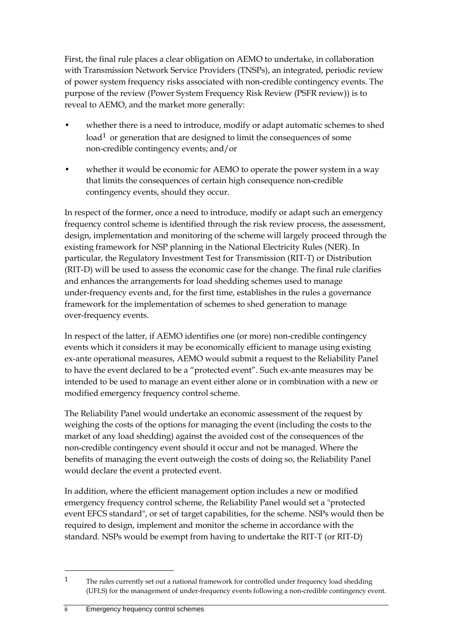First, the final rule places a clear obligation on AEMO to undertake, in collaboration with Transmission Network Service Providers (TNSPs), an integrated, periodic review of power system frequency risks associated with non-credible contingency events. The purpose of the review (Power System Frequency Risk Review (PSFR review)) is to reveal to AEMO, and the market more generally:

- whether there is a need to introduce, modify or adapt automatic schemes to shed  $load<sup>1</sup>$  $load<sup>1</sup>$  $load<sup>1</sup>$  or generation that are designed to limit the consequences of some non-credible contingency events; and/or
- whether it would be economic for AEMO to operate the power system in a way that limits the consequences of certain high consequence non-credible contingency events, should they occur.

In respect of the former, once a need to introduce, modify or adapt such an emergency frequency control scheme is identified through the risk review process, the assessment, design, implementation and monitoring of the scheme will largely proceed through the existing framework for NSP planning in the National Electricity Rules (NER). In particular, the Regulatory Investment Test for Transmission (RIT-T) or Distribution (RIT-D) will be used to assess the economic case for the change. The final rule clarifies and enhances the arrangements for load shedding schemes used to manage under-frequency events and, for the first time, establishes in the rules a governance framework for the implementation of schemes to shed generation to manage over-frequency events.

In respect of the latter, if AEMO identifies one (or more) non-credible contingency events which it considers it may be economically efficient to manage using existing ex-ante operational measures, AEMO would submit a request to the Reliability Panel to have the event declared to be a "protected event". Such ex-ante measures may be intended to be used to manage an event either alone or in combination with a new or modified emergency frequency control scheme.

The Reliability Panel would undertake an economic assessment of the request by weighing the costs of the options for managing the event (including the costs to the market of any load shedding) against the avoided cost of the consequences of the non-credible contingency event should it occur and not be managed. Where the benefits of managing the event outweigh the costs of doing so, the Reliability Panel would declare the event a protected event.

In addition, where the efficient management option includes a new or modified emergency frequency control scheme, the Reliability Panel would set a "protected event EFCS standard", or set of target capabilities, for the scheme. NSPs would then be required to design, implement and monitor the scheme in accordance with the standard. NSPs would be exempt from having to undertake the RIT-T (or RIT-D)

<span id="page-3-0"></span><sup>&</sup>lt;sup>1</sup> The rules currently set out a national framework for controlled under frequency load shedding (UFLS) for the management of under-frequency events following a non-credible contingency event.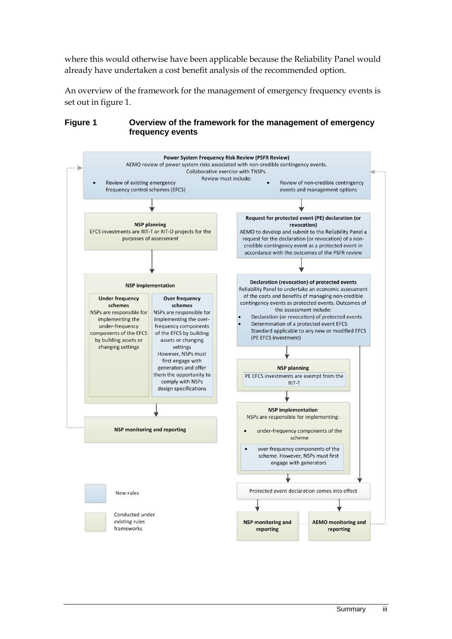where this would otherwise have been applicable because the Reliability Panel would already have undertaken a cost benefit analysis of the recommended option.

An overview of the framework for the management of emergency frequency events is set out in figure 1.

#### **Figure 1 Overview of the framework for the management of emergency frequency events**

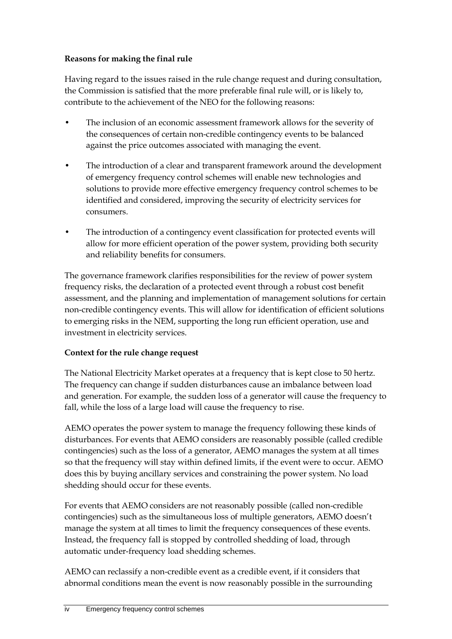### **Reasons for making the final rule**

Having regard to the issues raised in the rule change request and during consultation, the Commission is satisfied that the more preferable final rule will, or is likely to, contribute to the achievement of the NEO for the following reasons:

- The inclusion of an economic assessment framework allows for the severity of the consequences of certain non-credible contingency events to be balanced against the price outcomes associated with managing the event.
- The introduction of a clear and transparent framework around the development of emergency frequency control schemes will enable new technologies and solutions to provide more effective emergency frequency control schemes to be identified and considered, improving the security of electricity services for consumers.
- The introduction of a contingency event classification for protected events will allow for more efficient operation of the power system, providing both security and reliability benefits for consumers.

The governance framework clarifies responsibilities for the review of power system frequency risks, the declaration of a protected event through a robust cost benefit assessment, and the planning and implementation of management solutions for certain non-credible contingency events. This will allow for identification of efficient solutions to emerging risks in the NEM, supporting the long run efficient operation, use and investment in electricity services.

### **Context for the rule change request**

The National Electricity Market operates at a frequency that is kept close to 50 hertz. The frequency can change if sudden disturbances cause an imbalance between load and generation. For example, the sudden loss of a generator will cause the frequency to fall, while the loss of a large load will cause the frequency to rise.

AEMO operates the power system to manage the frequency following these kinds of disturbances. For events that AEMO considers are reasonably possible (called credible contingencies) such as the loss of a generator, AEMO manages the system at all times so that the frequency will stay within defined limits, if the event were to occur. AEMO does this by buying ancillary services and constraining the power system. No load shedding should occur for these events.

For events that AEMO considers are not reasonably possible (called non-credible contingencies) such as the simultaneous loss of multiple generators, AEMO doesn't manage the system at all times to limit the frequency consequences of these events. Instead, the frequency fall is stopped by controlled shedding of load, through automatic under-frequency load shedding schemes.

AEMO can reclassify a non-credible event as a credible event, if it considers that abnormal conditions mean the event is now reasonably possible in the surrounding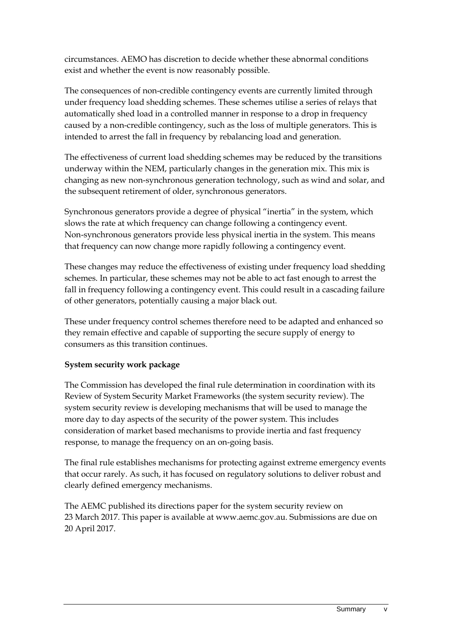circumstances. AEMO has discretion to decide whether these abnormal conditions exist and whether the event is now reasonably possible.

The consequences of non-credible contingency events are currently limited through under frequency load shedding schemes. These schemes utilise a series of relays that automatically shed load in a controlled manner in response to a drop in frequency caused by a non-credible contingency, such as the loss of multiple generators. This is intended to arrest the fall in frequency by rebalancing load and generation.

The effectiveness of current load shedding schemes may be reduced by the transitions underway within the NEM, particularly changes in the generation mix. This mix is changing as new non-synchronous generation technology, such as wind and solar, and the subsequent retirement of older, synchronous generators.

Synchronous generators provide a degree of physical "inertia" in the system, which slows the rate at which frequency can change following a contingency event. Non-synchronous generators provide less physical inertia in the system. This means that frequency can now change more rapidly following a contingency event.

These changes may reduce the effectiveness of existing under frequency load shedding schemes. In particular, these schemes may not be able to act fast enough to arrest the fall in frequency following a contingency event. This could result in a cascading failure of other generators, potentially causing a major black out.

These under frequency control schemes therefore need to be adapted and enhanced so they remain effective and capable of supporting the secure supply of energy to consumers as this transition continues.

#### **System security work package**

The Commission has developed the final rule determination in coordination with its Review of System Security Market Frameworks (the system security review). The system security review is developing mechanisms that will be used to manage the more day to day aspects of the security of the power system. This includes consideration of market based mechanisms to provide inertia and fast frequency response, to manage the frequency on an on-going basis.

The final rule establishes mechanisms for protecting against extreme emergency events that occur rarely. As such, it has focused on regulatory solutions to deliver robust and clearly defined emergency mechanisms.

The AEMC published its directions paper for the system security review on 23 March 2017. This paper is available at www.aemc.gov.au. Submissions are due on 20 April 2017.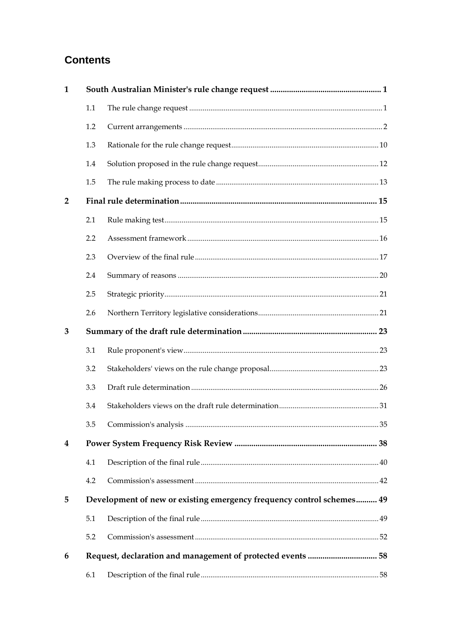## **Contents**

| 1                       |     |                                                                       |  |  |
|-------------------------|-----|-----------------------------------------------------------------------|--|--|
|                         | 1.1 |                                                                       |  |  |
|                         | 1.2 |                                                                       |  |  |
|                         | 1.3 |                                                                       |  |  |
|                         | 1.4 |                                                                       |  |  |
|                         | 1.5 |                                                                       |  |  |
| $\overline{2}$          |     |                                                                       |  |  |
|                         | 2.1 |                                                                       |  |  |
|                         | 2.2 |                                                                       |  |  |
|                         | 2.3 |                                                                       |  |  |
|                         | 2.4 |                                                                       |  |  |
|                         | 2.5 |                                                                       |  |  |
|                         | 2.6 |                                                                       |  |  |
| 3                       |     |                                                                       |  |  |
|                         | 3.1 |                                                                       |  |  |
|                         | 3.2 |                                                                       |  |  |
|                         | 3.3 |                                                                       |  |  |
|                         | 3.4 |                                                                       |  |  |
|                         | 3.5 |                                                                       |  |  |
| $\overline{\mathbf{4}}$ |     |                                                                       |  |  |
|                         | 4.1 |                                                                       |  |  |
|                         | 4.2 |                                                                       |  |  |
| 5                       |     | Development of new or existing emergency frequency control schemes 49 |  |  |
|                         | 5.1 |                                                                       |  |  |
|                         | 5.2 |                                                                       |  |  |
| 6                       |     |                                                                       |  |  |
|                         | 6.1 |                                                                       |  |  |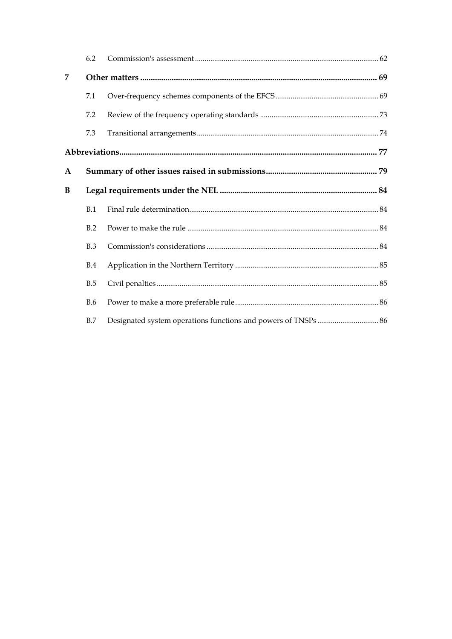|   | 6.2        |  |  |  |  |
|---|------------|--|--|--|--|
| 7 |            |  |  |  |  |
|   | 7.1        |  |  |  |  |
|   | 7.2        |  |  |  |  |
|   | 7.3        |  |  |  |  |
|   |            |  |  |  |  |
| A |            |  |  |  |  |
| B |            |  |  |  |  |
|   | B.1        |  |  |  |  |
|   | B.2        |  |  |  |  |
|   | B.3        |  |  |  |  |
|   | B.4        |  |  |  |  |
|   | B.5        |  |  |  |  |
|   | <b>B.6</b> |  |  |  |  |
|   | B.7        |  |  |  |  |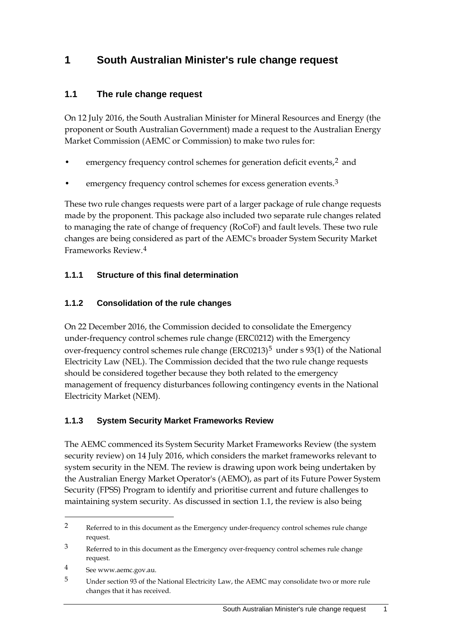## <span id="page-10-0"></span>**1 South Australian Minister's rule change request**

### <span id="page-10-1"></span>**1.1 The rule change request**

On 12 July 2016, the South Australian Minister for Mineral Resources and Energy (the proponent or South Australian Government) made a request to the Australian Energy Market Commission (AEMC or Commission) to make two rules for:

- emergency frequency control schemes for generation deficit events, $2$  and
- emergency frequency control schemes for excess generation events.<sup>[3](#page-10-3)</sup>

These two rule changes requests were part of a larger package of rule change requests made by the proponent. This package also included two separate rule changes related to managing the rate of change of frequency (RoCoF) and fault levels. These two rule changes are being considered as part of the AEMC's broader System Security Market Frameworks Review.[4](#page-10-4)

### **1.1.1 Structure of this final determination**

### **1.1.2 Consolidation of the rule changes**

On 22 December 2016, the Commission decided to consolidate the Emergency under-frequency control schemes rule change (ERC0212) with the Emergency over-frequency control schemes rule change  $(ERC0213)^5$  $(ERC0213)^5$  under s 93(1) of the National Electricity Law (NEL). The Commission decided that the two rule change requests should be considered together because they both related to the emergency management of frequency disturbances following contingency events in the National Electricity Market (NEM).

### **1.1.3 System Security Market Frameworks Review**

The AEMC commenced its System Security Market Frameworks Review (the system security review) on 14 July 2016, which considers the market frameworks relevant to system security in the NEM. The review is drawing upon work being undertaken by the Australian Energy Market Operator's (AEMO), as part of its Future Power System Security (FPSS) Program to identify and prioritise current and future challenges to maintaining system security. As discussed in section 1.1, the review is also being

<span id="page-10-2"></span><sup>2</sup> Referred to in this document as the Emergency under-frequency control schemes rule change request.

<span id="page-10-3"></span><sup>&</sup>lt;sup>3</sup> Referred to in this document as the Emergency over-frequency control schemes rule change request.

<span id="page-10-4"></span><sup>4</sup> See www.aemc.gov.au.

<span id="page-10-5"></span><sup>5</sup> Under section 93 of the National Electricity Law, the AEMC may consolidate two or more rule changes that it has received.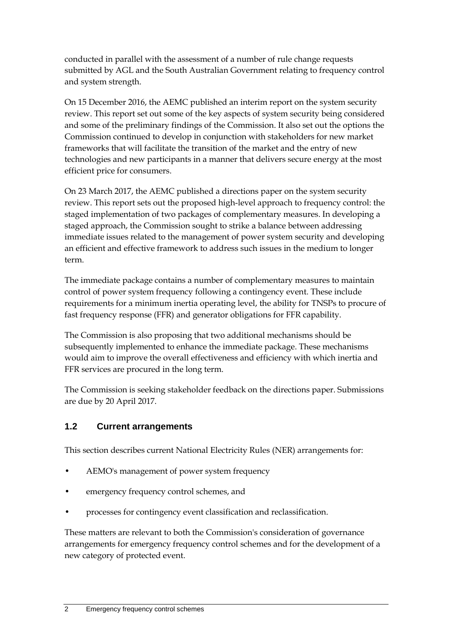conducted in parallel with the assessment of a number of rule change requests submitted by AGL and the South Australian Government relating to frequency control and system strength.

On 15 December 2016, the AEMC published an interim report on the system security review. This report set out some of the key aspects of system security being considered and some of the preliminary findings of the Commission. It also set out the options the Commission continued to develop in conjunction with stakeholders for new market frameworks that will facilitate the transition of the market and the entry of new technologies and new participants in a manner that delivers secure energy at the most efficient price for consumers.

On 23 March 2017, the AEMC published a directions paper on the system security review. This report sets out the proposed high-level approach to frequency control: the staged implementation of two packages of complementary measures. In developing a staged approach, the Commission sought to strike a balance between addressing immediate issues related to the management of power system security and developing an efficient and effective framework to address such issues in the medium to longer term.

The immediate package contains a number of complementary measures to maintain control of power system frequency following a contingency event. These include requirements for a minimum inertia operating level, the ability for TNSPs to procure of fast frequency response (FFR) and generator obligations for FFR capability.

The Commission is also proposing that two additional mechanisms should be subsequently implemented to enhance the immediate package. These mechanisms would aim to improve the overall effectiveness and efficiency with which inertia and FFR services are procured in the long term.

The Commission is seeking stakeholder feedback on the directions paper. Submissions are due by 20 April 2017.

### <span id="page-11-0"></span>**1.2 Current arrangements**

This section describes current National Electricity Rules (NER) arrangements for:

- AEMO's management of power system frequency
- emergency frequency control schemes, and
- processes for contingency event classification and reclassification.

These matters are relevant to both the Commission's consideration of governance arrangements for emergency frequency control schemes and for the development of a new category of protected event.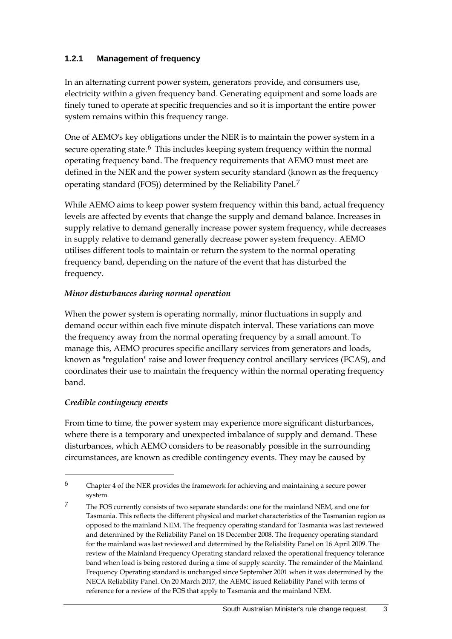### **1.2.1 Management of frequency**

In an alternating current power system, generators provide, and consumers use, electricity within a given frequency band. Generating equipment and some loads are finely tuned to operate at specific frequencies and so it is important the entire power system remains within this frequency range.

One of AEMO's key obligations under the NER is to maintain the power system in a secure operating state.<sup>[6](#page-12-0)</sup> This includes keeping system frequency within the normal operating frequency band. The frequency requirements that AEMO must meet are defined in the NER and the power system security standard (known as the frequency operating standard (FOS)) determined by the Reliability Panel.[7](#page-12-1)

While AEMO aims to keep power system frequency within this band, actual frequency levels are affected by events that change the supply and demand balance. Increases in supply relative to demand generally increase power system frequency, while decreases in supply relative to demand generally decrease power system frequency. AEMO utilises different tools to maintain or return the system to the normal operating frequency band, depending on the nature of the event that has disturbed the frequency.

#### *Minor disturbances during normal operation*

When the power system is operating normally, minor fluctuations in supply and demand occur within each five minute dispatch interval. These variations can move the frequency away from the normal operating frequency by a small amount. To manage this, AEMO procures specific ancillary services from generators and loads, known as "regulation" raise and lower frequency control ancillary services (FCAS), and coordinates their use to maintain the frequency within the normal operating frequency band.

#### *Credible contingency events*

-

From time to time, the power system may experience more significant disturbances, where there is a temporary and unexpected imbalance of supply and demand. These disturbances, which AEMO considers to be reasonably possible in the surrounding circumstances, are known as credible contingency events. They may be caused by

<span id="page-12-0"></span> $6$  Chapter 4 of the NER provides the framework for achieving and maintaining a secure power system.

<span id="page-12-1"></span><sup>7</sup> The FOS currently consists of two separate standards: one for the mainland NEM, and one for Tasmania. This reflects the different physical and market characteristics of the Tasmanian region as opposed to the mainland NEM. The frequency operating standard for Tasmania was last reviewed and determined by the Reliability Panel on 18 December 2008. The frequency operating standard for the mainland was last reviewed and determined by the Reliability Panel on 16 April 2009. The review of the Mainland Frequency Operating standard relaxed the operational frequency tolerance band when load is being restored during a time of supply scarcity. The remainder of the Mainland Frequency Operating standard is unchanged since September 2001 when it was determined by the NECA Reliability Panel. On 20 March 2017, the AEMC issued Reliability Panel with terms of reference for a review of the FOS that apply to Tasmania and the mainland NEM.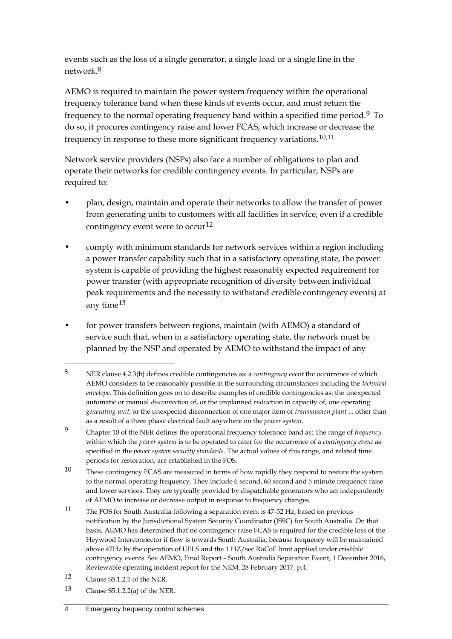events such as the loss of a single generator, a single load or a single line in the network.[8](#page-13-0)

AEMO is required to maintain the power system frequency within the operational frequency tolerance band when these kinds of events occur, and must return the frequency to the normal operating frequency band within a specified time period.[9](#page-13-1) To do so, it procures contingency raise and lower FCAS, which increase or decrease the frequency in response to these more significant frequency variations.[10](#page-13-2),[11](#page-13-3)

Network service providers (NSPs) also face a number of obligations to plan and operate their networks for credible contingency events. In particular, NSPs are required to:

- plan, design, maintain and operate their networks to allow the transfer of power from generating units to customers with all facilities in service, even if a credible contingency event were to occur<sup>[12](#page-13-4)</sup>
- comply with minimum standards for network services within a region including a power transfer capability such that in a satisfactory operating state, the power system is capable of providing the highest reasonably expected requirement for power transfer (with appropriate recognition of diversity between individual peak requirements and the necessity to withstand credible contingency events) at any time[13](#page-13-5)
- for power transfers between regions, maintain (with AEMO) a standard of service such that, when in a satisfactory operating state, the network must be planned by the NSP and operated by AEMO to withstand the impact of any

-

<span id="page-13-5"></span>13 Clause S5.1.2.2(a) of the NER.

<span id="page-13-0"></span><sup>8</sup> NER clause 4.2.3(b) defines credible contingencies as: a *contingency event* the occurrence of which AEMO considers to be reasonably possible in the surrounding circumstances including the *technical envelope*. This definition goes on to describe examples of credible contingencies as: the unexpected automatic or manual *disconnection* of, or the unplanned reduction in capacity of, one operating *generating unit*; or the unexpected disconnection of one major item of *transmission plant* ... other than as a result of a three phase electrical fault anywhere on the *power system*.

<span id="page-13-1"></span><sup>9</sup> Chapter 10 of the NER defines the operational frequency tolerance band as: The range of *frequency*  within which the *power system* is to be operated to cater for the occurrence of a *contingency event* as specified in the *power system security standards*. The actual values of this range, and related time periods for restoration, are established in the FOS.

<span id="page-13-2"></span><sup>10</sup> These contingency FCAS are measured in terms of how rapidly they respond to restore the system to the normal operating frequency. They include 6 second, 60 second and 5 minute frequency raise and lower services. They are typically provided by dispatchable generators who act independently of AEMO to increase or decrease output in response to frequency changes.

<span id="page-13-3"></span><sup>11</sup> The FOS for South Australia following a separation event is 47-52 Hz, based on previous notification by the Jurisdictional System Security Coordinator (JSSC) for South Australia. On that basis, AEMO has determined that no contingency raise FCAS is required for the credible loss of the Heywood Interconnector if flow is towards South Australia, because frequency will be maintained above 47Hz by the operation of UFLS and the 1 HZ/sec RoCoF limit applied under credible contingency events. See AEMO, Final Report – South Australia Separation Event, 1 December 2016, Reviewable operating incident report for the NEM, 28 February 2017, p.4.

<span id="page-13-4"></span><sup>12</sup> Clause S5.1.2.1 of the NER.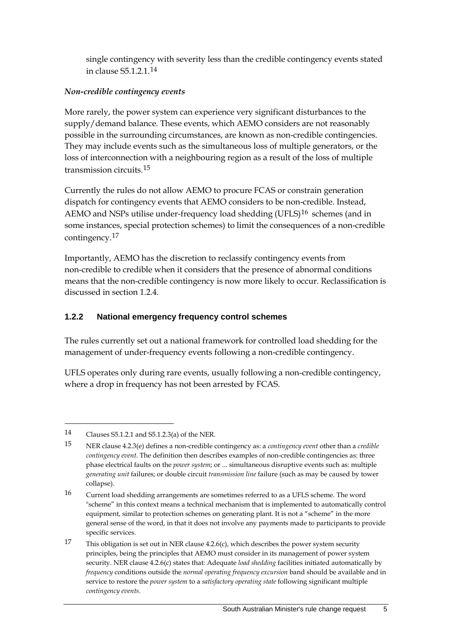single contingency with severity less than the credible contingency events stated in clause S5.1.2.1.[14](#page-14-0)

### *Non-credible contingency events*

More rarely, the power system can experience very significant disturbances to the supply/demand balance. These events, which AEMO considers are not reasonably possible in the surrounding circumstances, are known as non-credible contingencies. They may include events such as the simultaneous loss of multiple generators, or the loss of interconnection with a neighbouring region as a result of the loss of multiple transmission circuits.[15](#page-14-1)

Currently the rules do not allow AEMO to procure FCAS or constrain generation dispatch for contingency events that AEMO considers to be non-credible. Instead, AEMO and NSPs utilise under-frequency load shedding  $(UFLS)^{16}$  $(UFLS)^{16}$  $(UFLS)^{16}$  schemes (and in some instances, special protection schemes) to limit the consequences of a non-credible contingency.[17](#page-14-3)

Importantly, AEMO has the discretion to reclassify contingency events from non-credible to credible when it considers that the presence of abnormal conditions means that the non-credible contingency is now more likely to occur. Reclassification is discussed in section 1.2.4.

### **1.2.2 National emergency frequency control schemes**

The rules currently set out a national framework for controlled load shedding for the management of under-frequency events following a non-credible contingency.

UFLS operates only during rare events, usually following a non-credible contingency, where a drop in frequency has not been arrested by FCAS.

<span id="page-14-0"></span><sup>14</sup> Clauses S5.1.2.1 and S5.1.2.3(a) of the NER.

<span id="page-14-1"></span><sup>15</sup> NER clause 4.2.3(e) defines a non-credible contingency as: a *contingency event* other than a *credible contingency event*. The definition then describes examples of non-credible contingencies as: three phase electrical faults on the *power system*; or ... simultaneous disruptive events such as: multiple *generating unit* failures; or double circuit *transmission line* failure (such as may be caused by tower collapse).

<span id="page-14-2"></span><sup>16</sup> Current load shedding arrangements are sometimes referred to as a UFLS scheme. The word "scheme" in this context means a technical mechanism that is implemented to automatically control equipment, similar to protection schemes on generating plant. It is not a "scheme" in the more general sense of the word, in that it does not involve any payments made to participants to provide specific services.

<span id="page-14-3"></span><sup>17</sup> This obligation is set out in NER clause 4.2.6(c), which describes the power system security principles, being the principles that AEMO must consider in its management of power system security. NER clause 4.2.6(c) states that: Adequate *load shedding* facilities initiated automatically by *frequency* conditions outside the *normal operating frequency excursion* band should be available and in service to restore the *power system* to a *satisfactory operating state* following significant multiple *contingency events*.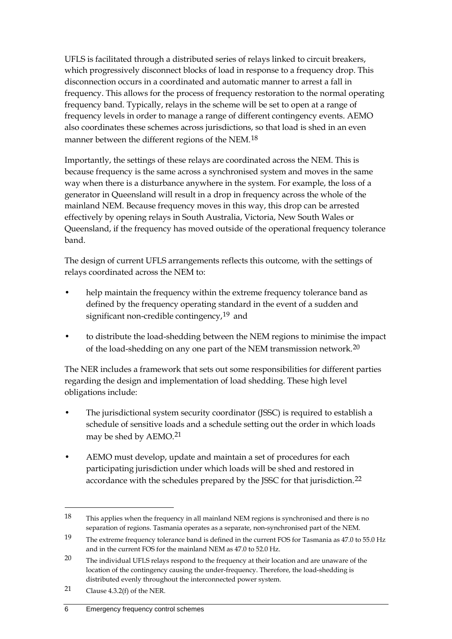UFLS is facilitated through a distributed series of relays linked to circuit breakers, which progressively disconnect blocks of load in response to a frequency drop. This disconnection occurs in a coordinated and automatic manner to arrest a fall in frequency. This allows for the process of frequency restoration to the normal operating frequency band. Typically, relays in the scheme will be set to open at a range of frequency levels in order to manage a range of different contingency events. AEMO also coordinates these schemes across jurisdictions, so that load is shed in an even manner between the different regions of the NEM.[18](#page-15-0)

Importantly, the settings of these relays are coordinated across the NEM. This is because frequency is the same across a synchronised system and moves in the same way when there is a disturbance anywhere in the system. For example, the loss of a generator in Queensland will result in a drop in frequency across the whole of the mainland NEM. Because frequency moves in this way, this drop can be arrested effectively by opening relays in South Australia, Victoria, New South Wales or Queensland, if the frequency has moved outside of the operational frequency tolerance band.

The design of current UFLS arrangements reflects this outcome, with the settings of relays coordinated across the NEM to:

- help maintain the frequency within the extreme frequency tolerance band as defined by the frequency operating standard in the event of a sudden and significant non-credible contingency,<sup>[19](#page-15-1)</sup> and
- to distribute the load-shedding between the NEM regions to minimise the impact of the load-shedding on any one part of the NEM transmission network.<sup>[20](#page-15-2)</sup>

The NER includes a framework that sets out some responsibilities for different parties regarding the design and implementation of load shedding. These high level obligations include:

- The jurisdictional system security coordinator (JSSC) is required to establish a schedule of sensitive loads and a schedule setting out the order in which loads may be shed by AEMO.[21](#page-15-3)
- AEMO must develop, update and maintain a set of procedures for each participating jurisdiction under which loads will be shed and restored in accordance with the schedules prepared by the JSSC for that jurisdiction.[22](#page-15-4)

<span id="page-15-0"></span><sup>18</sup> This applies when the frequency in all mainland NEM regions is synchronised and there is no separation of regions. Tasmania operates as a separate, non-synchronised part of the NEM.

<span id="page-15-4"></span><span id="page-15-1"></span><sup>19</sup> The extreme frequency tolerance band is defined in the current FOS for Tasmania as 47.0 to 55.0 Hz and in the current FOS for the mainland NEM as 47.0 to 52.0 Hz.

<span id="page-15-2"></span><sup>&</sup>lt;sup>20</sup> The individual UFLS relays respond to the frequency at their location and are unaware of the location of the contingency causing the under-frequency. Therefore, the load-shedding is distributed evenly throughout the interconnected power system.

<span id="page-15-3"></span><sup>21</sup> Clause 4.3.2(f) of the NER.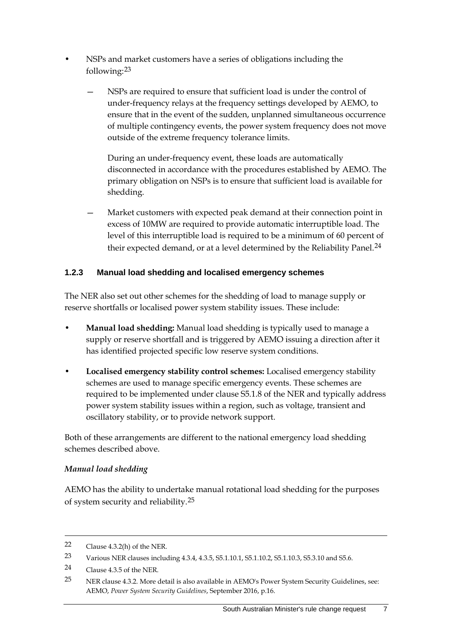- NSPs and market customers have a series of obligations including the following:[23](#page-16-0)
	- NSPs are required to ensure that sufficient load is under the control of under-frequency relays at the frequency settings developed by AEMO, to ensure that in the event of the sudden, unplanned simultaneous occurrence of multiple contingency events, the power system frequency does not move outside of the extreme frequency tolerance limits.

During an under-frequency event, these loads are automatically disconnected in accordance with the procedures established by AEMO. The primary obligation on NSPs is to ensure that sufficient load is available for shedding.

Market customers with expected peak demand at their connection point in excess of 10MW are required to provide automatic interruptible load. The level of this interruptible load is required to be a minimum of 60 percent of their expected demand, or at a level determined by the Reliability Panel.<sup>[24](#page-16-1)</sup>

### **1.2.3 Manual load shedding and localised emergency schemes**

The NER also set out other schemes for the shedding of load to manage supply or reserve shortfalls or localised power system stability issues. These include:

- **Manual load shedding:** Manual load shedding is typically used to manage a supply or reserve shortfall and is triggered by AEMO issuing a direction after it has identified projected specific low reserve system conditions.
- **Localised emergency stability control schemes:** Localised emergency stability schemes are used to manage specific emergency events. These schemes are required to be implemented under clause S5.1.8 of the NER and typically address power system stability issues within a region, such as voltage, transient and oscillatory stability, or to provide network support.

Both of these arrangements are different to the national emergency load shedding schemes described above.

### *Manual load shedding*

AEMO has the ability to undertake manual rotational load shedding for the purposes of system security and reliability.[25](#page-16-2)

<sup>22</sup> Clause 4.3.2(h) of the NER.

<span id="page-16-0"></span><sup>23</sup> Various NER clauses including 4.3.4, 4.3.5, S5.1.10.1, S5.1.10.2, S5.1.10.3, S5.3.10 and S5.6.

<span id="page-16-1"></span><sup>24</sup> Clause 4.3.5 of the NER.

<span id="page-16-2"></span><sup>25</sup> NER clause 4.3.2. More detail is also available in AEMO's Power System Security Guidelines, see: AEMO, *Power System Security Guidelines*, September 2016, p.16.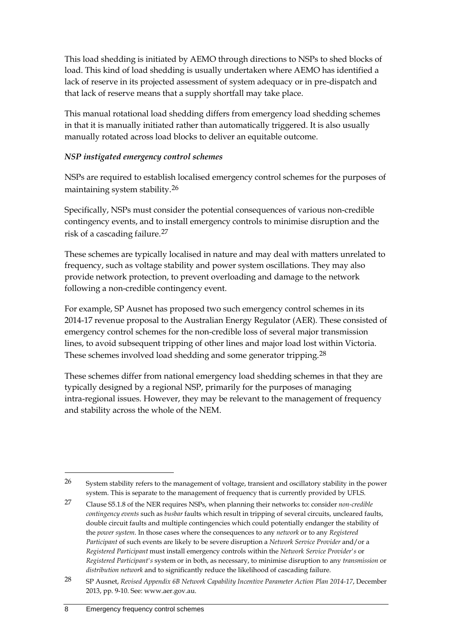This load shedding is initiated by AEMO through directions to NSPs to shed blocks of load. This kind of load shedding is usually undertaken where AEMO has identified a lack of reserve in its projected assessment of system adequacy or in pre-dispatch and that lack of reserve means that a supply shortfall may take place.

This manual rotational load shedding differs from emergency load shedding schemes in that it is manually initiated rather than automatically triggered. It is also usually manually rotated across load blocks to deliver an equitable outcome.

#### *NSP instigated emergency control schemes*

NSPs are required to establish localised emergency control schemes for the purposes of maintaining system stability.[26](#page-17-0)

Specifically, NSPs must consider the potential consequences of various non-credible contingency events, and to install emergency controls to minimise disruption and the risk of a cascading failure.[27](#page-17-1)

These schemes are typically localised in nature and may deal with matters unrelated to frequency, such as voltage stability and power system oscillations. They may also provide network protection, to prevent overloading and damage to the network following a non-credible contingency event.

For example, SP Ausnet has proposed two such emergency control schemes in its 2014-17 revenue proposal to the Australian Energy Regulator (AER). These consisted of emergency control schemes for the non-credible loss of several major transmission lines, to avoid subsequent tripping of other lines and major load lost within Victoria. These schemes involved load shedding and some generator tripping.[28](#page-17-2)

These schemes differ from national emergency load shedding schemes in that they are typically designed by a regional NSP, primarily for the purposes of managing intra-regional issues. However, they may be relevant to the management of frequency and stability across the whole of the NEM.

<span id="page-17-0"></span> $26$  System stability refers to the management of voltage, transient and oscillatory stability in the power system. This is separate to the management of frequency that is currently provided by UFLS.

<span id="page-17-1"></span><sup>27</sup> Clause S5.1.8 of the NER requires NSPs, when planning their networks to: consider *non-credible contingency events* such as *busbar* faults which result in tripping of several circuits, uncleared faults, double circuit faults and multiple contingencies which could potentially endanger the stability of the *power system*. In those cases where the consequences to any *network* or to any *Registered Participant* of such events are likely to be severe disruption a *Network Service Provider* and/or a *Registered Participant* must install emergency controls within the *Network Service Provider's* or *Registered Participant's* system or in both, as necessary, to minimise disruption to any *transmission* or *distribution network* and to significantly reduce the likelihood of cascading failure.

<span id="page-17-2"></span><sup>28</sup> SP Ausnet, *Revised Appendix 6B Network Capability Incentive Parameter Action Plan 2014-17*, December 2013, pp. 9-10. See: www.aer.gov.au.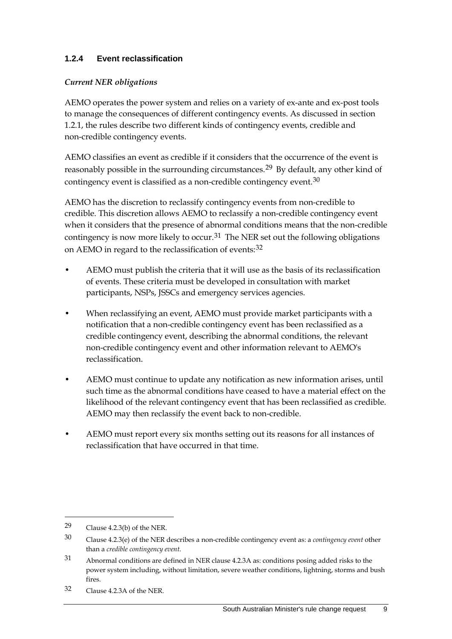### **1.2.4 Event reclassification**

#### *Current NER obligations*

AEMO operates the power system and relies on a variety of ex-ante and ex-post tools to manage the consequences of different contingency events. As discussed in section 1.2.1, the rules describe two different kinds of contingency events, credible and non-credible contingency events.

AEMO classifies an event as credible if it considers that the occurrence of the event is reasonably possible in the surrounding circumstances.[29](#page-18-0) By default, any other kind of contingency event is classified as a non-credible contingency event.<sup>[30](#page-18-1)</sup>

AEMO has the discretion to reclassify contingency events from non-credible to credible. This discretion allows AEMO to reclassify a non-credible contingency event when it considers that the presence of abnormal conditions means that the non-credible contingency is now more likely to occur.<sup>[31](#page-18-2)</sup> The NER set out the following obligations on AEMO in regard to the reclassification of events: [32](#page-18-3)

- AEMO must publish the criteria that it will use as the basis of its reclassification of events. These criteria must be developed in consultation with market participants, NSPs, JSSCs and emergency services agencies.
- When reclassifying an event, AEMO must provide market participants with a notification that a non-credible contingency event has been reclassified as a credible contingency event, describing the abnormal conditions, the relevant non-credible contingency event and other information relevant to AEMO's reclassification.
- AEMO must continue to update any notification as new information arises, until such time as the abnormal conditions have ceased to have a material effect on the likelihood of the relevant contingency event that has been reclassified as credible. AEMO may then reclassify the event back to non-credible.
- AEMO must report every six months setting out its reasons for all instances of reclassification that have occurred in that time.

<span id="page-18-0"></span><sup>29</sup> Clause 4.2.3(b) of the NER.

<span id="page-18-1"></span><sup>30</sup> Clause 4.2.3(e) of the NER describes a non-credible contingency event as: a *contingency event* other than a *credible contingency event*.

<span id="page-18-2"></span><sup>31</sup> Abnormal conditions are defined in NER clause 4.2.3A as: conditions posing added risks to the power system including, without limitation, severe weather conditions, lightning, storms and bush fires.

<span id="page-18-3"></span><sup>32</sup> Clause 4.2.3A of the NER.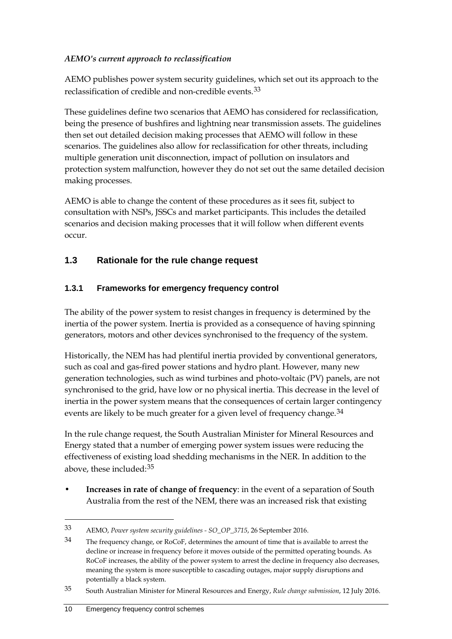### *AEMO's current approach to reclassification*

AEMO publishes power system security guidelines, which set out its approach to the reclassification of credible and non-credible events.[33](#page-19-1)

These guidelines define two scenarios that AEMO has considered for reclassification, being the presence of bushfires and lightning near transmission assets. The guidelines then set out detailed decision making processes that AEMO will follow in these scenarios. The guidelines also allow for reclassification for other threats, including multiple generation unit disconnection, impact of pollution on insulators and protection system malfunction, however they do not set out the same detailed decision making processes.

AEMO is able to change the content of these procedures as it sees fit, subject to consultation with NSPs, JSSCs and market participants. This includes the detailed scenarios and decision making processes that it will follow when different events occur.

### <span id="page-19-0"></span>**1.3 Rationale for the rule change request**

### **1.3.1 Frameworks for emergency frequency control**

The ability of the power system to resist changes in frequency is determined by the inertia of the power system. Inertia is provided as a consequence of having spinning generators, motors and other devices synchronised to the frequency of the system.

Historically, the NEM has had plentiful inertia provided by conventional generators, such as coal and gas-fired power stations and hydro plant. However, many new generation technologies, such as wind turbines and photo-voltaic (PV) panels, are not synchronised to the grid, have low or no physical inertia. This decrease in the level of inertia in the power system means that the consequences of certain larger contingency events are likely to be much greater for a given level of frequency change.<sup>[34](#page-19-2)</sup>

In the rule change request, the South Australian Minister for Mineral Resources and Energy stated that a number of emerging power system issues were reducing the effectiveness of existing load shedding mechanisms in the NER. In addition to the above, these included:<sup>[35](#page-19-3)</sup>

• **Increases in rate of change of frequency**: in the event of a separation of South Australia from the rest of the NEM, there was an increased risk that existing

<span id="page-19-1"></span><sup>33</sup> AEMO, *Power system security guidelines - SO\_OP\_3715*, 26 September 2016.

<span id="page-19-2"></span><sup>34</sup> The frequency change, or RoCoF, determines the amount of time that is available to arrest the decline or increase in frequency before it moves outside of the permitted operating bounds. As RoCoF increases, the ability of the power system to arrest the decline in frequency also decreases, meaning the system is more susceptible to cascading outages, major supply disruptions and potentially a black system.

<span id="page-19-3"></span><sup>35</sup> South Australian Minister for Mineral Resources and Energy, *Rule change submission*, 12 July 2016.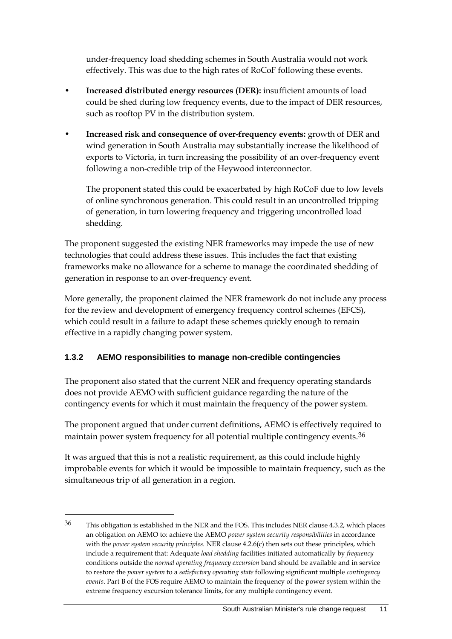under-frequency load shedding schemes in South Australia would not work effectively. This was due to the high rates of RoCoF following these events.

- **Increased distributed energy resources (DER):** insufficient amounts of load could be shed during low frequency events, due to the impact of DER resources, such as rooftop PV in the distribution system.
- **Increased risk and consequence of over-frequency events:** growth of DER and wind generation in South Australia may substantially increase the likelihood of exports to Victoria, in turn increasing the possibility of an over-frequency event following a non-credible trip of the Heywood interconnector.

The proponent stated this could be exacerbated by high RoCoF due to low levels of online synchronous generation. This could result in an uncontrolled tripping of generation, in turn lowering frequency and triggering uncontrolled load shedding.

The proponent suggested the existing NER frameworks may impede the use of new technologies that could address these issues. This includes the fact that existing frameworks make no allowance for a scheme to manage the coordinated shedding of generation in response to an over-frequency event.

More generally, the proponent claimed the NER framework do not include any process for the review and development of emergency frequency control schemes (EFCS), which could result in a failure to adapt these schemes quickly enough to remain effective in a rapidly changing power system.

### **1.3.2 AEMO responsibilities to manage non-credible contingencies**

The proponent also stated that the current NER and frequency operating standards does not provide AEMO with sufficient guidance regarding the nature of the contingency events for which it must maintain the frequency of the power system.

The proponent argued that under current definitions, AEMO is effectively required to maintain power system frequency for all potential multiple contingency events.<sup>[36](#page-20-0)</sup>

It was argued that this is not a realistic requirement, as this could include highly improbable events for which it would be impossible to maintain frequency, such as the simultaneous trip of all generation in a region.

<span id="page-20-0"></span><sup>36</sup> This obligation is established in the NER and the FOS. This includes NER clause 4.3.2, which places an obligation on AEMO to: achieve the AEMO *power system security responsibilities* in accordance with the *power system security principles*. NER clause 4.2.6(c) then sets out these principles, which include a requirement that: Adequate *load shedding* facilities initiated automatically by *frequency*  conditions outside the *normal operating frequency excursion* band should be available and in service to restore the *power system* to a *satisfactory operating state* following significant multiple *contingency events*. Part B of the FOS require AEMO to maintain the frequency of the power system within the extreme frequency excursion tolerance limits, for any multiple contingency event.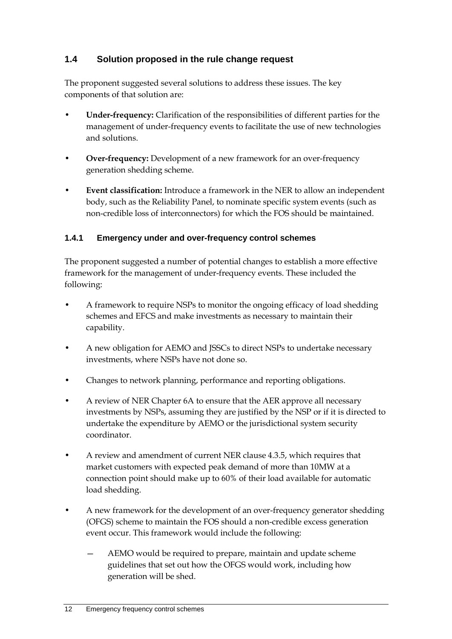### <span id="page-21-0"></span>**1.4 Solution proposed in the rule change request**

The proponent suggested several solutions to address these issues. The key components of that solution are:

- **Under-frequency:** Clarification of the responsibilities of different parties for the management of under-frequency events to facilitate the use of new technologies and solutions.
- **Over-frequency:** Development of a new framework for an over-frequency generation shedding scheme.
- **Event classification:** Introduce a framework in the NER to allow an independent body, such as the Reliability Panel, to nominate specific system events (such as non-credible loss of interconnectors) for which the FOS should be maintained.

### **1.4.1 Emergency under and over-frequency control schemes**

The proponent suggested a number of potential changes to establish a more effective framework for the management of under-frequency events. These included the following:

- A framework to require NSPs to monitor the ongoing efficacy of load shedding schemes and EFCS and make investments as necessary to maintain their capability.
- A new obligation for AEMO and JSSCs to direct NSPs to undertake necessary investments, where NSPs have not done so.
- Changes to network planning, performance and reporting obligations.
- A review of NER Chapter 6A to ensure that the AER approve all necessary investments by NSPs, assuming they are justified by the NSP or if it is directed to undertake the expenditure by AEMO or the jurisdictional system security coordinator.
- A review and amendment of current NER clause 4.3.5, which requires that market customers with expected peak demand of more than 10MW at a connection point should make up to 60% of their load available for automatic load shedding.
- A new framework for the development of an over-frequency generator shedding (OFGS) scheme to maintain the FOS should a non-credible excess generation event occur. This framework would include the following:
	- AEMO would be required to prepare, maintain and update scheme guidelines that set out how the OFGS would work, including how generation will be shed.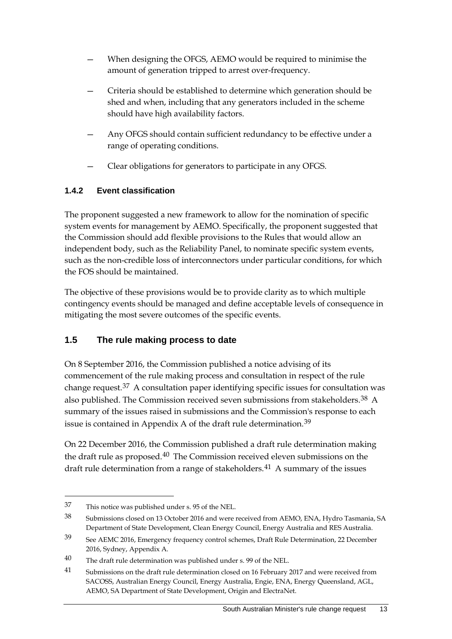- When designing the OFGS, AEMO would be required to minimise the amount of generation tripped to arrest over-frequency.
- Criteria should be established to determine which generation should be shed and when, including that any generators included in the scheme should have high availability factors.
- Any OFGS should contain sufficient redundancy to be effective under a range of operating conditions.
- Clear obligations for generators to participate in any OFGS.

### **1.4.2 Event classification**

The proponent suggested a new framework to allow for the nomination of specific system events for management by AEMO. Specifically, the proponent suggested that the Commission should add flexible provisions to the Rules that would allow an independent body, such as the Reliability Panel, to nominate specific system events, such as the non-credible loss of interconnectors under particular conditions, for which the FOS should be maintained.

The objective of these provisions would be to provide clarity as to which multiple contingency events should be managed and define acceptable levels of consequence in mitigating the most severe outcomes of the specific events.

### <span id="page-22-0"></span>**1.5 The rule making process to date**

On 8 September 2016, the Commission published a notice advising of its commencement of the rule making process and consultation in respect of the rule change request.[37](#page-22-1) A consultation paper identifying specific issues for consultation was also published. The Commission received seven submissions from stakeholders.<sup>[38](#page-22-2)</sup> A summary of the issues raised in submissions and the Commission's response to each issue is contained in Appendix A of the draft rule determination.<sup>[39](#page-22-3)</sup>

On 22 December 2016, the Commission published a draft rule determination making the draft rule as proposed.<sup>[40](#page-22-4)</sup> The Commission received eleven submissions on the draft rule determination from a range of stakeholders.<sup>[41](#page-22-5)</sup> A summary of the issues

<span id="page-22-1"></span><sup>37</sup> This notice was published under s. 95 of the NEL.

<span id="page-22-2"></span><sup>38</sup> Submissions closed on 13 October 2016 and were received from AEMO, ENA, Hydro Tasmania, SA Department of State Development, Clean Energy Council, Energy Australia and RES Australia.

<span id="page-22-3"></span><sup>39</sup> See AEMC 2016, Emergency frequency control schemes, Draft Rule Determination, 22 December 2016, Sydney, Appendix A.

<span id="page-22-4"></span> $40$  The draft rule determination was published under s. 99 of the NEL.

<span id="page-22-5"></span><sup>41</sup> Submissions on the draft rule determination closed on 16 February 2017 and were received from SACOSS, Australian Energy Council, Energy Australia, Engie, ENA, Energy Queensland, AGL, AEMO, SA Department of State Development, Origin and ElectraNet.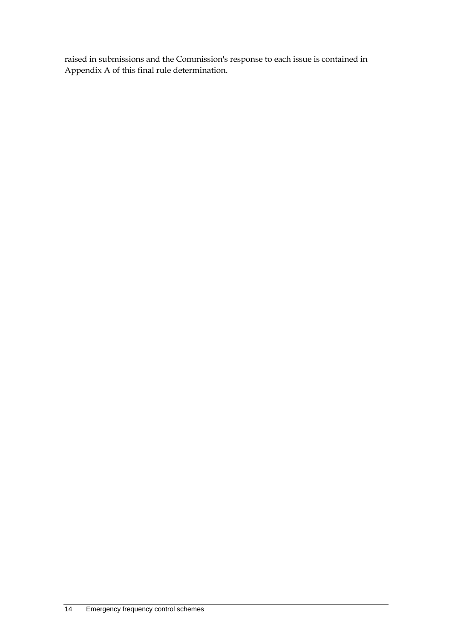raised in submissions and the Commission's response to each issue is contained in Appendix A of this final rule determination.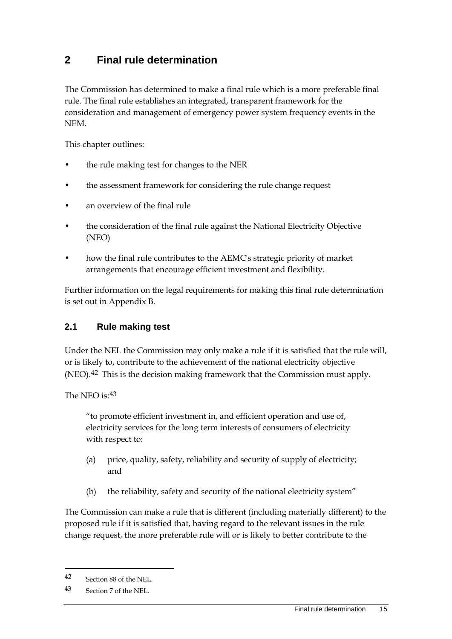## <span id="page-24-0"></span>**2 Final rule determination**

The Commission has determined to make a final rule which is a more preferable final rule. The final rule establishes an integrated, transparent framework for the consideration and management of emergency power system frequency events in the NEM.

This chapter outlines:

- the rule making test for changes to the NER
- the assessment framework for considering the rule change request
- an overview of the final rule
- the consideration of the final rule against the National Electricity Objective (NEO)
- how the final rule contributes to the AEMC's strategic priority of market arrangements that encourage efficient investment and flexibility.

Further information on the legal requirements for making this final rule determination is set out in Appendix B.

### <span id="page-24-1"></span>**2.1 Rule making test**

Under the NEL the Commission may only make a rule if it is satisfied that the rule will, or is likely to, contribute to the achievement of the national electricity objective (NEO).<sup>[42](#page-24-2)</sup> This is the decision making framework that the Commission must apply.

The NEO is: [43](#page-24-3)

"to promote efficient investment in, and efficient operation and use of, electricity services for the long term interests of consumers of electricity with respect to:

- (a) price, quality, safety, reliability and security of supply of electricity; and
- (b) the reliability, safety and security of the national electricity system"

The Commission can make a rule that is different (including materially different) to the proposed rule if it is satisfied that, having regard to the relevant issues in the rule change request, the more preferable rule will or is likely to better contribute to the

<span id="page-24-2"></span><sup>42</sup> Section 88 of the NEL.

<span id="page-24-3"></span><sup>43</sup> Section 7 of the NEL.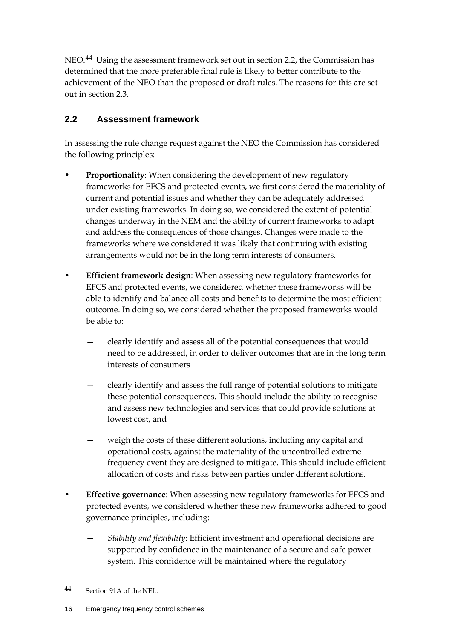NEO.[44](#page-25-1) Using the assessment framework set out in section 2.2, the Commission has determined that the more preferable final rule is likely to better contribute to the achievement of the NEO than the proposed or draft rules. The reasons for this are set out in section 2.3.

## <span id="page-25-0"></span>**2.2 Assessment framework**

In assessing the rule change request against the NEO the Commission has considered the following principles:

- **Proportionality**: When considering the development of new regulatory frameworks for EFCS and protected events, we first considered the materiality of current and potential issues and whether they can be adequately addressed under existing frameworks. In doing so, we considered the extent of potential changes underway in the NEM and the ability of current frameworks to adapt and address the consequences of those changes. Changes were made to the frameworks where we considered it was likely that continuing with existing arrangements would not be in the long term interests of consumers.
- **Efficient framework design**: When assessing new regulatory frameworks for EFCS and protected events, we considered whether these frameworks will be able to identify and balance all costs and benefits to determine the most efficient outcome. In doing so, we considered whether the proposed frameworks would be able to:
	- clearly identify and assess all of the potential consequences that would need to be addressed, in order to deliver outcomes that are in the long term interests of consumers
	- clearly identify and assess the full range of potential solutions to mitigate these potential consequences. This should include the ability to recognise and assess new technologies and services that could provide solutions at lowest cost, and
	- weigh the costs of these different solutions, including any capital and operational costs, against the materiality of the uncontrolled extreme frequency event they are designed to mitigate. This should include efficient allocation of costs and risks between parties under different solutions.
- **Effective governance**: When assessing new regulatory frameworks for EFCS and protected events, we considered whether these new frameworks adhered to good governance principles, including:
	- *Stability and flexibility*: Efficient investment and operational decisions are supported by confidence in the maintenance of a secure and safe power system. This confidence will be maintained where the regulatory

<span id="page-25-1"></span><sup>44</sup> Section 91A of the NEL.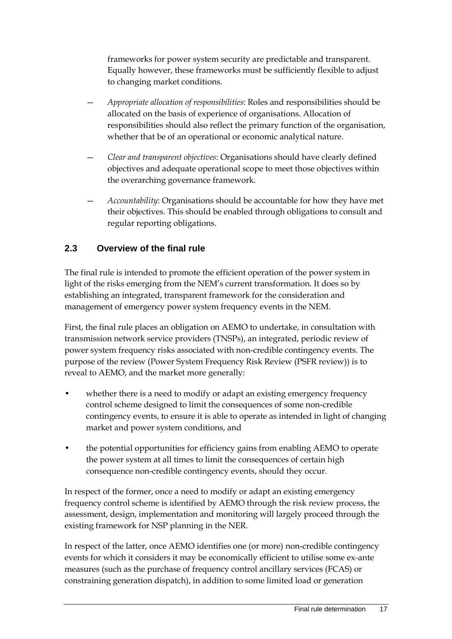frameworks for power system security are predictable and transparent. Equally however, these frameworks must be sufficiently flexible to adjust to changing market conditions.

- *Appropriate allocation of responsibilities*: Roles and responsibilities should be allocated on the basis of experience of organisations. Allocation of responsibilities should also reflect the primary function of the organisation, whether that be of an operational or economic analytical nature.
- *Clear and transparent objectives*: Organisations should have clearly defined objectives and adequate operational scope to meet those objectives within the overarching governance framework.
- *Accountability*: Organisations should be accountable for how they have met their objectives. This should be enabled through obligations to consult and regular reporting obligations.

### <span id="page-26-0"></span>**2.3 Overview of the final rule**

The final rule is intended to promote the efficient operation of the power system in light of the risks emerging from the NEM's current transformation. It does so by establishing an integrated, transparent framework for the consideration and management of emergency power system frequency events in the NEM.

First, the final rule places an obligation on AEMO to undertake, in consultation with transmission network service providers (TNSPs), an integrated, periodic review of power system frequency risks associated with non-credible contingency events. The purpose of the review (Power System Frequency Risk Review (PSFR review)) is to reveal to AEMO, and the market more generally:

- whether there is a need to modify or adapt an existing emergency frequency control scheme designed to limit the consequences of some non-credible contingency events, to ensure it is able to operate as intended in light of changing market and power system conditions, and
- the potential opportunities for efficiency gains from enabling AEMO to operate the power system at all times to limit the consequences of certain high consequence non-credible contingency events, should they occur.

In respect of the former, once a need to modify or adapt an existing emergency frequency control scheme is identified by AEMO through the risk review process, the assessment, design, implementation and monitoring will largely proceed through the existing framework for NSP planning in the NER.

In respect of the latter, once AEMO identifies one (or more) non-credible contingency events for which it considers it may be economically efficient to utilise some ex-ante measures (such as the purchase of frequency control ancillary services (FCAS) or constraining generation dispatch), in addition to some limited load or generation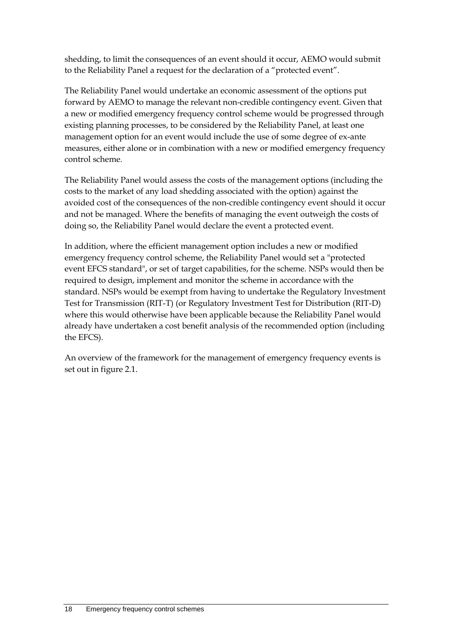shedding, to limit the consequences of an event should it occur, AEMO would submit to the Reliability Panel a request for the declaration of a "protected event".

The Reliability Panel would undertake an economic assessment of the options put forward by AEMO to manage the relevant non-credible contingency event. Given that a new or modified emergency frequency control scheme would be progressed through existing planning processes, to be considered by the Reliability Panel, at least one management option for an event would include the use of some degree of ex-ante measures, either alone or in combination with a new or modified emergency frequency control scheme.

The Reliability Panel would assess the costs of the management options (including the costs to the market of any load shedding associated with the option) against the avoided cost of the consequences of the non-credible contingency event should it occur and not be managed. Where the benefits of managing the event outweigh the costs of doing so, the Reliability Panel would declare the event a protected event.

In addition, where the efficient management option includes a new or modified emergency frequency control scheme, the Reliability Panel would set a "protected event EFCS standard", or set of target capabilities, for the scheme. NSPs would then be required to design, implement and monitor the scheme in accordance with the standard. NSPs would be exempt from having to undertake the Regulatory Investment Test for Transmission (RIT-T) (or Regulatory Investment Test for Distribution (RIT-D) where this would otherwise have been applicable because the Reliability Panel would already have undertaken a cost benefit analysis of the recommended option (including the EFCS).

An overview of the framework for the management of emergency frequency events is set out in figure 2.1.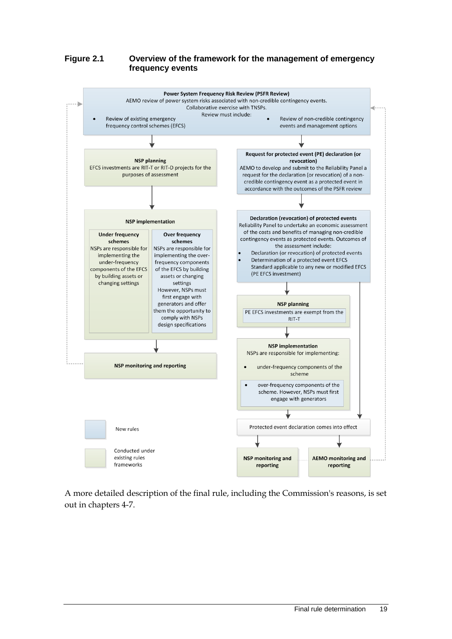#### **Figure 2.1 Overview of the framework for the management of emergency frequency events**



A more detailed description of the final rule, including the Commission's reasons, is set out in chapters 4-7.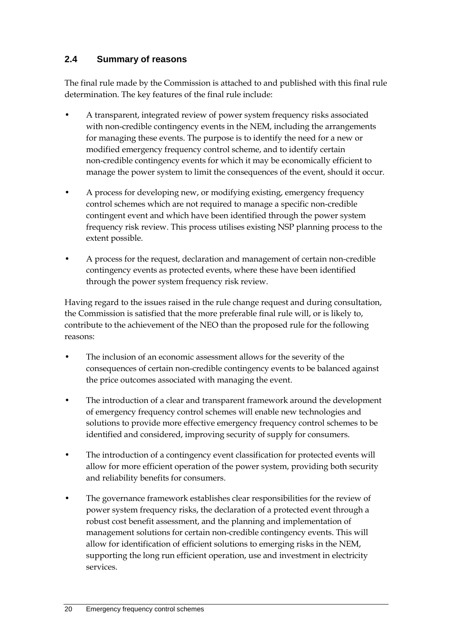### <span id="page-29-0"></span>**2.4 Summary of reasons**

The final rule made by the Commission is attached to and published with this final rule determination. The key features of the final rule include:

- A transparent, integrated review of power system frequency risks associated with non-credible contingency events in the NEM, including the arrangements for managing these events. The purpose is to identify the need for a new or modified emergency frequency control scheme, and to identify certain non-credible contingency events for which it may be economically efficient to manage the power system to limit the consequences of the event, should it occur.
- A process for developing new, or modifying existing, emergency frequency control schemes which are not required to manage a specific non-credible contingent event and which have been identified through the power system frequency risk review. This process utilises existing NSP planning process to the extent possible.
- A process for the request, declaration and management of certain non-credible contingency events as protected events, where these have been identified through the power system frequency risk review.

Having regard to the issues raised in the rule change request and during consultation, the Commission is satisfied that the more preferable final rule will, or is likely to, contribute to the achievement of the NEO than the proposed rule for the following reasons:

- The inclusion of an economic assessment allows for the severity of the consequences of certain non-credible contingency events to be balanced against the price outcomes associated with managing the event.
- The introduction of a clear and transparent framework around the development of emergency frequency control schemes will enable new technologies and solutions to provide more effective emergency frequency control schemes to be identified and considered, improving security of supply for consumers.
- The introduction of a contingency event classification for protected events will allow for more efficient operation of the power system, providing both security and reliability benefits for consumers.
- The governance framework establishes clear responsibilities for the review of power system frequency risks, the declaration of a protected event through a robust cost benefit assessment, and the planning and implementation of management solutions for certain non-credible contingency events. This will allow for identification of efficient solutions to emerging risks in the NEM, supporting the long run efficient operation, use and investment in electricity services.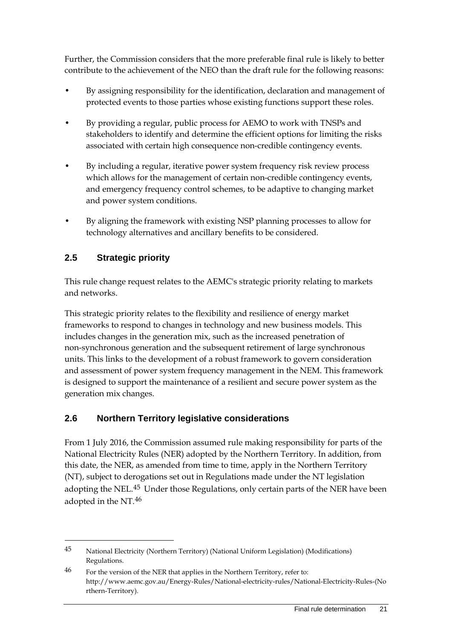Further, the Commission considers that the more preferable final rule is likely to better contribute to the achievement of the NEO than the draft rule for the following reasons:

- By assigning responsibility for the identification, declaration and management of protected events to those parties whose existing functions support these roles.
- By providing a regular, public process for AEMO to work with TNSPs and stakeholders to identify and determine the efficient options for limiting the risks associated with certain high consequence non-credible contingency events.
- By including a regular, iterative power system frequency risk review process which allows for the management of certain non-credible contingency events, and emergency frequency control schemes, to be adaptive to changing market and power system conditions.
- By aligning the framework with existing NSP planning processes to allow for technology alternatives and ancillary benefits to be considered.

### <span id="page-30-0"></span>**2.5 Strategic priority**

-

This rule change request relates to the AEMC's strategic priority relating to markets and networks.

This strategic priority relates to the flexibility and resilience of energy market frameworks to respond to changes in technology and new business models. This includes changes in the generation mix, such as the increased penetration of non-synchronous generation and the subsequent retirement of large synchronous units. This links to the development of a robust framework to govern consideration and assessment of power system frequency management in the NEM. This framework is designed to support the maintenance of a resilient and secure power system as the generation mix changes.

### <span id="page-30-1"></span>**2.6 Northern Territory legislative considerations**

From 1 July 2016, the Commission assumed rule making responsibility for parts of the National Electricity Rules (NER) adopted by the Northern Territory. In addition, from this date, the NER, as amended from time to time, apply in the Northern Territory (NT), subject to derogations set out in Regulations made under the NT legislation adopting the NEL.[45](#page-30-2) Under those Regulations, only certain parts of the NER have been adopted in the NT.[46](#page-30-3)

<span id="page-30-2"></span><sup>45</sup> National Electricity (Northern Territory) (National Uniform Legislation) (Modifications) Regulations.

<span id="page-30-3"></span><sup>46</sup> For the version of the NER that applies in the Northern Territory, refer to: http://www.aemc.gov.au/Energy-Rules/National-electricity-rules/National-Electricity-Rules-(No rthern-Territory).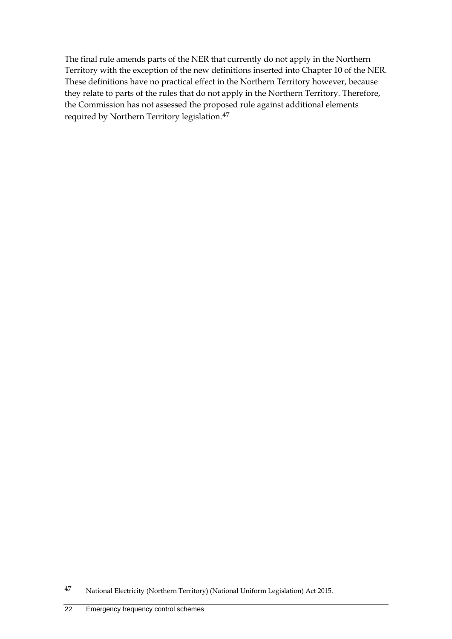The final rule amends parts of the NER that currently do not apply in the Northern Territory with the exception of the new definitions inserted into Chapter 10 of the NER. These definitions have no practical effect in the Northern Territory however, because they relate to parts of the rules that do not apply in the Northern Territory. Therefore, the Commission has not assessed the proposed rule against additional elements required by Northern Territory legislation.[47](#page-31-0)

<span id="page-31-0"></span><sup>47</sup> National Electricity (Northern Territory) (National Uniform Legislation) Act 2015.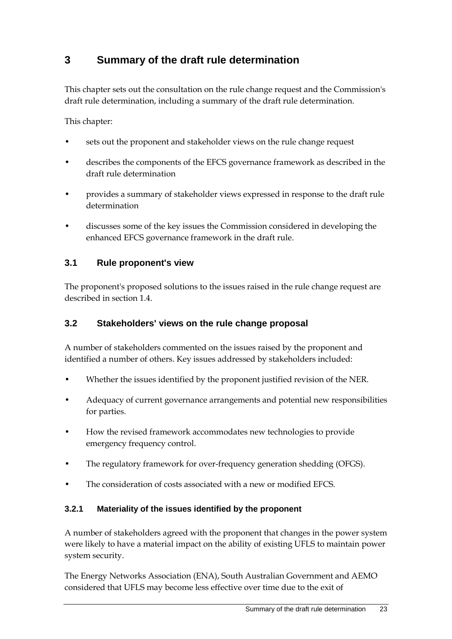## <span id="page-32-0"></span>**3 Summary of the draft rule determination**

This chapter sets out the consultation on the rule change request and the Commission's draft rule determination, including a summary of the draft rule determination.

This chapter:

- sets out the proponent and stakeholder views on the rule change request
- describes the components of the EFCS governance framework as described in the draft rule determination
- provides a summary of stakeholder views expressed in response to the draft rule determination
- discusses some of the key issues the Commission considered in developing the enhanced EFCS governance framework in the draft rule.

### <span id="page-32-1"></span>**3.1 Rule proponent's view**

The proponent's proposed solutions to the issues raised in the rule change request are described in section 1.4.

### <span id="page-32-2"></span>**3.2 Stakeholders' views on the rule change proposal**

A number of stakeholders commented on the issues raised by the proponent and identified a number of others. Key issues addressed by stakeholders included:

- Whether the issues identified by the proponent justified revision of the NER.
- Adequacy of current governance arrangements and potential new responsibilities for parties.
- How the revised framework accommodates new technologies to provide emergency frequency control.
- The regulatory framework for over-frequency generation shedding (OFGS).
- The consideration of costs associated with a new or modified EFCS.

### **3.2.1 Materiality of the issues identified by the proponent**

A number of stakeholders agreed with the proponent that changes in the power system were likely to have a material impact on the ability of existing UFLS to maintain power system security.

The Energy Networks Association (ENA), South Australian Government and AEMO considered that UFLS may become less effective over time due to the exit of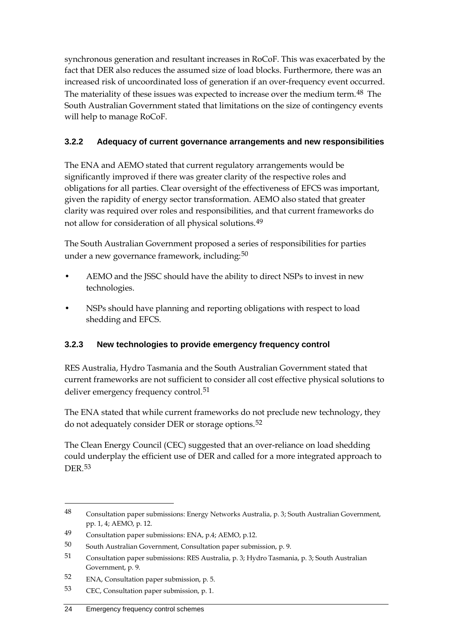synchronous generation and resultant increases in RoCoF. This was exacerbated by the fact that DER also reduces the assumed size of load blocks. Furthermore, there was an increased risk of uncoordinated loss of generation if an over-frequency event occurred. The materiality of these issues was expected to increase over the medium term.[48](#page-33-0) The South Australian Government stated that limitations on the size of contingency events will help to manage RoCoF.

### **3.2.2 Adequacy of current governance arrangements and new responsibilities**

The ENA and AEMO stated that current regulatory arrangements would be significantly improved if there was greater clarity of the respective roles and obligations for all parties. Clear oversight of the effectiveness of EFCS was important, given the rapidity of energy sector transformation. AEMO also stated that greater clarity was required over roles and responsibilities, and that current frameworks do not allow for consideration of all physical solutions.[49](#page-33-1)

The South Australian Government proposed a series of responsibilities for parties under a new governance framework, including:<sup>[50](#page-33-2)</sup>

- AEMO and the JSSC should have the ability to direct NSPs to invest in new technologies.
- NSPs should have planning and reporting obligations with respect to load shedding and EFCS.

### **3.2.3 New technologies to provide emergency frequency control**

RES Australia, Hydro Tasmania and the South Australian Government stated that current frameworks are not sufficient to consider all cost effective physical solutions to deliver emergency frequency control.<sup>[51](#page-33-3)</sup>

The ENA stated that while current frameworks do not preclude new technology, they do not adequately consider DER or storage options.<sup>[52](#page-33-4)</sup>

The Clean Energy Council (CEC) suggested that an over-reliance on load shedding could underplay the efficient use of DER and called for a more integrated approach to DER.[53](#page-33-5)

<span id="page-33-0"></span><sup>48</sup> Consultation paper submissions: Energy Networks Australia, p. 3; South Australian Government, pp. 1, 4; AEMO, p. 12.

<span id="page-33-1"></span><sup>49</sup> Consultation paper submissions: ENA, p.4; AEMO, p.12.

<span id="page-33-2"></span><sup>50</sup> South Australian Government, Consultation paper submission, p. 9.

<span id="page-33-3"></span><sup>51</sup> Consultation paper submissions: RES Australia, p. 3; Hydro Tasmania, p. 3; South Australian Government, p. 9.

<span id="page-33-4"></span><sup>52</sup> ENA, Consultation paper submission, p. 5.

<span id="page-33-5"></span><sup>53</sup> CEC, Consultation paper submission, p. 1.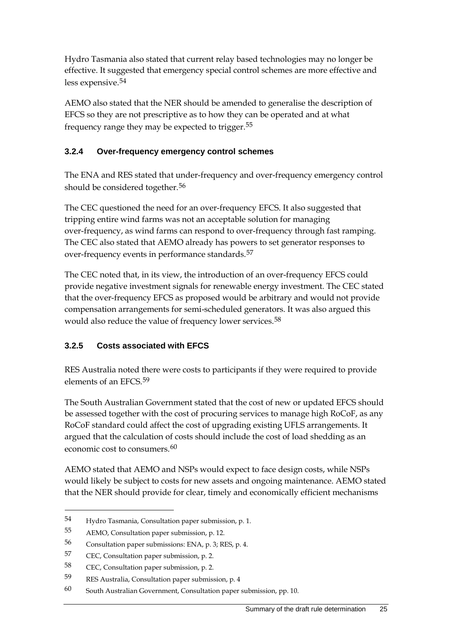Hydro Tasmania also stated that current relay based technologies may no longer be effective. It suggested that emergency special control schemes are more effective and less expensive.[54](#page-34-0)

AEMO also stated that the NER should be amended to generalise the description of EFCS so they are not prescriptive as to how they can be operated and at what frequency range they may be expected to trigger.[55](#page-34-1)

### **3.2.4 Over-frequency emergency control schemes**

The ENA and RES stated that under-frequency and over-frequency emergency control should be considered together.<sup>[56](#page-34-2)</sup>

The CEC questioned the need for an over-frequency EFCS. It also suggested that tripping entire wind farms was not an acceptable solution for managing over-frequency, as wind farms can respond to over-frequency through fast ramping. The CEC also stated that AEMO already has powers to set generator responses to over-frequency events in performance standards.[57](#page-34-3)

The CEC noted that, in its view, the introduction of an over-frequency EFCS could provide negative investment signals for renewable energy investment. The CEC stated that the over-frequency EFCS as proposed would be arbitrary and would not provide compensation arrangements for semi-scheduled generators. It was also argued this would also reduce the value of frequency lower services.<sup>[58](#page-34-4)</sup>

### **3.2.5 Costs associated with EFCS**

RES Australia noted there were costs to participants if they were required to provide elements of an EFCS.<sup>[59](#page-34-5)</sup>

The South Australian Government stated that the cost of new or updated EFCS should be assessed together with the cost of procuring services to manage high RoCoF, as any RoCoF standard could affect the cost of upgrading existing UFLS arrangements. It argued that the calculation of costs should include the cost of load shedding as an economic cost to consumers.<sup>[60](#page-34-6)</sup>

AEMO stated that AEMO and NSPs would expect to face design costs, while NSPs would likely be subject to costs for new assets and ongoing maintenance. AEMO stated that the NER should provide for clear, timely and economically efficient mechanisms

<span id="page-34-0"></span><sup>54</sup> Hydro Tasmania, Consultation paper submission, p. 1.

<span id="page-34-1"></span><sup>55</sup> AEMO, Consultation paper submission, p. 12.

<span id="page-34-2"></span><sup>56</sup> Consultation paper submissions: ENA, p. 3; RES, p. 4.

<span id="page-34-3"></span><sup>57</sup> CEC, Consultation paper submission, p. 2.

<span id="page-34-4"></span><sup>58</sup> CEC, Consultation paper submission, p. 2.

<span id="page-34-5"></span><sup>59</sup> RES Australia, Consultation paper submission, p. 4

<span id="page-34-6"></span><sup>60</sup> South Australian Government, Consultation paper submission, pp. 10.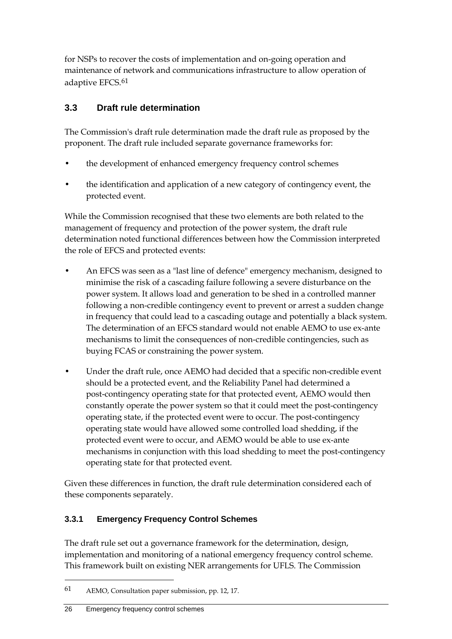for NSPs to recover the costs of implementation and on-going operation and maintenance of network and communications infrastructure to allow operation of adaptive EFCS.<sup>[61](#page-35-1)</sup>

### <span id="page-35-0"></span>**3.3 Draft rule determination**

The Commission's draft rule determination made the draft rule as proposed by the proponent. The draft rule included separate governance frameworks for:

- the development of enhanced emergency frequency control schemes
- the identification and application of a new category of contingency event, the protected event.

While the Commission recognised that these two elements are both related to the management of frequency and protection of the power system, the draft rule determination noted functional differences between how the Commission interpreted the role of EFCS and protected events:

- An EFCS was seen as a "last line of defence" emergency mechanism, designed to minimise the risk of a cascading failure following a severe disturbance on the power system. It allows load and generation to be shed in a controlled manner following a non-credible contingency event to prevent or arrest a sudden change in frequency that could lead to a cascading outage and potentially a black system. The determination of an EFCS standard would not enable AEMO to use ex-ante mechanisms to limit the consequences of non-credible contingencies, such as buying FCAS or constraining the power system.
- Under the draft rule, once AEMO had decided that a specific non-credible event should be a protected event, and the Reliability Panel had determined a post-contingency operating state for that protected event, AEMO would then constantly operate the power system so that it could meet the post-contingency operating state, if the protected event were to occur. The post-contingency operating state would have allowed some controlled load shedding, if the protected event were to occur, and AEMO would be able to use ex-ante mechanisms in conjunction with this load shedding to meet the post-contingency operating state for that protected event.

Given these differences in function, the draft rule determination considered each of these components separately.

### **3.3.1 Emergency Frequency Control Schemes**

The draft rule set out a governance framework for the determination, design, implementation and monitoring of a national emergency frequency control scheme. This framework built on existing NER arrangements for UFLS. The Commission

<span id="page-35-1"></span><sup>61</sup> AEMO, Consultation paper submission, pp. 12, 17.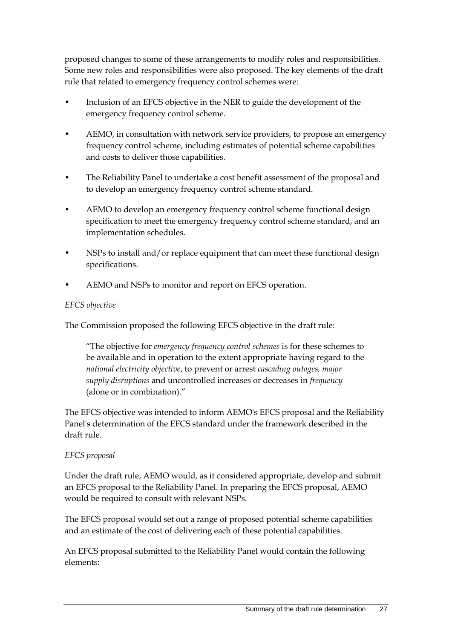proposed changes to some of these arrangements to modify roles and responsibilities. Some new roles and responsibilities were also proposed. The key elements of the draft rule that related to emergency frequency control schemes were:

- Inclusion of an EFCS objective in the NER to guide the development of the emergency frequency control scheme.
- AEMO, in consultation with network service providers, to propose an emergency frequency control scheme, including estimates of potential scheme capabilities and costs to deliver those capabilities.
- The Reliability Panel to undertake a cost benefit assessment of the proposal and to develop an emergency frequency control scheme standard.
- AEMO to develop an emergency frequency control scheme functional design specification to meet the emergency frequency control scheme standard, and an implementation schedules.
- NSPs to install and/or replace equipment that can meet these functional design specifications.
- AEMO and NSPs to monitor and report on EFCS operation.

#### *EFCS objective*

The Commission proposed the following EFCS objective in the draft rule:

"The objective for *emergency frequency control schemes* is for these schemes to be available and in operation to the extent appropriate having regard to the *national electricity objective*, to prevent or arrest *cascading outages, major supply disruptions* and uncontrolled increases or decreases in *frequency* (alone or in combination)."

The EFCS objective was intended to inform AEMO's EFCS proposal and the Reliability Panel's determination of the EFCS standard under the framework described in the draft rule.

#### *EFCS proposal*

Under the draft rule, AEMO would, as it considered appropriate, develop and submit an EFCS proposal to the Reliability Panel. In preparing the EFCS proposal, AEMO would be required to consult with relevant NSPs.

The EFCS proposal would set out a range of proposed potential scheme capabilities and an estimate of the cost of delivering each of these potential capabilities.

An EFCS proposal submitted to the Reliability Panel would contain the following elements: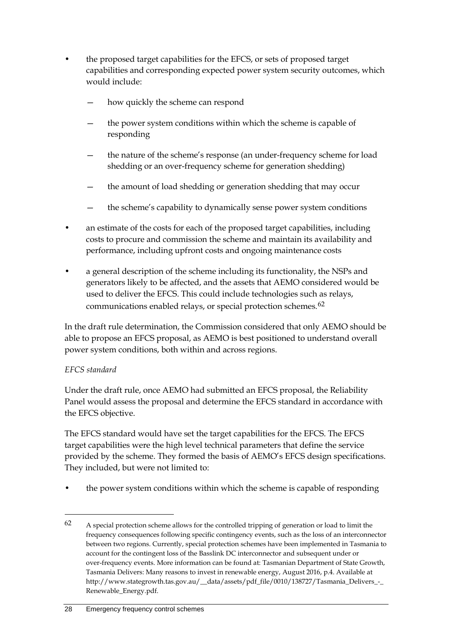- the proposed target capabilities for the EFCS, or sets of proposed target capabilities and corresponding expected power system security outcomes, which would include:
	- how quickly the scheme can respond
	- the power system conditions within which the scheme is capable of responding
	- the nature of the scheme's response (an under-frequency scheme for load shedding or an over-frequency scheme for generation shedding)
	- the amount of load shedding or generation shedding that may occur
	- the scheme's capability to dynamically sense power system conditions
- an estimate of the costs for each of the proposed target capabilities, including costs to procure and commission the scheme and maintain its availability and performance, including upfront costs and ongoing maintenance costs
- a general description of the scheme including its functionality, the NSPs and generators likely to be affected, and the assets that AEMO considered would be used to deliver the EFCS. This could include technologies such as relays, communications enabled relays, or special protection schemes.[62](#page-37-0)

In the draft rule determination, the Commission considered that only AEMO should be able to propose an EFCS proposal, as AEMO is best positioned to understand overall power system conditions, both within and across regions.

### *EFCS standard*

-

Under the draft rule, once AEMO had submitted an EFCS proposal, the Reliability Panel would assess the proposal and determine the EFCS standard in accordance with the EFCS objective.

The EFCS standard would have set the target capabilities for the EFCS. The EFCS target capabilities were the high level technical parameters that define the service provided by the scheme. They formed the basis of AEMO's EFCS design specifications. They included, but were not limited to:

• the power system conditions within which the scheme is capable of responding

<span id="page-37-0"></span><sup>62</sup> A special protection scheme allows for the controlled tripping of generation or load to limit the frequency consequences following specific contingency events, such as the loss of an interconnector between two regions. Currently, special protection schemes have been implemented in Tasmania to account for the contingent loss of the Basslink DC interconnector and subsequent under or over-frequency events. More information can be found at: Tasmanian Department of State Growth, Tasmania Delivers: Many reasons to invest in renewable energy, August 2016, p.4. Available at http://www.stategrowth.tas.gov.au/\_\_data/assets/pdf\_file/0010/138727/Tasmania\_Delivers\_-\_ Renewable\_Energy.pdf.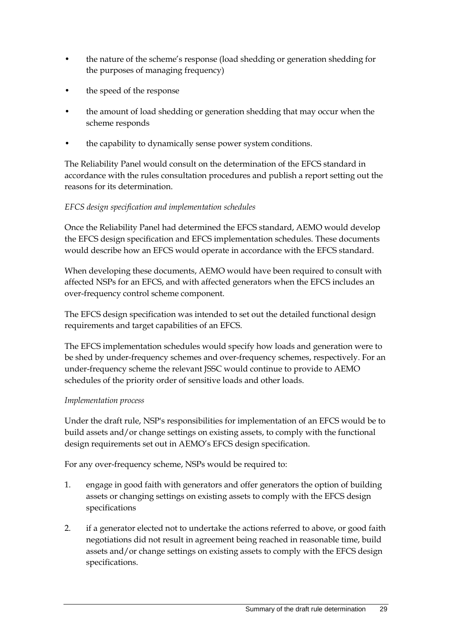- the nature of the scheme's response (load shedding or generation shedding for the purposes of managing frequency)
- the speed of the response
- the amount of load shedding or generation shedding that may occur when the scheme responds
- the capability to dynamically sense power system conditions.

The Reliability Panel would consult on the determination of the EFCS standard in accordance with the rules consultation procedures and publish a report setting out the reasons for its determination.

### *EFCS design specification and implementation schedules*

Once the Reliability Panel had determined the EFCS standard, AEMO would develop the EFCS design specification and EFCS implementation schedules. These documents would describe how an EFCS would operate in accordance with the EFCS standard.

When developing these documents, AEMO would have been required to consult with affected NSPs for an EFCS, and with affected generators when the EFCS includes an over-frequency control scheme component.

The EFCS design specification was intended to set out the detailed functional design requirements and target capabilities of an EFCS.

The EFCS implementation schedules would specify how loads and generation were to be shed by under-frequency schemes and over-frequency schemes, respectively. For an under-frequency scheme the relevant JSSC would continue to provide to AEMO schedules of the priority order of sensitive loads and other loads.

### *Implementation process*

Under the draft rule, NSP's responsibilities for implementation of an EFCS would be to build assets and/or change settings on existing assets, to comply with the functional design requirements set out in AEMO's EFCS design specification.

For any over-frequency scheme, NSPs would be required to:

- 1. engage in good faith with generators and offer generators the option of building assets or changing settings on existing assets to comply with the EFCS design specifications
- 2. if a generator elected not to undertake the actions referred to above, or good faith negotiations did not result in agreement being reached in reasonable time, build assets and/or change settings on existing assets to comply with the EFCS design specifications.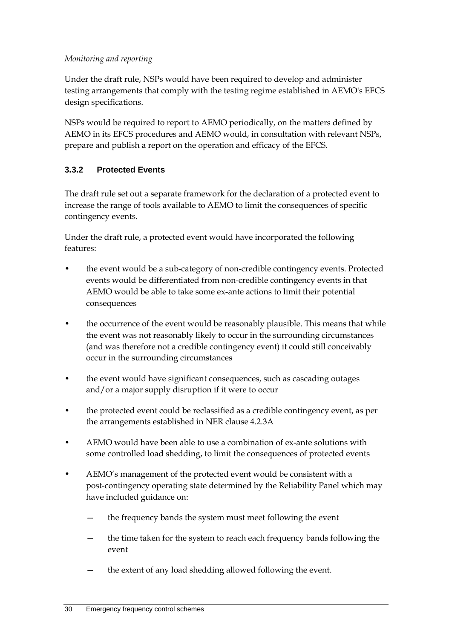#### *Monitoring and reporting*

Under the draft rule, NSPs would have been required to develop and administer testing arrangements that comply with the testing regime established in AEMO's EFCS design specifications.

NSPs would be required to report to AEMO periodically, on the matters defined by AEMO in its EFCS procedures and AEMO would, in consultation with relevant NSPs, prepare and publish a report on the operation and efficacy of the EFCS.

### **3.3.2 Protected Events**

The draft rule set out a separate framework for the declaration of a protected event to increase the range of tools available to AEMO to limit the consequences of specific contingency events.

Under the draft rule, a protected event would have incorporated the following features:

- the event would be a sub-category of non-credible contingency events. Protected events would be differentiated from non-credible contingency events in that AEMO would be able to take some ex-ante actions to limit their potential consequences
- the occurrence of the event would be reasonably plausible. This means that while the event was not reasonably likely to occur in the surrounding circumstances (and was therefore not a credible contingency event) it could still conceivably occur in the surrounding circumstances
- the event would have significant consequences, such as cascading outages and/or a major supply disruption if it were to occur
- the protected event could be reclassified as a credible contingency event, as per the arrangements established in NER clause 4.2.3A
- AEMO would have been able to use a combination of ex-ante solutions with some controlled load shedding, to limit the consequences of protected events
- AEMO's management of the protected event would be consistent with a post-contingency operating state determined by the Reliability Panel which may have included guidance on:
	- the frequency bands the system must meet following the event
	- the time taken for the system to reach each frequency bands following the event
	- the extent of any load shedding allowed following the event.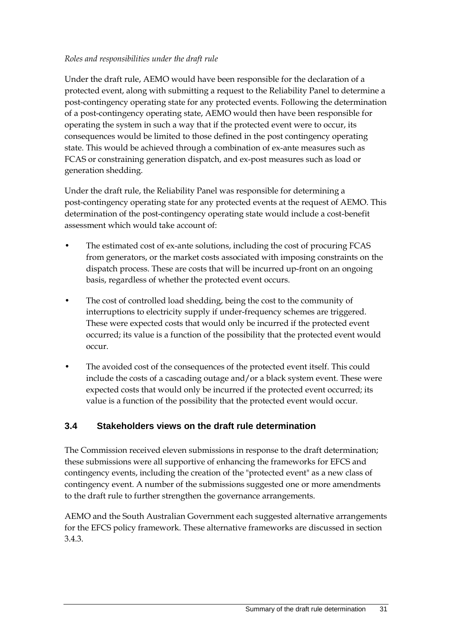#### *Roles and responsibilities under the draft rule*

Under the draft rule, AEMO would have been responsible for the declaration of a protected event, along with submitting a request to the Reliability Panel to determine a post-contingency operating state for any protected events. Following the determination of a post-contingency operating state, AEMO would then have been responsible for operating the system in such a way that if the protected event were to occur, its consequences would be limited to those defined in the post contingency operating state. This would be achieved through a combination of ex-ante measures such as FCAS or constraining generation dispatch, and ex-post measures such as load or generation shedding.

Under the draft rule, the Reliability Panel was responsible for determining a post-contingency operating state for any protected events at the request of AEMO. This determination of the post-contingency operating state would include a cost-benefit assessment which would take account of:

- The estimated cost of ex-ante solutions, including the cost of procuring FCAS from generators, or the market costs associated with imposing constraints on the dispatch process. These are costs that will be incurred up-front on an ongoing basis, regardless of whether the protected event occurs.
- The cost of controlled load shedding, being the cost to the community of interruptions to electricity supply if under-frequency schemes are triggered. These were expected costs that would only be incurred if the protected event occurred; its value is a function of the possibility that the protected event would occur.
- The avoided cost of the consequences of the protected event itself. This could include the costs of a cascading outage and/or a black system event. These were expected costs that would only be incurred if the protected event occurred; its value is a function of the possibility that the protected event would occur.

### **3.4 Stakeholders views on the draft rule determination**

The Commission received eleven submissions in response to the draft determination; these submissions were all supportive of enhancing the frameworks for EFCS and contingency events, including the creation of the "protected event" as a new class of contingency event. A number of the submissions suggested one or more amendments to the draft rule to further strengthen the governance arrangements.

AEMO and the South Australian Government each suggested alternative arrangements for the EFCS policy framework. These alternative frameworks are discussed in section 3.4.3.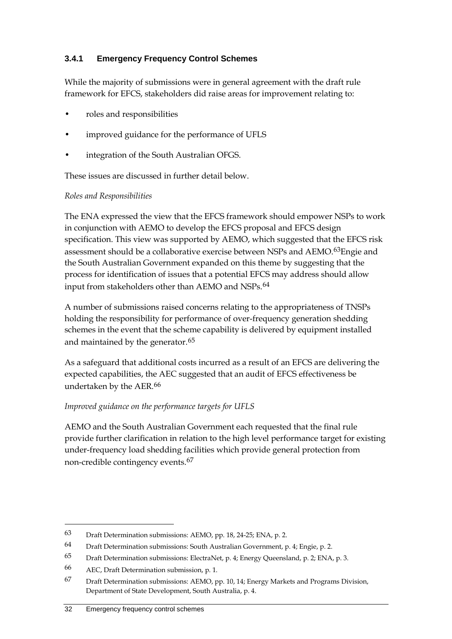### **3.4.1 Emergency Frequency Control Schemes**

While the majority of submissions were in general agreement with the draft rule framework for EFCS, stakeholders did raise areas for improvement relating to:

- roles and responsibilities
- improved guidance for the performance of UFLS
- integration of the South Australian OFGS.

These issues are discussed in further detail below.

#### *Roles and Responsibilities*

The ENA expressed the view that the EFCS framework should empower NSPs to work in conjunction with AEMO to develop the EFCS proposal and EFCS design specification. This view was supported by AEMO, which suggested that the EFCS risk assessment should be a collaborative exercise between NSPs and AEMO.<sup>63</sup>Engie and the South Australian Government expanded on this theme by suggesting that the process for identification of issues that a potential EFCS may address should allow input from stakeholders other than AEMO and NSPs.<sup>[64](#page-41-1)</sup>

A number of submissions raised concerns relating to the appropriateness of TNSPs holding the responsibility for performance of over-frequency generation shedding schemes in the event that the scheme capability is delivered by equipment installed and maintained by the generator.<sup>[65](#page-41-2)</sup>

As a safeguard that additional costs incurred as a result of an EFCS are delivering the expected capabilities, the AEC suggested that an audit of EFCS effectiveness be undertaken by the AER.<sup>[66](#page-41-3)</sup>

#### *Improved guidance on the performance targets for UFLS*

AEMO and the South Australian Government each requested that the final rule provide further clarification in relation to the high level performance target for existing under-frequency load shedding facilities which provide general protection from non-credible contingency events.[67](#page-41-4)

<span id="page-41-0"></span><sup>63</sup> Draft Determination submissions: AEMO, pp. 18, 24-25; ENA, p. 2.

<span id="page-41-1"></span><sup>64</sup> Draft Determination submissions: South Australian Government, p. 4; Engie, p. 2.

<span id="page-41-2"></span><sup>65</sup> Draft Determination submissions: ElectraNet, p. 4; Energy Queensland, p. 2; ENA, p. 3.

<span id="page-41-3"></span><sup>66</sup> AEC, Draft Determination submission, p. 1.

<span id="page-41-4"></span><sup>67</sup> Draft Determination submissions: AEMO, pp. 10, 14; Energy Markets and Programs Division, Department of State Development, South Australia, p. 4.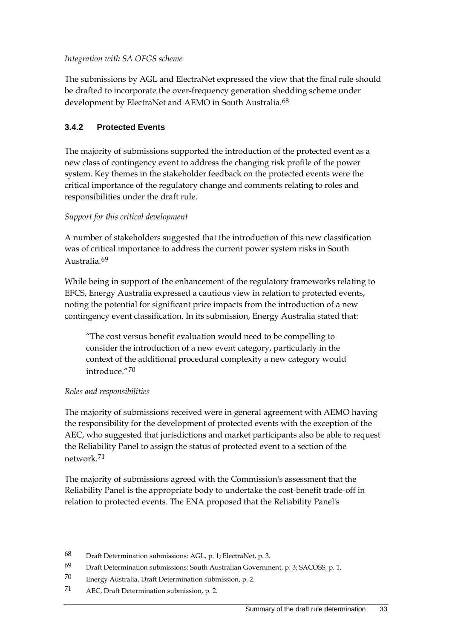*Integration with SA OFGS scheme*

The submissions by AGL and ElectraNet expressed the view that the final rule should be drafted to incorporate the over-frequency generation shedding scheme under development by ElectraNet and AEMO in South Australia.<sup>[68](#page-42-0)</sup>

### **3.4.2 Protected Events**

The majority of submissions supported the introduction of the protected event as a new class of contingency event to address the changing risk profile of the power system. Key themes in the stakeholder feedback on the protected events were the critical importance of the regulatory change and comments relating to roles and responsibilities under the draft rule.

### *Support for this critical development*

A number of stakeholders suggested that the introduction of this new classification was of critical importance to address the current power system risks in South Australia.[69](#page-42-1)

While being in support of the enhancement of the regulatory frameworks relating to EFCS, Energy Australia expressed a cautious view in relation to protected events, noting the potential for significant price impacts from the introduction of a new contingency event classification. In its submission, Energy Australia stated that:

"The cost versus benefit evaluation would need to be compelling to consider the introduction of a new event category, particularly in the context of the additional procedural complexity a new category would introduce."[70](#page-42-2)

### *Roles and responsibilities*

-

The majority of submissions received were in general agreement with AEMO having the responsibility for the development of protected events with the exception of the AEC, who suggested that jurisdictions and market participants also be able to request the Reliability Panel to assign the status of protected event to a section of the network.[71](#page-42-3)

The majority of submissions agreed with the Commission's assessment that the Reliability Panel is the appropriate body to undertake the cost-benefit trade-off in relation to protected events. The ENA proposed that the Reliability Panel's

<span id="page-42-0"></span><sup>68</sup> Draft Determination submissions: AGL, p. 1; ElectraNet, p. 3.

<span id="page-42-1"></span><sup>69</sup> Draft Determination submissions: South Australian Government, p. 3; SACOSS, p. 1.

<span id="page-42-2"></span><sup>70</sup> Energy Australia, Draft Determination submission, p. 2.

<span id="page-42-3"></span><sup>71</sup> AEC, Draft Determination submission, p. 2.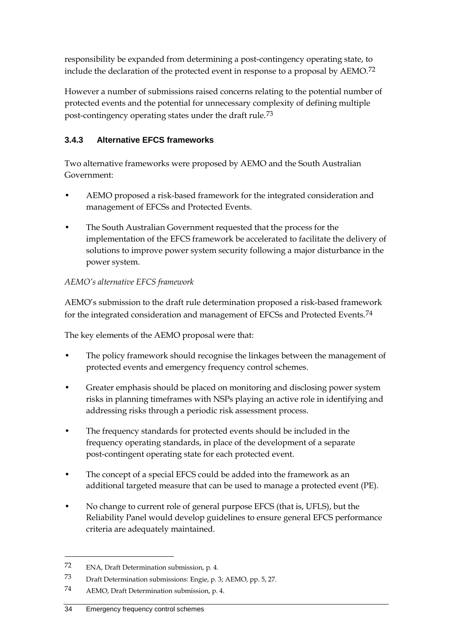responsibility be expanded from determining a post-contingency operating state, to include the declaration of the protected event in response to a proposal by AEMO.[72](#page-43-0)

However a number of submissions raised concerns relating to the potential number of protected events and the potential for unnecessary complexity of defining multiple post-contingency operating states under the draft rule.[73](#page-43-1)

## **3.4.3 Alternative EFCS frameworks**

Two alternative frameworks were proposed by AEMO and the South Australian Government:

- AEMO proposed a risk-based framework for the integrated consideration and management of EFCSs and Protected Events.
- The South Australian Government requested that the process for the implementation of the EFCS framework be accelerated to facilitate the delivery of solutions to improve power system security following a major disturbance in the power system.

### *AEMO's alternative EFCS framework*

AEMO's submission to the draft rule determination proposed a risk-based framework for the integrated consideration and management of EFCSs and Protected Events.<sup>[74](#page-43-2)</sup>

The key elements of the AEMO proposal were that:

- The policy framework should recognise the linkages between the management of protected events and emergency frequency control schemes.
- Greater emphasis should be placed on monitoring and disclosing power system risks in planning timeframes with NSPs playing an active role in identifying and addressing risks through a periodic risk assessment process.
- The frequency standards for protected events should be included in the frequency operating standards, in place of the development of a separate post-contingent operating state for each protected event.
- The concept of a special EFCS could be added into the framework as an additional targeted measure that can be used to manage a protected event (PE).
- No change to current role of general purpose EFCS (that is, UFLS), but the Reliability Panel would develop guidelines to ensure general EFCS performance criteria are adequately maintained.

<span id="page-43-0"></span><sup>72</sup> ENA, Draft Determination submission, p. 4.

<span id="page-43-1"></span><sup>73</sup> Draft Determination submissions: Engie, p. 3; AEMO, pp. 5, 27.

<span id="page-43-2"></span><sup>74</sup> AEMO, Draft Determination submission, p. 4.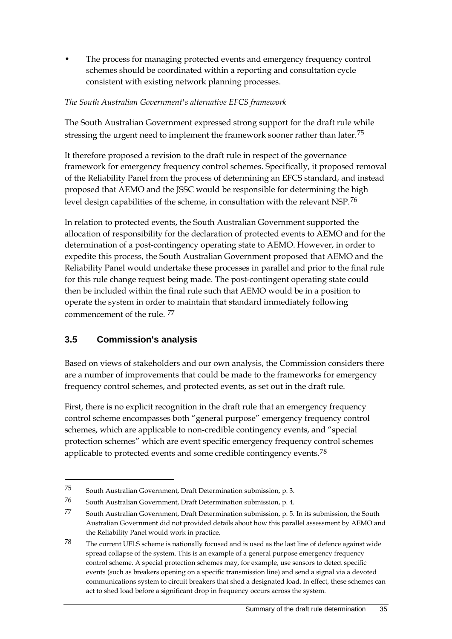• The process for managing protected events and emergency frequency control schemes should be coordinated within a reporting and consultation cycle consistent with existing network planning processes.

#### *The South Australian Government's alternative EFCS framework*

The South Australian Government expressed strong support for the draft rule while stressing the urgent need to implement the framework sooner rather than later.<sup>[75](#page-44-0)</sup>

It therefore proposed a revision to the draft rule in respect of the governance framework for emergency frequency control schemes. Specifically, it proposed removal of the Reliability Panel from the process of determining an EFCS standard, and instead proposed that AEMO and the JSSC would be responsible for determining the high level design capabilities of the scheme, in consultation with the relevant NSP.[76](#page-44-1)

In relation to protected events, the South Australian Government supported the allocation of responsibility for the declaration of protected events to AEMO and for the determination of a post-contingency operating state to AEMO. However, in order to expedite this process, the South Australian Government proposed that AEMO and the Reliability Panel would undertake these processes in parallel and prior to the final rule for this rule change request being made. The post-contingent operating state could then be included within the final rule such that AEMO would be in a position to operate the system in order to maintain that standard immediately following commencement of the rule. [77](#page-44-2)

### **3.5 Commission's analysis**

-

Based on views of stakeholders and our own analysis, the Commission considers there are a number of improvements that could be made to the frameworks for emergency frequency control schemes, and protected events, as set out in the draft rule.

First, there is no explicit recognition in the draft rule that an emergency frequency control scheme encompasses both "general purpose" emergency frequency control schemes, which are applicable to non-credible contingency events, and "special protection schemes" which are event specific emergency frequency control schemes applicable to protected events and some credible contingency events.<sup>[78](#page-44-3)</sup>

<span id="page-44-0"></span><sup>75</sup> South Australian Government, Draft Determination submission, p. 3.

<span id="page-44-1"></span><sup>76</sup> South Australian Government, Draft Determination submission, p. 4.

<span id="page-44-2"></span><sup>77</sup> South Australian Government, Draft Determination submission, p. 5. In its submission, the South Australian Government did not provided details about how this parallel assessment by AEMO and the Reliability Panel would work in practice.

<span id="page-44-3"></span><sup>78</sup> The current UFLS scheme is nationally focused and is used as the last line of defence against wide spread collapse of the system. This is an example of a general purpose emergency frequency control scheme. A special protection schemes may, for example, use sensors to detect specific events (such as breakers opening on a specific transmission line) and send a signal via a devoted communications system to circuit breakers that shed a designated load. In effect, these schemes can act to shed load before a significant drop in frequency occurs across the system.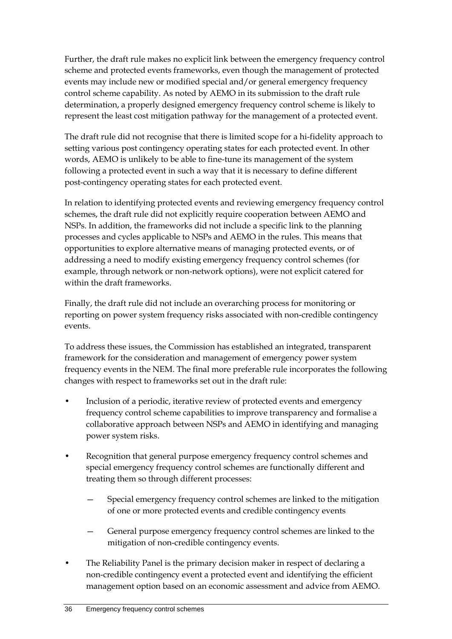Further, the draft rule makes no explicit link between the emergency frequency control scheme and protected events frameworks, even though the management of protected events may include new or modified special and/or general emergency frequency control scheme capability. As noted by AEMO in its submission to the draft rule determination, a properly designed emergency frequency control scheme is likely to represent the least cost mitigation pathway for the management of a protected event.

The draft rule did not recognise that there is limited scope for a hi-fidelity approach to setting various post contingency operating states for each protected event. In other words, AEMO is unlikely to be able to fine-tune its management of the system following a protected event in such a way that it is necessary to define different post-contingency operating states for each protected event.

In relation to identifying protected events and reviewing emergency frequency control schemes, the draft rule did not explicitly require cooperation between AEMO and NSPs. In addition, the frameworks did not include a specific link to the planning processes and cycles applicable to NSPs and AEMO in the rules. This means that opportunities to explore alternative means of managing protected events, or of addressing a need to modify existing emergency frequency control schemes (for example, through network or non-network options), were not explicit catered for within the draft frameworks.

Finally, the draft rule did not include an overarching process for monitoring or reporting on power system frequency risks associated with non-credible contingency events.

To address these issues, the Commission has established an integrated, transparent framework for the consideration and management of emergency power system frequency events in the NEM. The final more preferable rule incorporates the following changes with respect to frameworks set out in the draft rule:

- Inclusion of a periodic, iterative review of protected events and emergency frequency control scheme capabilities to improve transparency and formalise a collaborative approach between NSPs and AEMO in identifying and managing power system risks.
- Recognition that general purpose emergency frequency control schemes and special emergency frequency control schemes are functionally different and treating them so through different processes:
	- Special emergency frequency control schemes are linked to the mitigation of one or more protected events and credible contingency events
	- General purpose emergency frequency control schemes are linked to the mitigation of non-credible contingency events.
- The Reliability Panel is the primary decision maker in respect of declaring a non-credible contingency event a protected event and identifying the efficient management option based on an economic assessment and advice from AEMO.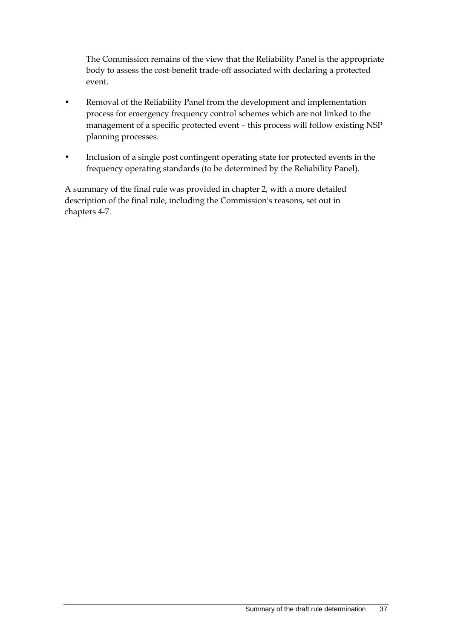The Commission remains of the view that the Reliability Panel is the appropriate body to assess the cost-benefit trade-off associated with declaring a protected event.

- Removal of the Reliability Panel from the development and implementation process for emergency frequency control schemes which are not linked to the management of a specific protected event – this process will follow existing NSP planning processes.
- Inclusion of a single post contingent operating state for protected events in the frequency operating standards (to be determined by the Reliability Panel).

A summary of the final rule was provided in chapter 2, with a more detailed description of the final rule, including the Commission's reasons, set out in chapters 4-7.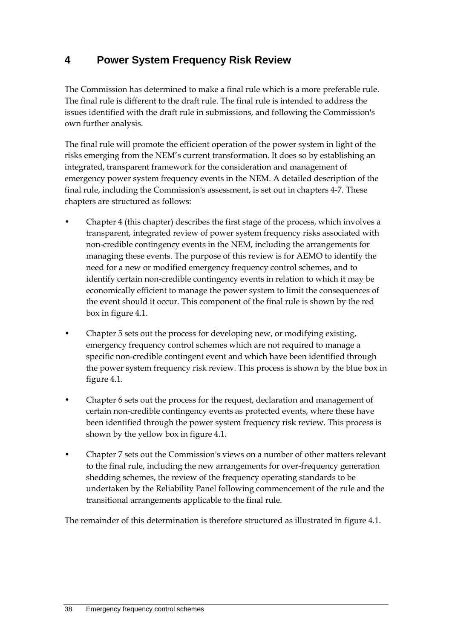# **4 Power System Frequency Risk Review**

The Commission has determined to make a final rule which is a more preferable rule. The final rule is different to the draft rule. The final rule is intended to address the issues identified with the draft rule in submissions, and following the Commission's own further analysis.

The final rule will promote the efficient operation of the power system in light of the risks emerging from the NEM's current transformation. It does so by establishing an integrated, transparent framework for the consideration and management of emergency power system frequency events in the NEM. A detailed description of the final rule, including the Commission's assessment, is set out in chapters 4-7. These chapters are structured as follows:

- Chapter 4 (this chapter) describes the first stage of the process, which involves a transparent, integrated review of power system frequency risks associated with non-credible contingency events in the NEM, including the arrangements for managing these events. The purpose of this review is for AEMO to identify the need for a new or modified emergency frequency control schemes, and to identify certain non-credible contingency events in relation to which it may be economically efficient to manage the power system to limit the consequences of the event should it occur. This component of the final rule is shown by the red box in figure 4.1.
- Chapter 5 sets out the process for developing new, or modifying existing, emergency frequency control schemes which are not required to manage a specific non-credible contingent event and which have been identified through the power system frequency risk review. This process is shown by the blue box in figure 4.1.
- Chapter 6 sets out the process for the request, declaration and management of certain non-credible contingency events as protected events, where these have been identified through the power system frequency risk review. This process is shown by the yellow box in figure 4.1.
- Chapter 7 sets out the Commission's views on a number of other matters relevant to the final rule, including the new arrangements for over-frequency generation shedding schemes, the review of the frequency operating standards to be undertaken by the Reliability Panel following commencement of the rule and the transitional arrangements applicable to the final rule.

The remainder of this determination is therefore structured as illustrated in figure 4.1.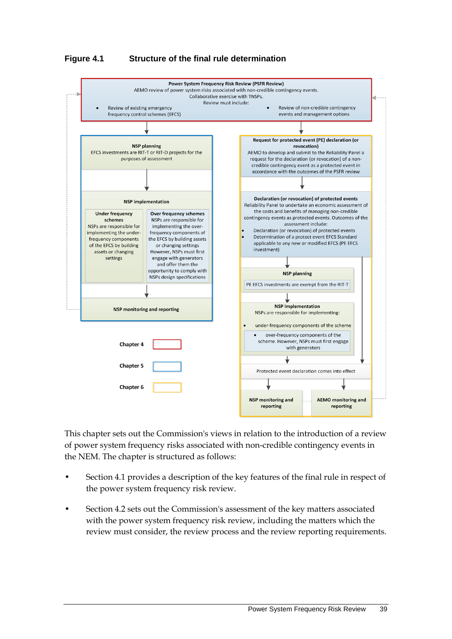#### **Figure 4.1 Structure of the final rule determination**



This chapter sets out the Commission's views in relation to the introduction of a review of power system frequency risks associated with non-credible contingency events in the NEM. The chapter is structured as follows:

- Section 4.1 provides a description of the key features of the final rule in respect of the power system frequency risk review.
- Section 4.2 sets out the Commission's assessment of the key matters associated with the power system frequency risk review, including the matters which the review must consider, the review process and the review reporting requirements.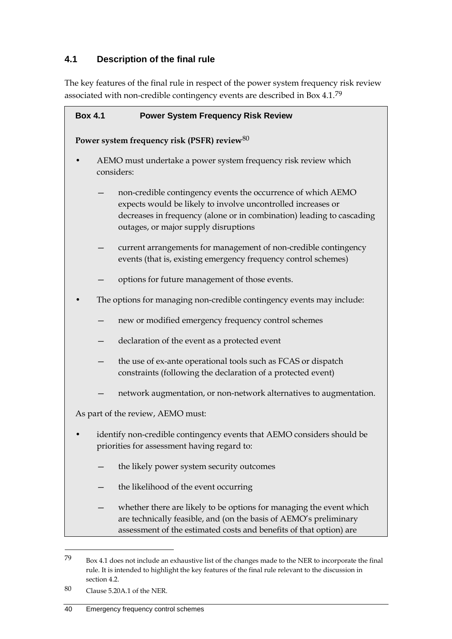## **4.1 Description of the final rule**

The key features of the final rule in respect of the power system frequency risk review associated with non-credible contingency events are described in Box 4.1.[79](#page-49-0)

| <b>Box 4.1</b>                                                                                                        | <b>Power System Frequency Risk Review</b>                                                                                                                                                                                                     |  |
|-----------------------------------------------------------------------------------------------------------------------|-----------------------------------------------------------------------------------------------------------------------------------------------------------------------------------------------------------------------------------------------|--|
| Power system frequency risk (PSFR) review <sup>80</sup>                                                               |                                                                                                                                                                                                                                               |  |
| AEMO must undertake a power system frequency risk review which<br>considers:                                          |                                                                                                                                                                                                                                               |  |
|                                                                                                                       | non-credible contingency events the occurrence of which AEMO<br>expects would be likely to involve uncontrolled increases or<br>decreases in frequency (alone or in combination) leading to cascading<br>outages, or major supply disruptions |  |
|                                                                                                                       | current arrangements for management of non-credible contingency<br>events (that is, existing emergency frequency control schemes)                                                                                                             |  |
|                                                                                                                       | options for future management of those events.                                                                                                                                                                                                |  |
| The options for managing non-credible contingency events may include:                                                 |                                                                                                                                                                                                                                               |  |
|                                                                                                                       | new or modified emergency frequency control schemes                                                                                                                                                                                           |  |
|                                                                                                                       | declaration of the event as a protected event                                                                                                                                                                                                 |  |
|                                                                                                                       | the use of ex-ante operational tools such as FCAS or dispatch<br>constraints (following the declaration of a protected event)                                                                                                                 |  |
|                                                                                                                       | network augmentation, or non-network alternatives to augmentation.                                                                                                                                                                            |  |
| As part of the review, AEMO must:                                                                                     |                                                                                                                                                                                                                                               |  |
| identify non-credible contingency events that AEMO considers should be<br>priorities for assessment having regard to: |                                                                                                                                                                                                                                               |  |
|                                                                                                                       | the likely power system security outcomes                                                                                                                                                                                                     |  |
|                                                                                                                       | the likelihood of the event occurring                                                                                                                                                                                                         |  |
|                                                                                                                       | whether there are likely to be options for managing the event which<br>are technically feasible, and (on the basis of AEMO's preliminary<br>assessment of the estimated costs and benefits of that option) are                                |  |

<span id="page-49-0"></span><sup>79</sup> Box 4.1 does not include an exhaustive list of the changes made to the NER to incorporate the final rule. It is intended to highlight the key features of the final rule relevant to the discussion in section 4.2.

<span id="page-49-1"></span><sup>80</sup> Clause 5.20A.1 of the NER.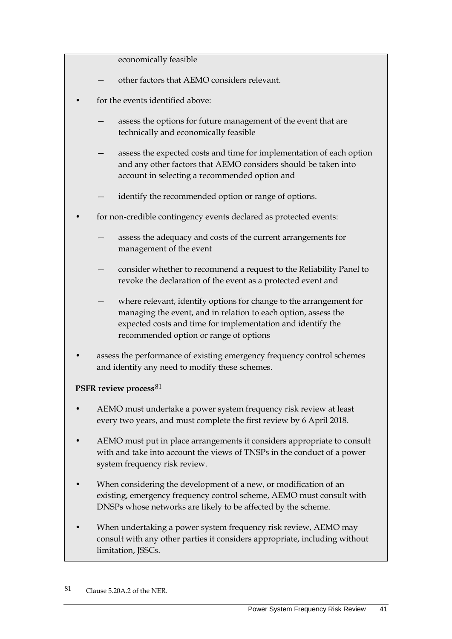economically feasible

- other factors that AEMO considers relevant.
- for the events identified above:
	- assess the options for future management of the event that are technically and economically feasible
	- assess the expected costs and time for implementation of each option and any other factors that AEMO considers should be taken into account in selecting a recommended option and
	- identify the recommended option or range of options.
- for non-credible contingency events declared as protected events:
	- assess the adequacy and costs of the current arrangements for management of the event
	- consider whether to recommend a request to the Reliability Panel to revoke the declaration of the event as a protected event and
	- where relevant, identify options for change to the arrangement for managing the event, and in relation to each option, assess the expected costs and time for implementation and identify the recommended option or range of options
- assess the performance of existing emergency frequency control schemes and identify any need to modify these schemes.

#### **PSFR review process**[81](#page-50-0)

- AEMO must undertake a power system frequency risk review at least every two years, and must complete the first review by 6 April 2018.
- AEMO must put in place arrangements it considers appropriate to consult with and take into account the views of TNSPs in the conduct of a power system frequency risk review.
- When considering the development of a new, or modification of an existing, emergency frequency control scheme, AEMO must consult with DNSPs whose networks are likely to be affected by the scheme.
- When undertaking a power system frequency risk review, AEMO may consult with any other parties it considers appropriate, including without limitation, JSSCs.

<span id="page-50-0"></span><sup>81</sup> Clause 5.20A.2 of the NER.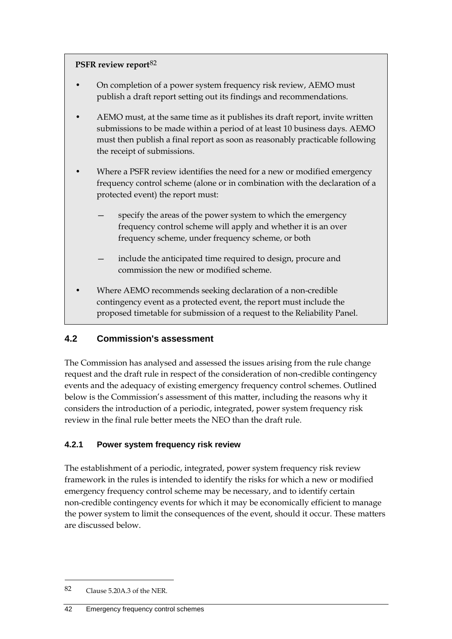#### **PSFR review report**[82](#page-51-0)

- On completion of a power system frequency risk review, AEMO must publish a draft report setting out its findings and recommendations.
- AEMO must, at the same time as it publishes its draft report, invite written submissions to be made within a period of at least 10 business days. AEMO must then publish a final report as soon as reasonably practicable following the receipt of submissions.
- Where a PSFR review identifies the need for a new or modified emergency frequency control scheme (alone or in combination with the declaration of a protected event) the report must:
	- specify the areas of the power system to which the emergency frequency control scheme will apply and whether it is an over frequency scheme, under frequency scheme, or both
	- include the anticipated time required to design, procure and commission the new or modified scheme.
- Where AEMO recommends seeking declaration of a non-credible contingency event as a protected event, the report must include the proposed timetable for submission of a request to the Reliability Panel.

### **4.2 Commission's assessment**

The Commission has analysed and assessed the issues arising from the rule change request and the draft rule in respect of the consideration of non-credible contingency events and the adequacy of existing emergency frequency control schemes. Outlined below is the Commission's assessment of this matter, including the reasons why it considers the introduction of a periodic, integrated, power system frequency risk review in the final rule better meets the NEO than the draft rule.

### **4.2.1 Power system frequency risk review**

The establishment of a periodic, integrated, power system frequency risk review framework in the rules is intended to identify the risks for which a new or modified emergency frequency control scheme may be necessary, and to identify certain non-credible contingency events for which it may be economically efficient to manage the power system to limit the consequences of the event, should it occur. These matters are discussed below.

<span id="page-51-0"></span><sup>82</sup> Clause 5.20A.3 of the NER.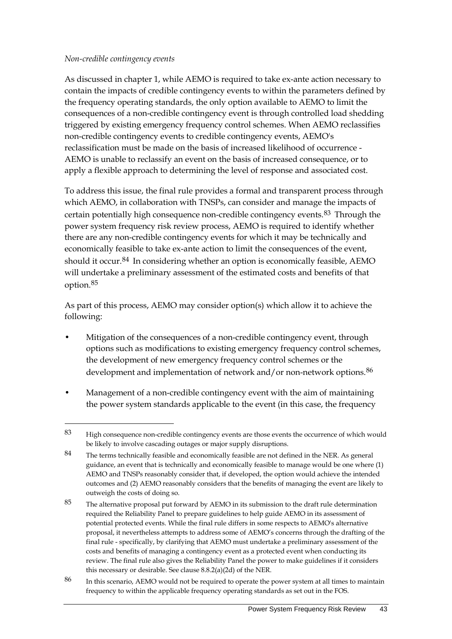#### *Non-credible contingency events*

-

As discussed in chapter 1, while AEMO is required to take ex-ante action necessary to contain the impacts of credible contingency events to within the parameters defined by the frequency operating standards, the only option available to AEMO to limit the consequences of a non-credible contingency event is through controlled load shedding triggered by existing emergency frequency control schemes. When AEMO reclassifies non-credible contingency events to credible contingency events, AEMO's reclassification must be made on the basis of increased likelihood of occurrence - AEMO is unable to reclassify an event on the basis of increased consequence, or to apply a flexible approach to determining the level of response and associated cost.

To address this issue, the final rule provides a formal and transparent process through which AEMO, in collaboration with TNSPs, can consider and manage the impacts of certain potentially high consequence non-credible contingency events.[83](#page-52-0) Through the power system frequency risk review process, AEMO is required to identify whether there are any non-credible contingency events for which it may be technically and economically feasible to take ex-ante action to limit the consequences of the event, should it occur.<sup>[84](#page-52-1)</sup> In considering whether an option is economically feasible, AEMO will undertake a preliminary assessment of the estimated costs and benefits of that option.[85](#page-52-2)

As part of this process, AEMO may consider option(s) which allow it to achieve the following:

- Mitigation of the consequences of a non-credible contingency event, through options such as modifications to existing emergency frequency control schemes, the development of new emergency frequency control schemes or the development and implementation of network and/or non-network options.<sup>[86](#page-52-3)</sup>
- Management of a non-credible contingency event with the aim of maintaining the power system standards applicable to the event (in this case, the frequency

<span id="page-52-0"></span><sup>83</sup> High consequence non-credible contingency events are those events the occurrence of which would be likely to involve cascading outages or major supply disruptions.

<span id="page-52-1"></span><sup>84</sup> The terms technically feasible and economically feasible are not defined in the NER. As general guidance, an event that is technically and economically feasible to manage would be one where (1) AEMO and TNSPs reasonably consider that, if developed, the option would achieve the intended outcomes and (2) AEMO reasonably considers that the benefits of managing the event are likely to outweigh the costs of doing so.

<span id="page-52-2"></span><sup>85</sup> The alternative proposal put forward by AEMO in its submission to the draft rule determination required the Reliability Panel to prepare guidelines to help guide AEMO in its assessment of potential protected events. While the final rule differs in some respects to AEMO's alternative proposal, it nevertheless attempts to address some of AEMO's concerns through the drafting of the final rule - specifically, by clarifying that AEMO must undertake a preliminary assessment of the costs and benefits of managing a contingency event as a protected event when conducting its review. The final rule also gives the Reliability Panel the power to make guidelines if it considers this necessary or desirable. See clause 8.8.2(a)(2d) of the NER.

<span id="page-52-3"></span><sup>86</sup> In this scenario, AEMO would not be required to operate the power system at all times to maintain frequency to within the applicable frequency operating standards as set out in the FOS.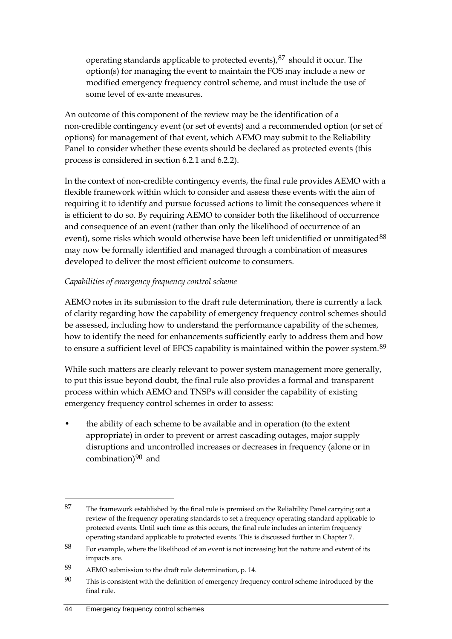operating standards applicable to protected events), $87$  should it occur. The option(s) for managing the event to maintain the FOS may include a new or modified emergency frequency control scheme, and must include the use of some level of ex-ante measures.

An outcome of this component of the review may be the identification of a non-credible contingency event (or set of events) and a recommended option (or set of options) for management of that event, which AEMO may submit to the Reliability Panel to consider whether these events should be declared as protected events (this process is considered in section 6.2.1 and 6.2.2).

In the context of non-credible contingency events, the final rule provides AEMO with a flexible framework within which to consider and assess these events with the aim of requiring it to identify and pursue focussed actions to limit the consequences where it is efficient to do so. By requiring AEMO to consider both the likelihood of occurrence and consequence of an event (rather than only the likelihood of occurrence of an event), some risks which would otherwise have been left unidentified or unmitigated<sup>[88](#page-53-1)</sup> may now be formally identified and managed through a combination of measures developed to deliver the most efficient outcome to consumers.

### *Capabilities of emergency frequency control scheme*

AEMO notes in its submission to the draft rule determination, there is currently a lack of clarity regarding how the capability of emergency frequency control schemes should be assessed, including how to understand the performance capability of the schemes, how to identify the need for enhancements sufficiently early to address them and how to ensure a sufficient level of EFCS capability is maintained within the power system.<sup>[89](#page-53-2)</sup>

While such matters are clearly relevant to power system management more generally, to put this issue beyond doubt, the final rule also provides a formal and transparent process within which AEMO and TNSPs will consider the capability of existing emergency frequency control schemes in order to assess:

• the ability of each scheme to be available and in operation (to the extent appropriate) in order to prevent or arrest cascading outages, major supply disruptions and uncontrolled increases or decreases in frequency (alone or in combination) $90$  and

<span id="page-53-0"></span><sup>87</sup> The framework established by the final rule is premised on the Reliability Panel carrying out a review of the frequency operating standards to set a frequency operating standard applicable to protected events. Until such time as this occurs, the final rule includes an interim frequency operating standard applicable to protected events. This is discussed further in Chapter 7.

<span id="page-53-1"></span><sup>88</sup> For example, where the likelihood of an event is not increasing but the nature and extent of its impacts are.

<span id="page-53-2"></span><sup>89</sup> AEMO submission to the draft rule determination, p. 14.

<span id="page-53-3"></span><sup>90</sup> This is consistent with the definition of emergency frequency control scheme introduced by the final rule.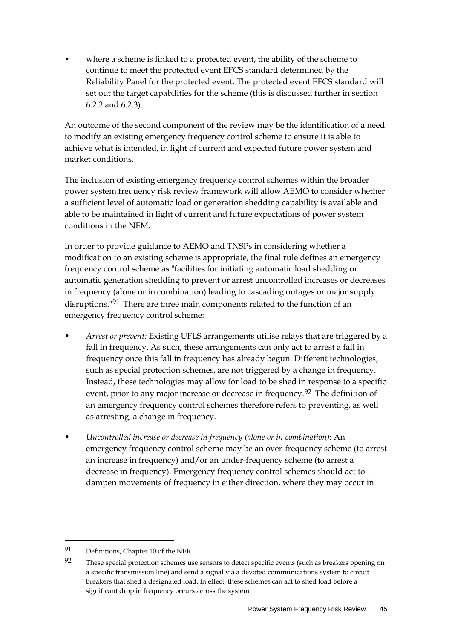where a scheme is linked to a protected event, the ability of the scheme to continue to meet the protected event EFCS standard determined by the Reliability Panel for the protected event. The protected event EFCS standard will set out the target capabilities for the scheme (this is discussed further in section 6.2.2 and 6.2.3).

An outcome of the second component of the review may be the identification of a need to modify an existing emergency frequency control scheme to ensure it is able to achieve what is intended, in light of current and expected future power system and market conditions.

The inclusion of existing emergency frequency control schemes within the broader power system frequency risk review framework will allow AEMO to consider whether a sufficient level of automatic load or generation shedding capability is available and able to be maintained in light of current and future expectations of power system conditions in the NEM.

In order to provide guidance to AEMO and TNSPs in considering whether a modification to an existing scheme is appropriate, the final rule defines an emergency frequency control scheme as "facilities for initiating automatic load shedding or automatic generation shedding to prevent or arrest uncontrolled increases or decreases in frequency (alone or in combination) leading to cascading outages or major supply disruptions.<sup>"[91](#page-54-0)</sup> There are three main components related to the function of an emergency frequency control scheme:

- *Arrest or prevent:* Existing UFLS arrangements utilise relays that are triggered by a fall in frequency. As such, these arrangements can only act to arrest a fall in frequency once this fall in frequency has already begun. Different technologies, such as special protection schemes, are not triggered by a change in frequency. Instead, these technologies may allow for load to be shed in response to a specific event, prior to any major increase or decrease in frequency.<sup>[92](#page-54-1)</sup> The definition of an emergency frequency control schemes therefore refers to preventing, as well as arresting, a change in frequency.
- *Uncontrolled increase or decrease in frequency (alone or in combination)*: An emergency frequency control scheme may be an over-frequency scheme (to arrest an increase in frequency) and/or an under-frequency scheme (to arrest a decrease in frequency). Emergency frequency control schemes should act to dampen movements of frequency in either direction, where they may occur in

<span id="page-54-0"></span><sup>91</sup> Definitions, Chapter 10 of the NER.

<span id="page-54-1"></span><sup>92</sup> These special protection schemes use sensors to detect specific events (such as breakers opening on a specific transmission line) and send a signal via a devoted communications system to circuit breakers that shed a designated load. In effect, these schemes can act to shed load before a significant drop in frequency occurs across the system.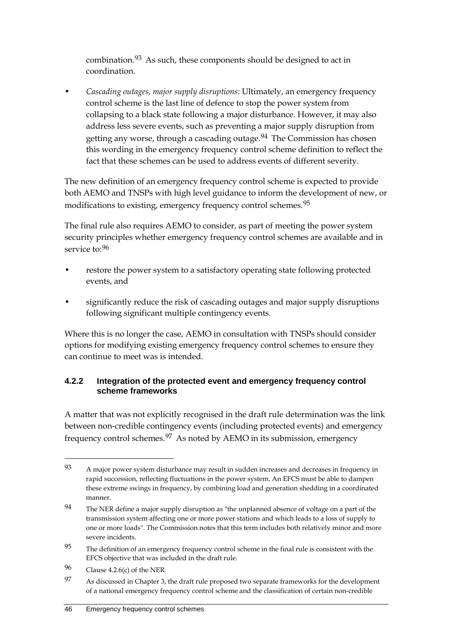combination.[93](#page-55-0) As such, these components should be designed to act in coordination.

• *Cascading outages, major supply disruptions*: Ultimately, an emergency frequency control scheme is the last line of defence to stop the power system from collapsing to a black state following a major disturbance. However, it may also address less severe events, such as preventing a major supply disruption from getting any worse, through a cascading outage.<sup>[94](#page-55-1)</sup> The Commission has chosen this wording in the emergency frequency control scheme definition to reflect the fact that these schemes can be used to address events of different severity.

The new definition of an emergency frequency control scheme is expected to provide both AEMO and TNSPs with high level guidance to inform the development of new, or modifications to existing, emergency frequency control schemes.<sup>[95](#page-55-2)</sup>

The final rule also requires AEMO to consider, as part of meeting the power system security principles whether emergency frequency control schemes are available and in service to:<sup>[96](#page-55-3)</sup>

- restore the power system to a satisfactory operating state following protected events, and
- significantly reduce the risk of cascading outages and major supply disruptions following significant multiple contingency events.

Where this is no longer the case, AEMO in consultation with TNSPs should consider options for modifying existing emergency frequency control schemes to ensure they can continue to meet was is intended.

### **4.2.2 Integration of the protected event and emergency frequency control scheme frameworks**

A matter that was not explicitly recognised in the draft rule determination was the link between non-credible contingency events (including protected events) and emergency frequency control schemes.[97](#page-55-4) As noted by AEMO in its submission, emergency

<span id="page-55-0"></span><sup>93</sup> A major power system disturbance may result in sudden increases and decreases in frequency in rapid succession, reflecting fluctuations in the power system. An EFCS must be able to dampen these extreme swings in frequency, by combining load and generation shedding in a coordinated manner.

<span id="page-55-1"></span><sup>&</sup>lt;sup>94</sup> The NER define a major supply disruption as "the unplanned absence of voltage on a part of the transmission system affecting one or more power stations and which leads to a loss of supply to one or more loads". The Commission notes that this term includes both relatively minor and more severe incidents.

<span id="page-55-2"></span><sup>&</sup>lt;sup>95</sup> The definition of an emergency frequency control scheme in the final rule is consistent with the EFCS objective that was included in the draft rule.

<span id="page-55-3"></span><sup>96</sup> Clause 4.2.6(c) of the NER.

<span id="page-55-4"></span><sup>97</sup> As discussed in Chapter 3, the draft rule proposed two separate frameworks for the development of a national emergency frequency control scheme and the classification of certain non-credible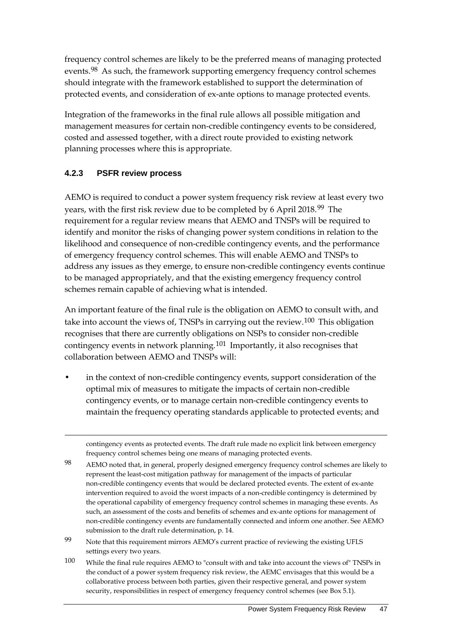frequency control schemes are likely to be the preferred means of managing protected events.[98](#page-56-0) As such, the framework supporting emergency frequency control schemes should integrate with the framework established to support the determination of protected events, and consideration of ex-ante options to manage protected events.

Integration of the frameworks in the final rule allows all possible mitigation and management measures for certain non-credible contingency events to be considered, costed and assessed together, with a direct route provided to existing network planning processes where this is appropriate.

### **4.2.3 PSFR review process**

-

AEMO is required to conduct a power system frequency risk review at least every two years, with the first risk review due to be completed by 6 April 2018.<sup>[99](#page-56-1)</sup> The requirement for a regular review means that AEMO and TNSPs will be required to identify and monitor the risks of changing power system conditions in relation to the likelihood and consequence of non-credible contingency events, and the performance of emergency frequency control schemes. This will enable AEMO and TNSPs to address any issues as they emerge, to ensure non-credible contingency events continue to be managed appropriately, and that the existing emergency frequency control schemes remain capable of achieving what is intended.

An important feature of the final rule is the obligation on AEMO to consult with, and take into account the views of, TNSPs in carrying out the review.<sup>[100](#page-56-2)</sup> This obligation recognises that there are currently obligations on NSPs to consider non-credible contingency events in network planning.[101](#page-56-3) Importantly, it also recognises that collaboration between AEMO and TNSPs will:

in the context of non-credible contingency events, support consideration of the optimal mix of measures to mitigate the impacts of certain non-credible contingency events, or to manage certain non-credible contingency events to maintain the frequency operating standards applicable to protected events; and

contingency events as protected events. The draft rule made no explicit link between emergency frequency control schemes being one means of managing protected events.

<span id="page-56-0"></span>98 AEMO noted that, in general, properly designed emergency frequency control schemes are likely to represent the least-cost mitigation pathway for management of the impacts of particular non-credible contingency events that would be declared protected events. The extent of ex-ante intervention required to avoid the worst impacts of a non-credible contingency is determined by the operational capability of emergency frequency control schemes in managing these events. As such, an assessment of the costs and benefits of schemes and ex-ante options for management of non-credible contingency events are fundamentally connected and inform one another. See AEMO submission to the draft rule determination, p. 14.

- <span id="page-56-1"></span>99 Note that this requirement mirrors AEMO's current practice of reviewing the existing UFLS settings every two years.
- <span id="page-56-3"></span><span id="page-56-2"></span>100 While the final rule requires AEMO to "consult with and take into account the views of" TNSPs in the conduct of a power system frequency risk review, the AEMC envisages that this would be a collaborative process between both parties, given their respective general, and power system security, responsibilities in respect of emergency frequency control schemes (see Box 5.1).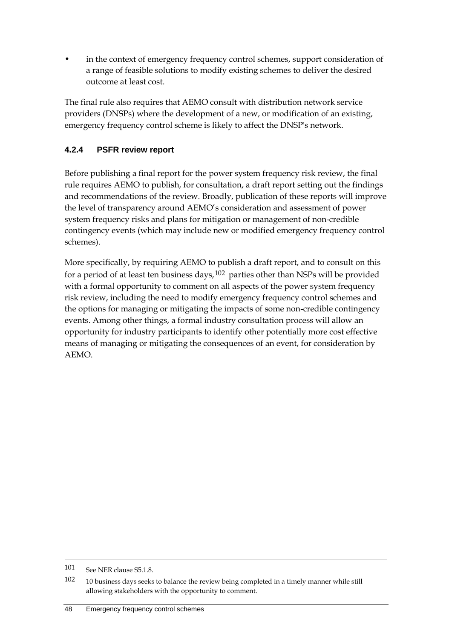in the context of emergency frequency control schemes, support consideration of a range of feasible solutions to modify existing schemes to deliver the desired outcome at least cost.

The final rule also requires that AEMO consult with distribution network service providers (DNSPs) where the development of a new, or modification of an existing, emergency frequency control scheme is likely to affect the DNSP's network.

### **4.2.4 PSFR review report**

Before publishing a final report for the power system frequency risk review, the final rule requires AEMO to publish, for consultation, a draft report setting out the findings and recommendations of the review. Broadly, publication of these reports will improve the level of transparency around AEMO's consideration and assessment of power system frequency risks and plans for mitigation or management of non-credible contingency events (which may include new or modified emergency frequency control schemes).

More specifically, by requiring AEMO to publish a draft report, and to consult on this for a period of at least ten business days,  $102$  parties other than NSPs will be provided with a formal opportunity to comment on all aspects of the power system frequency risk review, including the need to modify emergency frequency control schemes and the options for managing or mitigating the impacts of some non-credible contingency events. Among other things, a formal industry consultation process will allow an opportunity for industry participants to identify other potentially more cost effective means of managing or mitigating the consequences of an event, for consideration by AEMO.

<sup>101</sup> See NER clause S5.1.8.

<span id="page-57-0"></span><sup>102 10</sup> business days seeks to balance the review being completed in a timely manner while still allowing stakeholders with the opportunity to comment.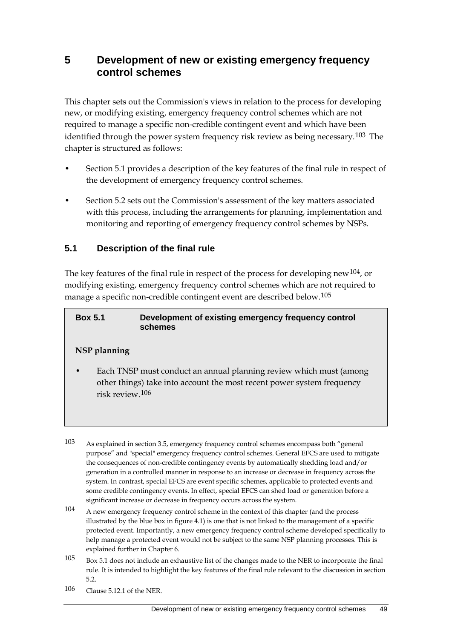# **5 Development of new or existing emergency frequency control schemes**

This chapter sets out the Commission's views in relation to the process for developing new, or modifying existing, emergency frequency control schemes which are not required to manage a specific non-credible contingent event and which have been identified through the power system frequency risk review as being necessary.<sup>[103](#page-58-0)</sup> The chapter is structured as follows:

- Section 5.1 provides a description of the key features of the final rule in respect of the development of emergency frequency control schemes.
- Section 5.2 sets out the Commission's assessment of the key matters associated with this process, including the arrangements for planning, implementation and monitoring and reporting of emergency frequency control schemes by NSPs.

### **5.1 Description of the final rule**

The key features of the final rule in respect of the process for developing new<sup>[104](#page-58-1)</sup>, or modifying existing, emergency frequency control schemes which are not required to manage a specific non-credible contingent event are described below.[105](#page-58-2)

| <b>Box 5.1</b> | Development of existing emergency frequency control |
|----------------|-----------------------------------------------------|
|                | schemes                                             |

#### **NSP planning**

-

• Each TNSP must conduct an annual planning review which must (among other things) take into account the most recent power system frequency risk review.[106](#page-58-3)

<span id="page-58-3"></span>106 Clause 5.12.1 of the NER.

<span id="page-58-0"></span><sup>103</sup> As explained in section 3.5, emergency frequency control schemes encompass both "general purpose" and "special" emergency frequency control schemes. General EFCS are used to mitigate the consequences of non-credible contingency events by automatically shedding load and/or generation in a controlled manner in response to an increase or decrease in frequency across the system. In contrast, special EFCS are event specific schemes, applicable to protected events and some credible contingency events. In effect, special EFCS can shed load or generation before a significant increase or decrease in frequency occurs across the system.

<span id="page-58-1"></span><sup>104</sup> A new emergency frequency control scheme in the context of this chapter (and the process illustrated by the blue box in figure 4.1) is one that is not linked to the management of a specific protected event. Importantly, a new emergency frequency control scheme developed specifically to help manage a protected event would not be subject to the same NSP planning processes. This is explained further in Chapter 6.

<span id="page-58-2"></span><sup>105</sup> Box 5.1 does not include an exhaustive list of the changes made to the NER to incorporate the final rule. It is intended to highlight the key features of the final rule relevant to the discussion in section 5.2.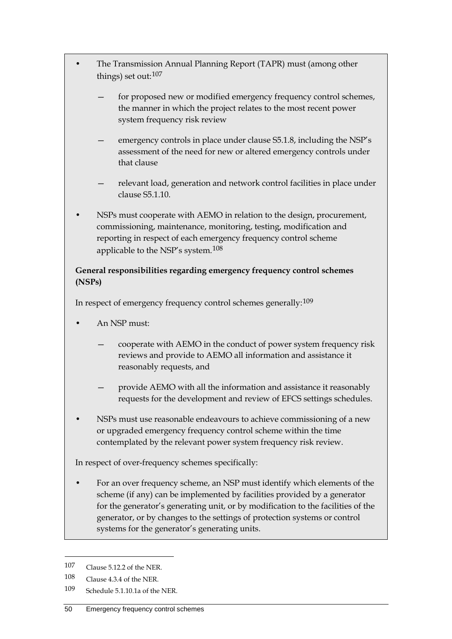- The Transmission Annual Planning Report (TAPR) must (among other things) set out:[107](#page-59-0)
	- for proposed new or modified emergency frequency control schemes, the manner in which the project relates to the most recent power system frequency risk review
	- emergency controls in place under clause S5.1.8, including the NSP's assessment of the need for new or altered emergency controls under that clause
	- relevant load, generation and network control facilities in place under clause S5.1.10.
- NSPs must cooperate with AEMO in relation to the design, procurement, commissioning, maintenance, monitoring, testing, modification and reporting in respect of each emergency frequency control scheme applicable to the NSP's system.[108](#page-59-1)

### **General responsibilities regarding emergency frequency control schemes (NSPs)**

In respect of emergency frequency control schemes generally:[109](#page-59-2)

- An NSP must:
	- cooperate with AEMO in the conduct of power system frequency risk reviews and provide to AEMO all information and assistance it reasonably requests, and
	- provide AEMO with all the information and assistance it reasonably requests for the development and review of EFCS settings schedules.
- NSPs must use reasonable endeavours to achieve commissioning of a new or upgraded emergency frequency control scheme within the time contemplated by the relevant power system frequency risk review.

In respect of over-frequency schemes specifically:

• For an over frequency scheme, an NSP must identify which elements of the scheme (if any) can be implemented by facilities provided by a generator for the generator's generating unit, or by modification to the facilities of the generator, or by changes to the settings of protection systems or control systems for the generator's generating units.

<span id="page-59-0"></span><sup>107</sup> Clause 5.12.2 of the NER.

<span id="page-59-1"></span><sup>108</sup> Clause 4.3.4 of the NER.

<span id="page-59-2"></span><sup>109</sup> Schedule 5.1.10.1a of the NER.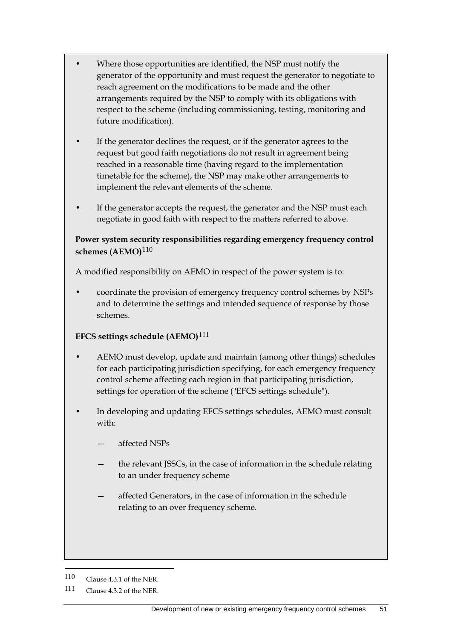- Where those opportunities are identified, the NSP must notify the generator of the opportunity and must request the generator to negotiate to reach agreement on the modifications to be made and the other arrangements required by the NSP to comply with its obligations with respect to the scheme (including commissioning, testing, monitoring and future modification).
- If the generator declines the request, or if the generator agrees to the request but good faith negotiations do not result in agreement being reached in a reasonable time (having regard to the implementation timetable for the scheme), the NSP may make other arrangements to implement the relevant elements of the scheme.
- If the generator accepts the request, the generator and the NSP must each negotiate in good faith with respect to the matters referred to above.

### **Power system security responsibilities regarding emergency frequency control schemes (AEMO)**[110](#page-60-0)

A modified responsibility on AEMO in respect of the power system is to:

• coordinate the provision of emergency frequency control schemes by NSPs and to determine the settings and intended sequence of response by those schemes.

### **EFCS settings schedule (AEMO)**[111](#page-60-1)

- AEMO must develop, update and maintain (among other things) schedules for each participating jurisdiction specifying, for each emergency frequency control scheme affecting each region in that participating jurisdiction, settings for operation of the scheme ("EFCS settings schedule").
- In developing and updating EFCS settings schedules, AEMO must consult with:
	- affected NSPs
	- the relevant JSSCs, in the case of information in the schedule relating to an under frequency scheme
	- affected Generators, in the case of information in the schedule relating to an over frequency scheme.

<span id="page-60-0"></span><sup>110</sup> Clause 4.3.1 of the NER.

<span id="page-60-1"></span><sup>111</sup> Clause 4.3.2 of the NER.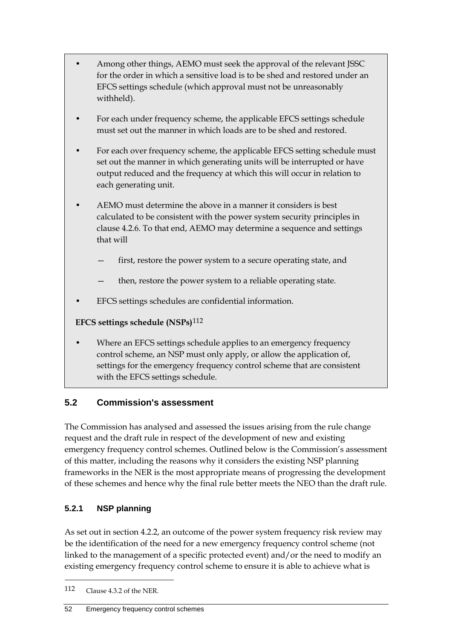- Among other things, AEMO must seek the approval of the relevant JSSC for the order in which a sensitive load is to be shed and restored under an EFCS settings schedule (which approval must not be unreasonably withheld).
- For each under frequency scheme, the applicable EFCS settings schedule must set out the manner in which loads are to be shed and restored.
- For each over frequency scheme, the applicable EFCS setting schedule must set out the manner in which generating units will be interrupted or have output reduced and the frequency at which this will occur in relation to each generating unit.
- AEMO must determine the above in a manner it considers is best calculated to be consistent with the power system security principles in clause 4.2.6. To that end, AEMO may determine a sequence and settings that will
	- first, restore the power system to a secure operating state, and
	- then, restore the power system to a reliable operating state.
- EFCS settings schedules are confidential information.

**EFCS settings schedule (NSPs)**[112](#page-61-0)

• Where an EFCS settings schedule applies to an emergency frequency control scheme, an NSP must only apply, or allow the application of, settings for the emergency frequency control scheme that are consistent with the EFCS settings schedule.

# **5.2 Commission's assessment**

The Commission has analysed and assessed the issues arising from the rule change request and the draft rule in respect of the development of new and existing emergency frequency control schemes. Outlined below is the Commission's assessment of this matter, including the reasons why it considers the existing NSP planning frameworks in the NER is the most appropriate means of progressing the development of these schemes and hence why the final rule better meets the NEO than the draft rule.

# **5.2.1 NSP planning**

As set out in section 4.2.2, an outcome of the power system frequency risk review may be the identification of the need for a new emergency frequency control scheme (not linked to the management of a specific protected event) and/or the need to modify an existing emergency frequency control scheme to ensure it is able to achieve what is

<span id="page-61-0"></span><sup>112</sup> Clause 4.3.2 of the NER.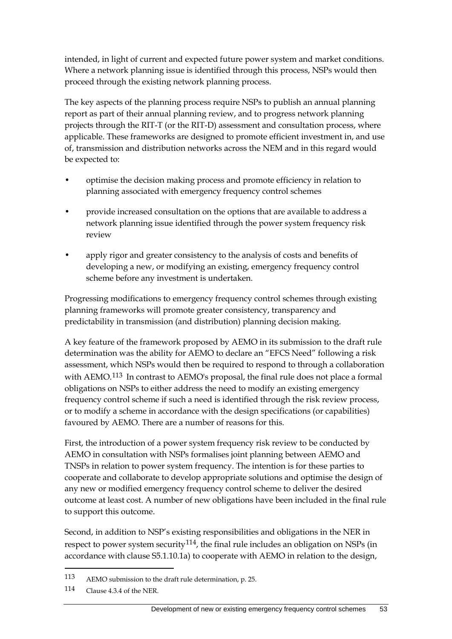intended, in light of current and expected future power system and market conditions. Where a network planning issue is identified through this process, NSPs would then proceed through the existing network planning process.

The key aspects of the planning process require NSPs to publish an annual planning report as part of their annual planning review, and to progress network planning projects through the RIT-T (or the RIT-D) assessment and consultation process, where applicable. These frameworks are designed to promote efficient investment in, and use of, transmission and distribution networks across the NEM and in this regard would be expected to:

- optimise the decision making process and promote efficiency in relation to planning associated with emergency frequency control schemes
- provide increased consultation on the options that are available to address a network planning issue identified through the power system frequency risk review
- apply rigor and greater consistency to the analysis of costs and benefits of developing a new, or modifying an existing, emergency frequency control scheme before any investment is undertaken.

Progressing modifications to emergency frequency control schemes through existing planning frameworks will promote greater consistency, transparency and predictability in transmission (and distribution) planning decision making.

A key feature of the framework proposed by AEMO in its submission to the draft rule determination was the ability for AEMO to declare an "EFCS Need" following a risk assessment, which NSPs would then be required to respond to through a collaboration with AEMO.[113](#page-62-0) In contrast to AEMO's proposal, the final rule does not place a formal obligations on NSPs to either address the need to modify an existing emergency frequency control scheme if such a need is identified through the risk review process, or to modify a scheme in accordance with the design specifications (or capabilities) favoured by AEMO. There are a number of reasons for this.

First, the introduction of a power system frequency risk review to be conducted by AEMO in consultation with NSPs formalises joint planning between AEMO and TNSPs in relation to power system frequency. The intention is for these parties to cooperate and collaborate to develop appropriate solutions and optimise the design of any new or modified emergency frequency control scheme to deliver the desired outcome at least cost. A number of new obligations have been included in the final rule to support this outcome.

Second, in addition to NSP's existing responsibilities and obligations in the NER in respect to power system security<sup>114</sup>, the final rule includes an obligation on NSPs (in accordance with clause S5.1.10.1a) to cooperate with AEMO in relation to the design,

<span id="page-62-0"></span><sup>113</sup> AEMO submission to the draft rule determination, p. 25.

<span id="page-62-1"></span><sup>114</sup> Clause 4.3.4 of the NER.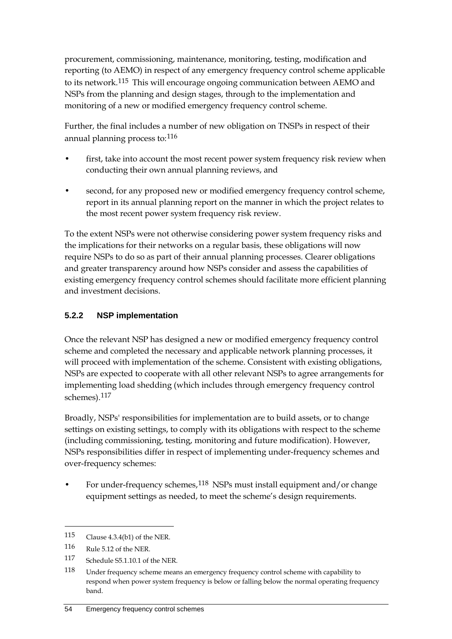procurement, commissioning, maintenance, monitoring, testing, modification and reporting (to AEMO) in respect of any emergency frequency control scheme applicable to its network.<sup>[115](#page-63-0)</sup> This will encourage ongoing communication between AEMO and NSPs from the planning and design stages, through to the implementation and monitoring of a new or modified emergency frequency control scheme.

Further, the final includes a number of new obligation on TNSPs in respect of their annual planning process to:[116](#page-63-1)

- first, take into account the most recent power system frequency risk review when conducting their own annual planning reviews, and
- second, for any proposed new or modified emergency frequency control scheme, report in its annual planning report on the manner in which the project relates to the most recent power system frequency risk review.

To the extent NSPs were not otherwise considering power system frequency risks and the implications for their networks on a regular basis, these obligations will now require NSPs to do so as part of their annual planning processes. Clearer obligations and greater transparency around how NSPs consider and assess the capabilities of existing emergency frequency control schemes should facilitate more efficient planning and investment decisions.

### **5.2.2 NSP implementation**

Once the relevant NSP has designed a new or modified emergency frequency control scheme and completed the necessary and applicable network planning processes, it will proceed with implementation of the scheme. Consistent with existing obligations, NSPs are expected to cooperate with all other relevant NSPs to agree arrangements for implementing load shedding (which includes through emergency frequency control schemes).[117](#page-63-2)

Broadly, NSPs' responsibilities for implementation are to build assets, or to change settings on existing settings, to comply with its obligations with respect to the scheme (including commissioning, testing, monitoring and future modification). However, NSPs responsibilities differ in respect of implementing under-frequency schemes and over-frequency schemes:

For under-frequency schemes,  $118$  NSPs must install equipment and/or change equipment settings as needed, to meet the scheme's design requirements.

<span id="page-63-0"></span><sup>115</sup> Clause 4.3.4(b1) of the NER.

<span id="page-63-1"></span><sup>116</sup> Rule 5.12 of the NER.

<span id="page-63-2"></span><sup>117</sup> Schedule S5.1.10.1 of the NER.

<span id="page-63-3"></span><sup>118</sup> Under frequency scheme means an emergency frequency control scheme with capability to respond when power system frequency is below or falling below the normal operating frequency band.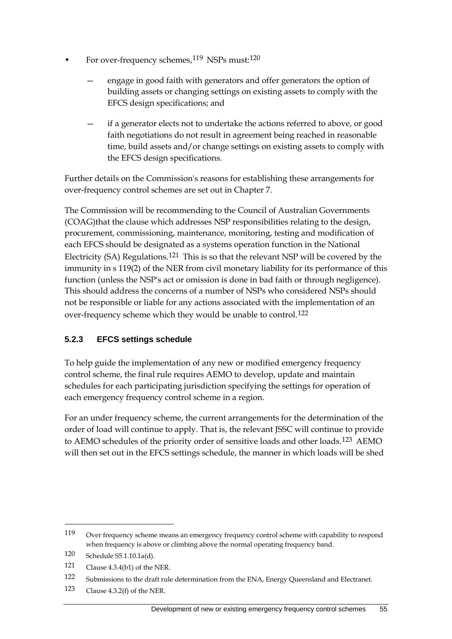- For over-frequency schemes,<sup>[119](#page-64-0)</sup> NSPs must:<sup>[120](#page-64-1)</sup>
	- engage in good faith with generators and offer generators the option of building assets or changing settings on existing assets to comply with the EFCS design specifications; and
	- if a generator elects not to undertake the actions referred to above, or good faith negotiations do not result in agreement being reached in reasonable time, build assets and/or change settings on existing assets to comply with the EFCS design specifications.

Further details on the Commission's reasons for establishing these arrangements for over-frequency control schemes are set out in Chapter 7.

The Commission will be recommending to the Council of Australian Governments (COAG)that the clause which addresses NSP responsibilities relating to the design, procurement, commissioning, maintenance, monitoring, testing and modification of each EFCS should be designated as a systems operation function in the National Electricity (SA) Regulations.[121](#page-64-2) This is so that the relevant NSP will be covered by the immunity in s 119(2) of the NER from civil monetary liability for its performance of this function (unless the NSP's act or omission is done in bad faith or through negligence). This should address the concerns of a number of NSPs who considered NSPs should not be responsible or liable for any actions associated with the implementation of an over-frequency scheme which they would be unable to control.[122](#page-64-3)

### **5.2.3 EFCS settings schedule**

To help guide the implementation of any new or modified emergency frequency control scheme, the final rule requires AEMO to develop, update and maintain schedules for each participating jurisdiction specifying the settings for operation of each emergency frequency control scheme in a region.

For an under frequency scheme, the current arrangements for the determination of the order of load will continue to apply. That is, the relevant JSSC will continue to provide to AEMO schedules of the priority order of sensitive loads and other loads.[123](#page-64-4) AEMO will then set out in the EFCS settings schedule, the manner in which loads will be shed

<span id="page-64-0"></span><sup>119</sup> Over frequency scheme means an emergency frequency control scheme with capability to respond when frequency is above or climbing above the normal operating frequency band.

<span id="page-64-1"></span><sup>120</sup> Schedule S5.1.10.1a(d).

<span id="page-64-2"></span><sup>121</sup> Clause 4.3.4(b1) of the NER.

<span id="page-64-3"></span><sup>122</sup> Submissions to the draft rule determination from the ENA, Energy Queensland and Electranet.

<span id="page-64-4"></span><sup>123</sup> Clause 4.3.2(f) of the NER.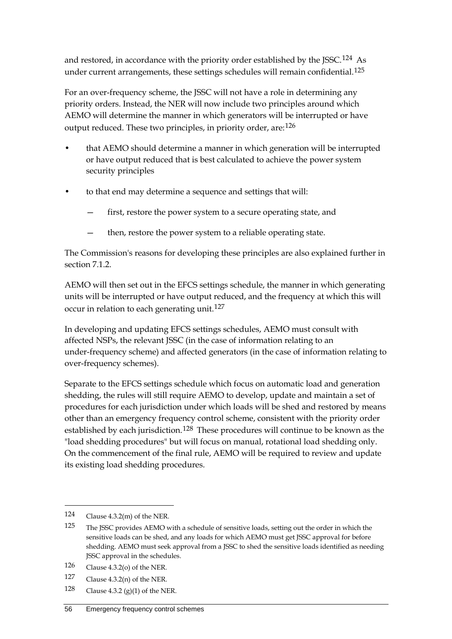and restored, in accordance with the priority order established by the JSSC.[124](#page-65-0) As under current arrangements, these settings schedules will remain confidential.<sup>[125](#page-65-1)</sup>

For an over-frequency scheme, the JSSC will not have a role in determining any priority orders. Instead, the NER will now include two principles around which AEMO will determine the manner in which generators will be interrupted or have output reduced. These two principles, in priority order, are:[126](#page-65-2)

- that AEMO should determine a manner in which generation will be interrupted or have output reduced that is best calculated to achieve the power system security principles
- to that end may determine a sequence and settings that will:
	- first, restore the power system to a secure operating state, and
	- then, restore the power system to a reliable operating state.

The Commission's reasons for developing these principles are also explained further in section 7.1.2.

AEMO will then set out in the EFCS settings schedule, the manner in which generating units will be interrupted or have output reduced, and the frequency at which this will occur in relation to each generating unit.<sup>[127](#page-65-3)</sup>

In developing and updating EFCS settings schedules, AEMO must consult with affected NSPs, the relevant JSSC (in the case of information relating to an under-frequency scheme) and affected generators (in the case of information relating to over-frequency schemes).

Separate to the EFCS settings schedule which focus on automatic load and generation shedding, the rules will still require AEMO to develop, update and maintain a set of procedures for each jurisdiction under which loads will be shed and restored by means other than an emergency frequency control scheme, consistent with the priority order established by each jurisdiction.<sup>[128](#page-65-4)</sup> These procedures will continue to be known as the "load shedding procedures" but will focus on manual, rotational load shedding only. On the commencement of the final rule, AEMO will be required to review and update its existing load shedding procedures.

- <span id="page-65-3"></span>127 Clause 4.3.2(n) of the NER.
- <span id="page-65-4"></span>128 Clause 4.3.2 (g)(1) of the NER.

<span id="page-65-0"></span><sup>124</sup> Clause 4.3.2(m) of the NER.

<span id="page-65-1"></span><sup>125</sup> The JSSC provides AEMO with a schedule of sensitive loads, setting out the order in which the sensitive loads can be shed, and any loads for which AEMO must get JSSC approval for before shedding. AEMO must seek approval from a JSSC to shed the sensitive loads identified as needing JSSC approval in the schedules.

<span id="page-65-2"></span><sup>126</sup> Clause 4.3.2(o) of the NER.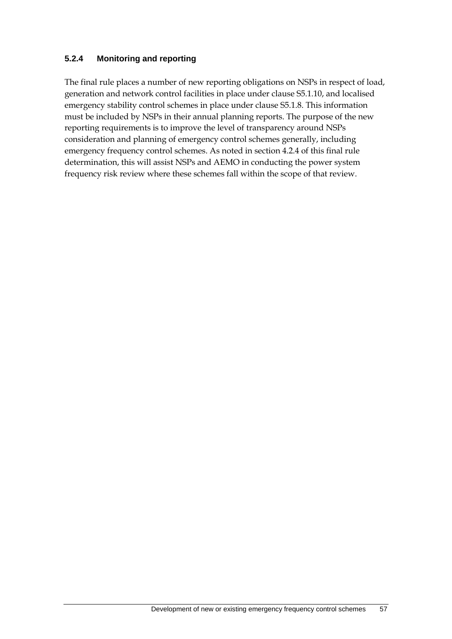#### **5.2.4 Monitoring and reporting**

The final rule places a number of new reporting obligations on NSPs in respect of load, generation and network control facilities in place under clause S5.1.10, and localised emergency stability control schemes in place under clause S5.1.8. This information must be included by NSPs in their annual planning reports. The purpose of the new reporting requirements is to improve the level of transparency around NSPs consideration and planning of emergency control schemes generally, including emergency frequency control schemes. As noted in section 4.2.4 of this final rule determination, this will assist NSPs and AEMO in conducting the power system frequency risk review where these schemes fall within the scope of that review.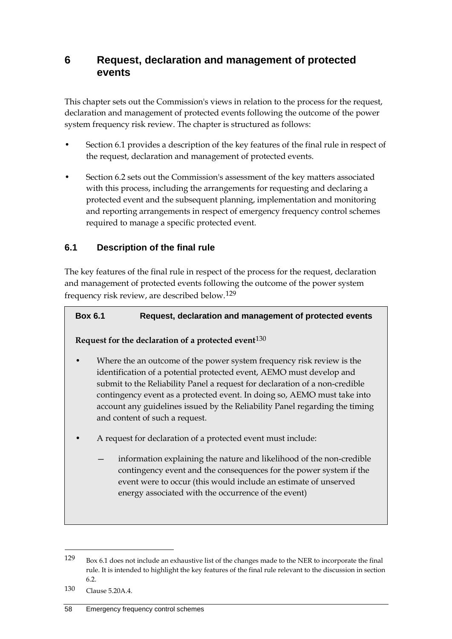# **6 Request, declaration and management of protected events**

This chapter sets out the Commission's views in relation to the process for the request, declaration and management of protected events following the outcome of the power system frequency risk review. The chapter is structured as follows:

- Section 6.1 provides a description of the key features of the final rule in respect of the request, declaration and management of protected events.
- Section 6.2 sets out the Commission's assessment of the key matters associated with this process, including the arrangements for requesting and declaring a protected event and the subsequent planning, implementation and monitoring and reporting arrangements in respect of emergency frequency control schemes required to manage a specific protected event.

### **6.1 Description of the final rule**

The key features of the final rule in respect of the process for the request, declaration and management of protected events following the outcome of the power system frequency risk review, are described below.[129](#page-67-0)

#### **Box 6.1 Request, declaration and management of protected events**

#### **Request for the declaration of a protected event**[130](#page-67-1)

- Where the an outcome of the power system frequency risk review is the identification of a potential protected event, AEMO must develop and submit to the Reliability Panel a request for declaration of a non-credible contingency event as a protected event. In doing so, AEMO must take into account any guidelines issued by the Reliability Panel regarding the timing and content of such a request.
- A request for declaration of a protected event must include:
	- information explaining the nature and likelihood of the non-credible contingency event and the consequences for the power system if the event were to occur (this would include an estimate of unserved energy associated with the occurrence of the event)

<span id="page-67-0"></span><sup>129</sup> Box 6.1 does not include an exhaustive list of the changes made to the NER to incorporate the final rule. It is intended to highlight the key features of the final rule relevant to the discussion in section 6.2.

<span id="page-67-1"></span><sup>130</sup> Clause 5.20A.4.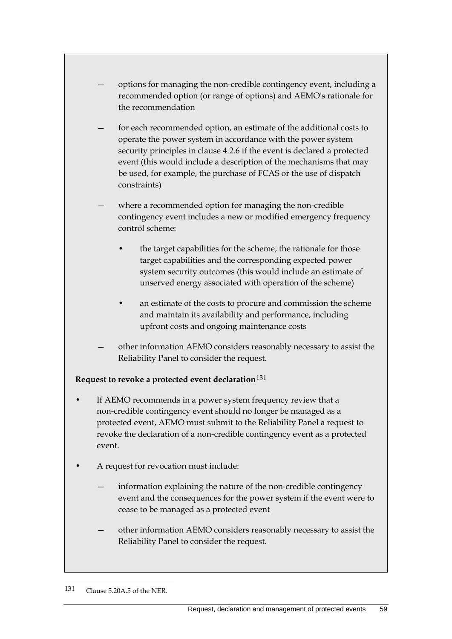- options for managing the non-credible contingency event, including a recommended option (or range of options) and AEMO's rationale for the recommendation
- for each recommended option, an estimate of the additional costs to operate the power system in accordance with the power system security principles in clause 4.2.6 if the event is declared a protected event (this would include a description of the mechanisms that may be used, for example, the purchase of FCAS or the use of dispatch constraints)
- where a recommended option for managing the non-credible contingency event includes a new or modified emergency frequency control scheme:
	- the target capabilities for the scheme, the rationale for those target capabilities and the corresponding expected power system security outcomes (this would include an estimate of unserved energy associated with operation of the scheme)
	- an estimate of the costs to procure and commission the scheme and maintain its availability and performance, including upfront costs and ongoing maintenance costs
- other information AEMO considers reasonably necessary to assist the Reliability Panel to consider the request.

#### **Request to revoke a protected event declaration**[131](#page-68-0)

- If AEMO recommends in a power system frequency review that a non-credible contingency event should no longer be managed as a protected event, AEMO must submit to the Reliability Panel a request to revoke the declaration of a non-credible contingency event as a protected event.
- A request for revocation must include:
	- information explaining the nature of the non-credible contingency event and the consequences for the power system if the event were to cease to be managed as a protected event
	- other information AEMO considers reasonably necessary to assist the Reliability Panel to consider the request.

<span id="page-68-0"></span><sup>131</sup> Clause 5.20A.5 of the NER.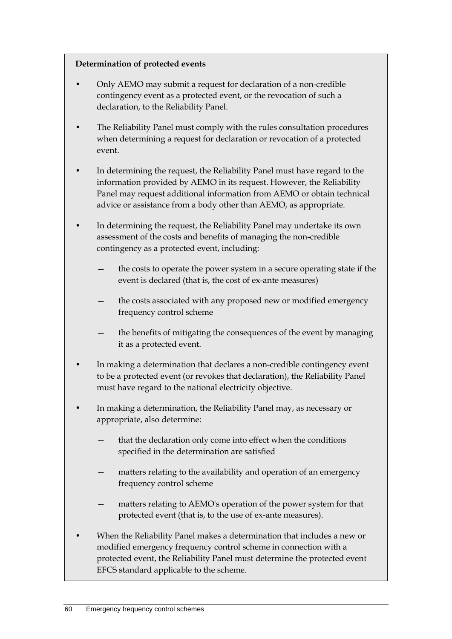#### **Determination of protected events**

- Only AEMO may submit a request for declaration of a non-credible contingency event as a protected event, or the revocation of such a declaration, to the Reliability Panel.
- The Reliability Panel must comply with the rules consultation procedures when determining a request for declaration or revocation of a protected event.
- In determining the request, the Reliability Panel must have regard to the information provided by AEMO in its request. However, the Reliability Panel may request additional information from AEMO or obtain technical advice or assistance from a body other than AEMO, as appropriate.
- In determining the request, the Reliability Panel may undertake its own assessment of the costs and benefits of managing the non-credible contingency as a protected event, including:
	- the costs to operate the power system in a secure operating state if the event is declared (that is, the cost of ex-ante measures)
	- the costs associated with any proposed new or modified emergency frequency control scheme
	- the benefits of mitigating the consequences of the event by managing it as a protected event.
- In making a determination that declares a non-credible contingency event to be a protected event (or revokes that declaration), the Reliability Panel must have regard to the national electricity objective.
- In making a determination, the Reliability Panel may, as necessary or appropriate, also determine:
	- that the declaration only come into effect when the conditions specified in the determination are satisfied
	- matters relating to the availability and operation of an emergency frequency control scheme
	- matters relating to AEMO's operation of the power system for that protected event (that is, to the use of ex-ante measures).
- When the Reliability Panel makes a determination that includes a new or modified emergency frequency control scheme in connection with a protected event, the Reliability Panel must determine the protected event EFCS standard applicable to the scheme.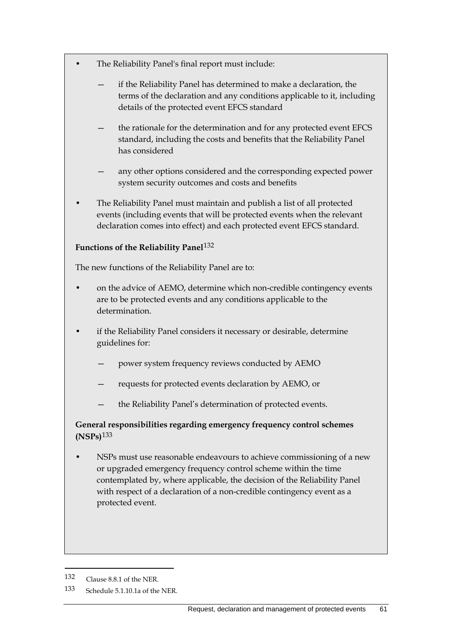- The Reliability Panel's final report must include:
	- if the Reliability Panel has determined to make a declaration, the terms of the declaration and any conditions applicable to it, including details of the protected event EFCS standard
	- the rationale for the determination and for any protected event EFCS standard, including the costs and benefits that the Reliability Panel has considered
	- any other options considered and the corresponding expected power system security outcomes and costs and benefits
- The Reliability Panel must maintain and publish a list of all protected events (including events that will be protected events when the relevant declaration comes into effect) and each protected event EFCS standard.

### **Functions of the Reliability Panel**[132](#page-70-0)

The new functions of the Reliability Panel are to:

- on the advice of AEMO, determine which non-credible contingency events are to be protected events and any conditions applicable to the determination.
- if the Reliability Panel considers it necessary or desirable, determine guidelines for:
	- power system frequency reviews conducted by AEMO
	- requests for protected events declaration by AEMO, or
	- the Reliability Panel's determination of protected events.

**General responsibilities regarding emergency frequency control schemes (NSPs)**[133](#page-70-1)

• NSPs must use reasonable endeavours to achieve commissioning of a new or upgraded emergency frequency control scheme within the time contemplated by, where applicable, the decision of the Reliability Panel with respect of a declaration of a non-credible contingency event as a protected event.

<span id="page-70-0"></span><sup>132</sup> Clause 8.8.1 of the NER.

<span id="page-70-1"></span><sup>133</sup> Schedule 5.1.10.1a of the NER.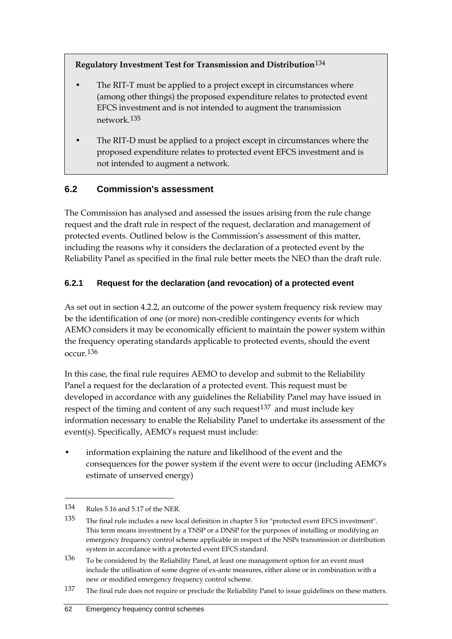**Regulatory Investment Test for Transmission and Distribution**[134](#page-71-0)

- The RIT-T must be applied to a project except in circumstances where (among other things) the proposed expenditure relates to protected event EFCS investment and is not intended to augment the transmission network.[135](#page-71-1)
- The RIT-D must be applied to a project except in circumstances where the proposed expenditure relates to protected event EFCS investment and is not intended to augment a network.

## **6.2 Commission's assessment**

The Commission has analysed and assessed the issues arising from the rule change request and the draft rule in respect of the request, declaration and management of protected events. Outlined below is the Commission's assessment of this matter, including the reasons why it considers the declaration of a protected event by the Reliability Panel as specified in the final rule better meets the NEO than the draft rule.

### **6.2.1 Request for the declaration (and revocation) of a protected event**

As set out in section 4.2.2, an outcome of the power system frequency risk review may be the identification of one (or more) non-credible contingency events for which AEMO considers it may be economically efficient to maintain the power system within the frequency operating standards applicable to protected events, should the event occur.[136](#page-71-2)

In this case, the final rule requires AEMO to develop and submit to the Reliability Panel a request for the declaration of a protected event. This request must be developed in accordance with any guidelines the Reliability Panel may have issued in respect of the timing and content of any such request  $137$  and must include key information necessary to enable the Reliability Panel to undertake its assessment of the event(s). Specifically, AEMO's request must include:

• information explaining the nature and likelihood of the event and the consequences for the power system if the event were to occur (including AEMO's estimate of unserved energy)

<span id="page-71-0"></span><sup>134</sup> Rules 5.16 and 5.17 of the NER.

<span id="page-71-1"></span><sup>135</sup> The final rule includes a new local definition in chapter 5 for "protected event EFCS investment". This term means investment by a TNSP or a DNSP for the purposes of installing or modifying an emergency frequency control scheme applicable in respect of the NSPs transmission or distribution system in accordance with a protected event EFCS standard.

<span id="page-71-2"></span><sup>136</sup> To be considered by the Reliability Panel, at least one management option for an event must include the utilisation of some degree of ex-ante measures, either alone or in combination with a new or modified emergency frequency control scheme.

<span id="page-71-3"></span><sup>137</sup> The final rule does not require or preclude the Reliability Panel to issue guidelines on these matters.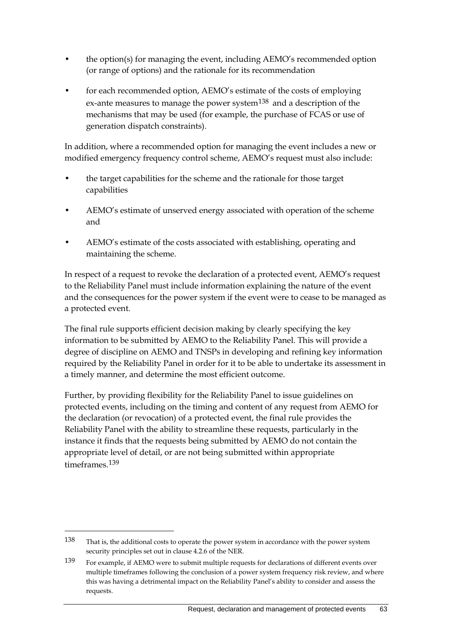- the option(s) for managing the event, including AEMO's recommended option (or range of options) and the rationale for its recommendation
- for each recommended option, AEMO's estimate of the costs of employing ex-ante measures to manage the power system<sup>[138](#page-72-0)</sup> and a description of the mechanisms that may be used (for example, the purchase of FCAS or use of generation dispatch constraints).

In addition, where a recommended option for managing the event includes a new or modified emergency frequency control scheme, AEMO's request must also include:

- the target capabilities for the scheme and the rationale for those target capabilities
- AEMO's estimate of unserved energy associated with operation of the scheme and
- AEMO's estimate of the costs associated with establishing, operating and maintaining the scheme.

In respect of a request to revoke the declaration of a protected event, AEMO's request to the Reliability Panel must include information explaining the nature of the event and the consequences for the power system if the event were to cease to be managed as a protected event.

The final rule supports efficient decision making by clearly specifying the key information to be submitted by AEMO to the Reliability Panel. This will provide a degree of discipline on AEMO and TNSPs in developing and refining key information required by the Reliability Panel in order for it to be able to undertake its assessment in a timely manner, and determine the most efficient outcome.

Further, by providing flexibility for the Reliability Panel to issue guidelines on protected events, including on the timing and content of any request from AEMO for the declaration (or revocation) of a protected event, the final rule provides the Reliability Panel with the ability to streamline these requests, particularly in the instance it finds that the requests being submitted by AEMO do not contain the appropriate level of detail, or are not being submitted within appropriate timeframes<sup>[139](#page-72-1)</sup>

<span id="page-72-0"></span><sup>138</sup> That is, the additional costs to operate the power system in accordance with the power system security principles set out in clause 4.2.6 of the NER.

<span id="page-72-1"></span><sup>139</sup> For example, if AEMO were to submit multiple requests for declarations of different events over multiple timeframes following the conclusion of a power system frequency risk review, and where this was having a detrimental impact on the Reliability Panel's ability to consider and assess the requests.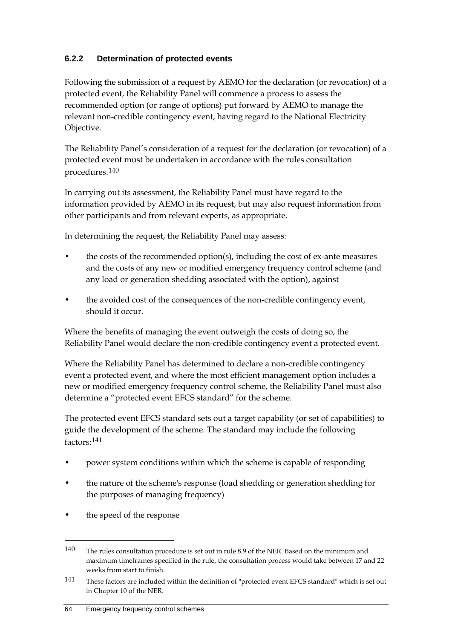### **6.2.2 Determination of protected events**

Following the submission of a request by AEMO for the declaration (or revocation) of a protected event, the Reliability Panel will commence a process to assess the recommended option (or range of options) put forward by AEMO to manage the relevant non-credible contingency event, having regard to the National Electricity Objective.

The Reliability Panel's consideration of a request for the declaration (or revocation) of a protected event must be undertaken in accordance with the rules consultation procedures.[140](#page-73-0)

In carrying out its assessment, the Reliability Panel must have regard to the information provided by AEMO in its request, but may also request information from other participants and from relevant experts, as appropriate.

In determining the request, the Reliability Panel may assess:

- the costs of the recommended option(s), including the cost of ex-ante measures and the costs of any new or modified emergency frequency control scheme (and any load or generation shedding associated with the option), against
- the avoided cost of the consequences of the non-credible contingency event, should it occur.

Where the benefits of managing the event outweigh the costs of doing so, the Reliability Panel would declare the non-credible contingency event a protected event.

Where the Reliability Panel has determined to declare a non-credible contingency event a protected event, and where the most efficient management option includes a new or modified emergency frequency control scheme, the Reliability Panel must also determine a "protected event EFCS standard" for the scheme.

The protected event EFCS standard sets out a target capability (or set of capabilities) to guide the development of the scheme. The standard may include the following factors:[141](#page-73-1)

- power system conditions within which the scheme is capable of responding
- the nature of the scheme's response (load shedding or generation shedding for the purposes of managing frequency)
- the speed of the response

<span id="page-73-0"></span><sup>140</sup> The rules consultation procedure is set out in rule 8.9 of the NER. Based on the minimum and maximum timeframes specified in the rule, the consultation process would take between 17 and 22 weeks from start to finish.

<span id="page-73-1"></span><sup>141</sup> These factors are included within the definition of "protected event EFCS standard" which is set out in Chapter 10 of the NER.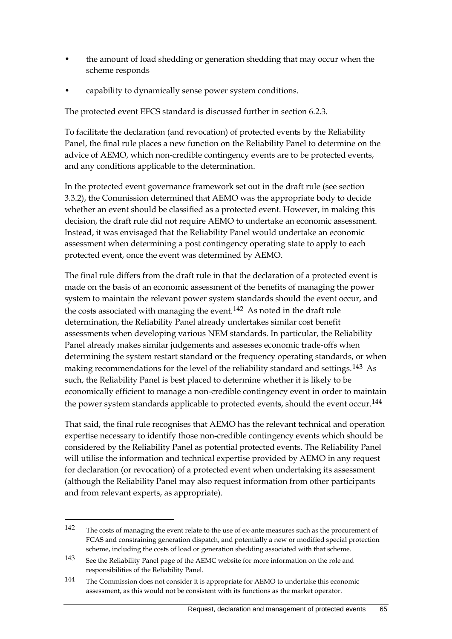- the amount of load shedding or generation shedding that may occur when the scheme responds
- capability to dynamically sense power system conditions.

The protected event EFCS standard is discussed further in section 6.2.3.

To facilitate the declaration (and revocation) of protected events by the Reliability Panel, the final rule places a new function on the Reliability Panel to determine on the advice of AEMO, which non-credible contingency events are to be protected events, and any conditions applicable to the determination.

In the protected event governance framework set out in the draft rule (see section 3.3.2), the Commission determined that AEMO was the appropriate body to decide whether an event should be classified as a protected event. However, in making this decision, the draft rule did not require AEMO to undertake an economic assessment. Instead, it was envisaged that the Reliability Panel would undertake an economic assessment when determining a post contingency operating state to apply to each protected event, once the event was determined by AEMO.

The final rule differs from the draft rule in that the declaration of a protected event is made on the basis of an economic assessment of the benefits of managing the power system to maintain the relevant power system standards should the event occur, and the costs associated with managing the event.<sup>[142](#page-74-0)</sup> As noted in the draft rule determination, the Reliability Panel already undertakes similar cost benefit assessments when developing various NEM standards. In particular, the Reliability Panel already makes similar judgements and assesses economic trade-offs when determining the system restart standard or the frequency operating standards, or when making recommendations for the level of the reliability standard and settings.[143](#page-74-1) As such, the Reliability Panel is best placed to determine whether it is likely to be economically efficient to manage a non-credible contingency event in order to maintain the power system standards applicable to protected events, should the event occur.<sup>[144](#page-74-2)</sup>

That said, the final rule recognises that AEMO has the relevant technical and operation expertise necessary to identify those non-credible contingency events which should be considered by the Reliability Panel as potential protected events. The Reliability Panel will utilise the information and technical expertise provided by AEMO in any request for declaration (or revocation) of a protected event when undertaking its assessment (although the Reliability Panel may also request information from other participants and from relevant experts, as appropriate).

<span id="page-74-0"></span><sup>142</sup> The costs of managing the event relate to the use of ex-ante measures such as the procurement of FCAS and constraining generation dispatch, and potentially a new or modified special protection scheme, including the costs of load or generation shedding associated with that scheme.

<span id="page-74-1"></span><sup>143</sup> See the Reliability Panel page of the AEMC website for more information on the role and responsibilities of the Reliability Panel.

<span id="page-74-2"></span><sup>144</sup> The Commission does not consider it is appropriate for AEMO to undertake this economic assessment, as this would not be consistent with its functions as the market operator.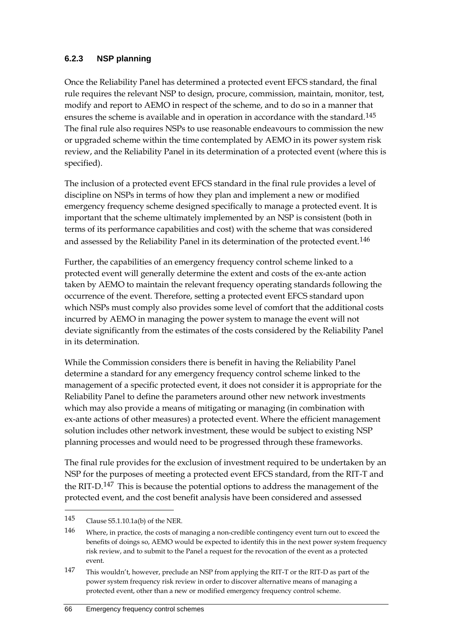#### **6.2.3 NSP planning**

Once the Reliability Panel has determined a protected event EFCS standard, the final rule requires the relevant NSP to design, procure, commission, maintain, monitor, test, modify and report to AEMO in respect of the scheme, and to do so in a manner that ensures the scheme is available and in operation in accordance with the standard.<sup>[145](#page-75-0)</sup> The final rule also requires NSPs to use reasonable endeavours to commission the new or upgraded scheme within the time contemplated by AEMO in its power system risk review, and the Reliability Panel in its determination of a protected event (where this is specified).

The inclusion of a protected event EFCS standard in the final rule provides a level of discipline on NSPs in terms of how they plan and implement a new or modified emergency frequency scheme designed specifically to manage a protected event. It is important that the scheme ultimately implemented by an NSP is consistent (both in terms of its performance capabilities and cost) with the scheme that was considered and assessed by the Reliability Panel in its determination of the protected event.<sup>[146](#page-75-1)</sup>

Further, the capabilities of an emergency frequency control scheme linked to a protected event will generally determine the extent and costs of the ex-ante action taken by AEMO to maintain the relevant frequency operating standards following the occurrence of the event. Therefore, setting a protected event EFCS standard upon which NSPs must comply also provides some level of comfort that the additional costs incurred by AEMO in managing the power system to manage the event will not deviate significantly from the estimates of the costs considered by the Reliability Panel in its determination.

While the Commission considers there is benefit in having the Reliability Panel determine a standard for any emergency frequency control scheme linked to the management of a specific protected event, it does not consider it is appropriate for the Reliability Panel to define the parameters around other new network investments which may also provide a means of mitigating or managing (in combination with ex-ante actions of other measures) a protected event. Where the efficient management solution includes other network investment, these would be subject to existing NSP planning processes and would need to be progressed through these frameworks.

The final rule provides for the exclusion of investment required to be undertaken by an NSP for the purposes of meeting a protected event EFCS standard, from the RIT-T and the RIT-D.<sup>[147](#page-75-2)</sup> This is because the potential options to address the management of the protected event, and the cost benefit analysis have been considered and assessed

<span id="page-75-0"></span><sup>145</sup> Clause S5.1.10.1a(b) of the NER.

<span id="page-75-1"></span><sup>146</sup> Where, in practice, the costs of managing a non-credible contingency event turn out to exceed the benefits of doings so, AEMO would be expected to identify this in the next power system frequency risk review, and to submit to the Panel a request for the revocation of the event as a protected event.

<span id="page-75-2"></span><sup>147</sup> This wouldn't, however, preclude an NSP from applying the RIT-T or the RIT-D as part of the power system frequency risk review in order to discover alternative means of managing a protected event, other than a new or modified emergency frequency control scheme.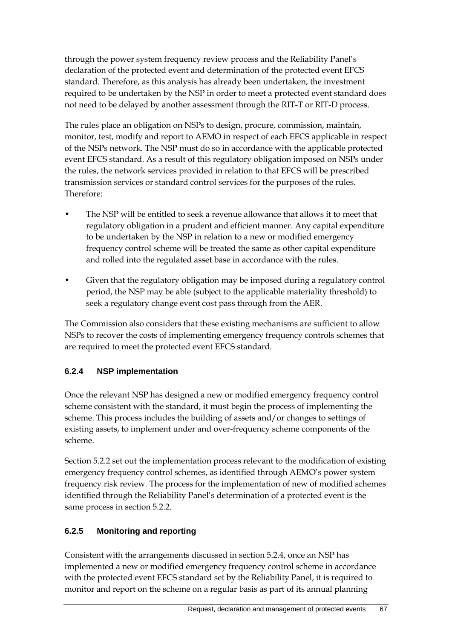through the power system frequency review process and the Reliability Panel's declaration of the protected event and determination of the protected event EFCS standard. Therefore, as this analysis has already been undertaken, the investment required to be undertaken by the NSP in order to meet a protected event standard does not need to be delayed by another assessment through the RIT-T or RIT-D process.

The rules place an obligation on NSPs to design, procure, commission, maintain, monitor, test, modify and report to AEMO in respect of each EFCS applicable in respect of the NSPs network. The NSP must do so in accordance with the applicable protected event EFCS standard. As a result of this regulatory obligation imposed on NSPs under the rules, the network services provided in relation to that EFCS will be prescribed transmission services or standard control services for the purposes of the rules. Therefore:

- The NSP will be entitled to seek a revenue allowance that allows it to meet that regulatory obligation in a prudent and efficient manner. Any capital expenditure to be undertaken by the NSP in relation to a new or modified emergency frequency control scheme will be treated the same as other capital expenditure and rolled into the regulated asset base in accordance with the rules.
- Given that the regulatory obligation may be imposed during a regulatory control period, the NSP may be able (subject to the applicable materiality threshold) to seek a regulatory change event cost pass through from the AER.

The Commission also considers that these existing mechanisms are sufficient to allow NSPs to recover the costs of implementing emergency frequency controls schemes that are required to meet the protected event EFCS standard.

### **6.2.4 NSP implementation**

Once the relevant NSP has designed a new or modified emergency frequency control scheme consistent with the standard, it must begin the process of implementing the scheme. This process includes the building of assets and/or changes to settings of existing assets, to implement under and over-frequency scheme components of the scheme.

Section 5.2.2 set out the implementation process relevant to the modification of existing emergency frequency control schemes, as identified through AEMO's power system frequency risk review. The process for the implementation of new of modified schemes identified through the Reliability Panel's determination of a protected event is the same process in section 5.2.2.

#### **6.2.5 Monitoring and reporting**

Consistent with the arrangements discussed in section 5.2.4, once an NSP has implemented a new or modified emergency frequency control scheme in accordance with the protected event EFCS standard set by the Reliability Panel, it is required to monitor and report on the scheme on a regular basis as part of its annual planning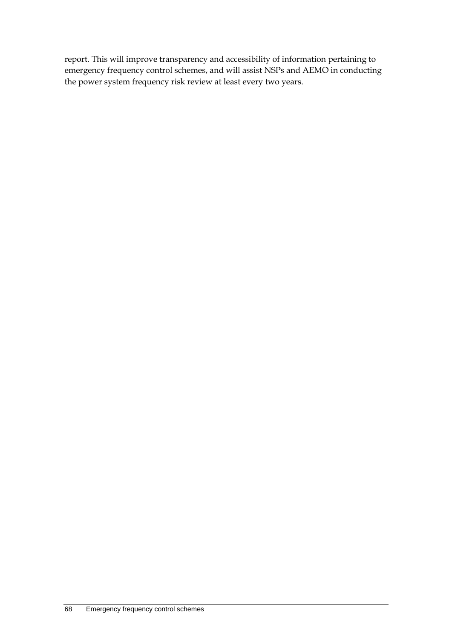report. This will improve transparency and accessibility of information pertaining to emergency frequency control schemes, and will assist NSPs and AEMO in conducting the power system frequency risk review at least every two years.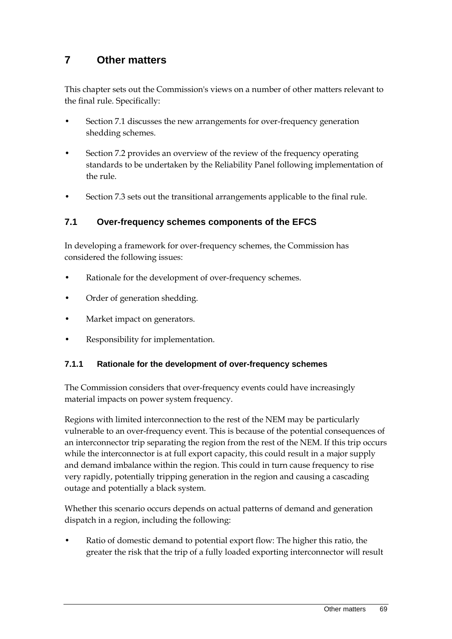# **7 Other matters**

This chapter sets out the Commission's views on a number of other matters relevant to the final rule. Specifically:

- Section 7.1 discusses the new arrangements for over-frequency generation shedding schemes.
- Section 7.2 provides an overview of the review of the frequency operating standards to be undertaken by the Reliability Panel following implementation of the rule.
- Section 7.3 sets out the transitional arrangements applicable to the final rule.

### **7.1 Over-frequency schemes components of the EFCS**

In developing a framework for over-frequency schemes, the Commission has considered the following issues:

- Rationale for the development of over-frequency schemes.
- Order of generation shedding.
- Market impact on generators.
- Responsibility for implementation.

#### **7.1.1 Rationale for the development of over-frequency schemes**

The Commission considers that over-frequency events could have increasingly material impacts on power system frequency.

Regions with limited interconnection to the rest of the NEM may be particularly vulnerable to an over-frequency event. This is because of the potential consequences of an interconnector trip separating the region from the rest of the NEM. If this trip occurs while the interconnector is at full export capacity, this could result in a major supply and demand imbalance within the region. This could in turn cause frequency to rise very rapidly, potentially tripping generation in the region and causing a cascading outage and potentially a black system.

Whether this scenario occurs depends on actual patterns of demand and generation dispatch in a region, including the following:

Ratio of domestic demand to potential export flow: The higher this ratio, the greater the risk that the trip of a fully loaded exporting interconnector will result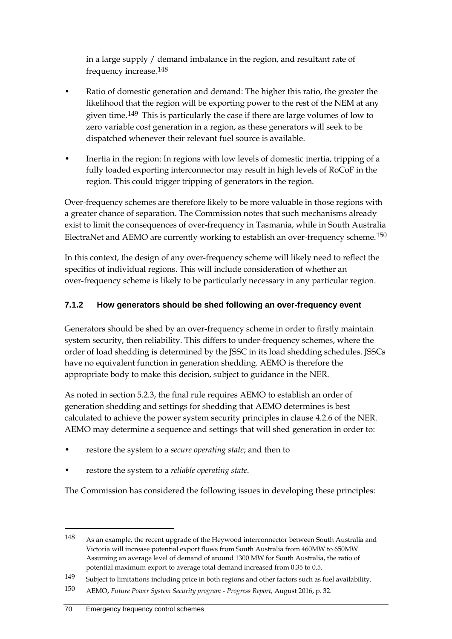in a large supply / demand imbalance in the region, and resultant rate of frequency increase.[148](#page-79-0)

- Ratio of domestic generation and demand: The higher this ratio, the greater the likelihood that the region will be exporting power to the rest of the NEM at any given time.[149](#page-79-1) This is particularly the case if there are large volumes of low to zero variable cost generation in a region, as these generators will seek to be dispatched whenever their relevant fuel source is available.
- Inertia in the region: In regions with low levels of domestic inertia, tripping of a fully loaded exporting interconnector may result in high levels of RoCoF in the region. This could trigger tripping of generators in the region.

Over-frequency schemes are therefore likely to be more valuable in those regions with a greater chance of separation. The Commission notes that such mechanisms already exist to limit the consequences of over-frequency in Tasmania, while in South Australia ElectraNet and AEMO are currently working to establish an over-frequency scheme.[150](#page-79-2)

In this context, the design of any over-frequency scheme will likely need to reflect the specifics of individual regions. This will include consideration of whether an over-frequency scheme is likely to be particularly necessary in any particular region.

### **7.1.2 How generators should be shed following an over-frequency event**

Generators should be shed by an over-frequency scheme in order to firstly maintain system security, then reliability. This differs to under-frequency schemes, where the order of load shedding is determined by the JSSC in its load shedding schedules. JSSCs have no equivalent function in generation shedding. AEMO is therefore the appropriate body to make this decision, subject to guidance in the NER.

As noted in section 5.2.3, the final rule requires AEMO to establish an order of generation shedding and settings for shedding that AEMO determines is best calculated to achieve the power system security principles in clause 4.2.6 of the NER. AEMO may determine a sequence and settings that will shed generation in order to:

- restore the system to a *secure operating state*; and then to
- restore the system to a *reliable operating state*.

The Commission has considered the following issues in developing these principles:

<span id="page-79-0"></span><sup>148</sup> As an example, the recent upgrade of the Heywood interconnector between South Australia and Victoria will increase potential export flows from South Australia from 460MW to 650MW. Assuming an average level of demand of around 1300 MW for South Australia, the ratio of potential maximum export to average total demand increased from 0.35 to 0.5.

<span id="page-79-1"></span><sup>149</sup> Subject to limitations including price in both regions and other factors such as fuel availability.

<span id="page-79-2"></span><sup>150</sup> AEMO, *Future Power System Security program - Progress Report*, August 2016, p. 32.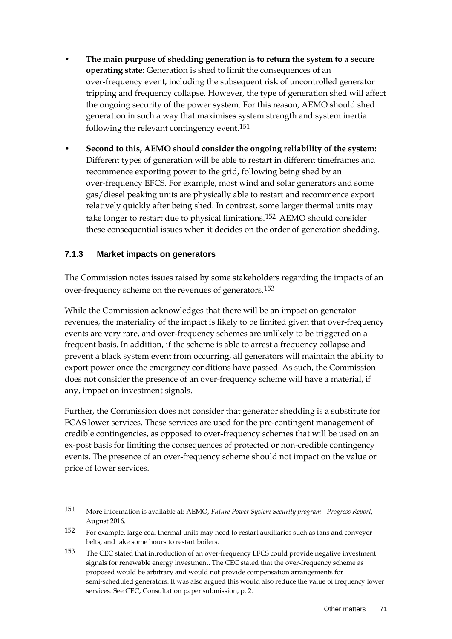- **The main purpose of shedding generation is to return the system to a secure operating state:** Generation is shed to limit the consequences of an over-frequency event, including the subsequent risk of uncontrolled generator tripping and frequency collapse. However, the type of generation shed will affect the ongoing security of the power system. For this reason, AEMO should shed generation in such a way that maximises system strength and system inertia following the relevant contingency event.[151](#page-80-0)
- **Second to this, AEMO should consider the ongoing reliability of the system:** Different types of generation will be able to restart in different timeframes and recommence exporting power to the grid, following being shed by an over-frequency EFCS. For example, most wind and solar generators and some gas/diesel peaking units are physically able to restart and recommence export relatively quickly after being shed. In contrast, some larger thermal units may take longer to restart due to physical limitations.[152](#page-80-1) AEMO should consider these consequential issues when it decides on the order of generation shedding.

#### **7.1.3 Market impacts on generators**

-

The Commission notes issues raised by some stakeholders regarding the impacts of an over-frequency scheme on the revenues of generators.[153](#page-80-2)

While the Commission acknowledges that there will be an impact on generator revenues, the materiality of the impact is likely to be limited given that over-frequency events are very rare, and over-frequency schemes are unlikely to be triggered on a frequent basis. In addition, if the scheme is able to arrest a frequency collapse and prevent a black system event from occurring, all generators will maintain the ability to export power once the emergency conditions have passed. As such, the Commission does not consider the presence of an over-frequency scheme will have a material, if any, impact on investment signals.

Further, the Commission does not consider that generator shedding is a substitute for FCAS lower services. These services are used for the pre-contingent management of credible contingencies, as opposed to over-frequency schemes that will be used on an ex-post basis for limiting the consequences of protected or non-credible contingency events. The presence of an over-frequency scheme should not impact on the value or price of lower services.

<span id="page-80-0"></span><sup>151</sup> More information is available at: AEMO, *Future Power System Security program - Progress Report*, August 2016.

<span id="page-80-1"></span><sup>152</sup> For example, large coal thermal units may need to restart auxiliaries such as fans and conveyer belts, and take some hours to restart boilers.

<span id="page-80-2"></span><sup>153</sup> The CEC stated that introduction of an over-frequency EFCS could provide negative investment signals for renewable energy investment. The CEC stated that the over-frequency scheme as proposed would be arbitrary and would not provide compensation arrangements for semi-scheduled generators. It was also argued this would also reduce the value of frequency lower services. See CEC, Consultation paper submission, p. 2.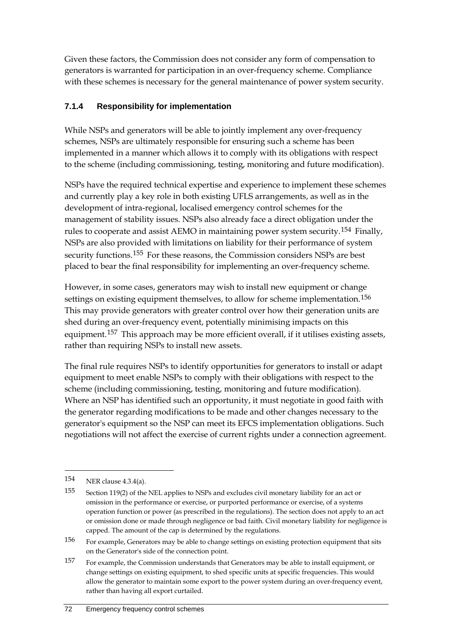Given these factors, the Commission does not consider any form of compensation to generators is warranted for participation in an over-frequency scheme. Compliance with these schemes is necessary for the general maintenance of power system security.

### **7.1.4 Responsibility for implementation**

While NSPs and generators will be able to jointly implement any over-frequency schemes, NSPs are ultimately responsible for ensuring such a scheme has been implemented in a manner which allows it to comply with its obligations with respect to the scheme (including commissioning, testing, monitoring and future modification).

NSPs have the required technical expertise and experience to implement these schemes and currently play a key role in both existing UFLS arrangements, as well as in the development of intra-regional, localised emergency control schemes for the management of stability issues. NSPs also already face a direct obligation under the rules to cooperate and assist AEMO in maintaining power system security.[154](#page-81-0) Finally, NSPs are also provided with limitations on liability for their performance of system security functions.<sup>[155](#page-81-1)</sup> For these reasons, the Commission considers NSPs are best placed to bear the final responsibility for implementing an over-frequency scheme.

However, in some cases, generators may wish to install new equipment or change settings on existing equipment themselves, to allow for scheme implementation.<sup>[156](#page-81-2)</sup> This may provide generators with greater control over how their generation units are shed during an over-frequency event, potentially minimising impacts on this equipment.<sup>[157](#page-81-3)</sup> This approach may be more efficient overall, if it utilises existing assets, rather than requiring NSPs to install new assets.

The final rule requires NSPs to identify opportunities for generators to install or adapt equipment to meet enable NSPs to comply with their obligations with respect to the scheme (including commissioning, testing, monitoring and future modification). Where an NSP has identified such an opportunity, it must negotiate in good faith with the generator regarding modifications to be made and other changes necessary to the generator's equipment so the NSP can meet its EFCS implementation obligations. Such negotiations will not affect the exercise of current rights under a connection agreement.

<span id="page-81-0"></span><sup>154</sup> NER clause 4.3.4(a).

<span id="page-81-1"></span><sup>155</sup> Section 119(2) of the NEL applies to NSPs and excludes civil monetary liability for an act or omission in the performance or exercise, or purported performance or exercise, of a systems operation function or power (as prescribed in the regulations). The section does not apply to an act or omission done or made through negligence or bad faith. Civil monetary liability for negligence is capped. The amount of the cap is determined by the regulations.

<span id="page-81-2"></span><sup>156</sup> For example, Generators may be able to change settings on existing protection equipment that sits on the Generator's side of the connection point.

<span id="page-81-3"></span><sup>157</sup> For example, the Commission understands that Generators may be able to install equipment, or change settings on existing equipment, to shed specific units at specific frequencies. This would allow the generator to maintain some export to the power system during an over-frequency event, rather than having all export curtailed.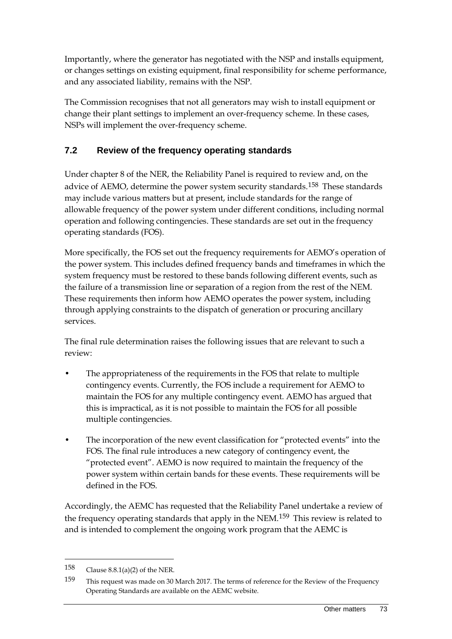Importantly, where the generator has negotiated with the NSP and installs equipment, or changes settings on existing equipment, final responsibility for scheme performance, and any associated liability, remains with the NSP.

The Commission recognises that not all generators may wish to install equipment or change their plant settings to implement an over-frequency scheme. In these cases, NSPs will implement the over-frequency scheme.

# **7.2 Review of the frequency operating standards**

Under chapter 8 of the NER, the Reliability Panel is required to review and, on the advice of AEMO, determine the power system security standards.<sup>[158](#page-82-0)</sup> These standards may include various matters but at present, include standards for the range of allowable frequency of the power system under different conditions, including normal operation and following contingencies. These standards are set out in the frequency operating standards (FOS).

More specifically, the FOS set out the frequency requirements for AEMO's operation of the power system. This includes defined frequency bands and timeframes in which the system frequency must be restored to these bands following different events, such as the failure of a transmission line or separation of a region from the rest of the NEM. These requirements then inform how AEMO operates the power system, including through applying constraints to the dispatch of generation or procuring ancillary services.

The final rule determination raises the following issues that are relevant to such a review:

- The appropriateness of the requirements in the FOS that relate to multiple contingency events. Currently, the FOS include a requirement for AEMO to maintain the FOS for any multiple contingency event. AEMO has argued that this is impractical, as it is not possible to maintain the FOS for all possible multiple contingencies.
- The incorporation of the new event classification for "protected events" into the FOS. The final rule introduces a new category of contingency event, the "protected event". AEMO is now required to maintain the frequency of the power system within certain bands for these events. These requirements will be defined in the FOS.

Accordingly, the AEMC has requested that the Reliability Panel undertake a review of the frequency operating standards that apply in the NEM.<sup>[159](#page-82-1)</sup> This review is related to and is intended to complement the ongoing work program that the AEMC is

<span id="page-82-0"></span><sup>158</sup> Clause 8.8.1(a)(2) of the NER.

<span id="page-82-1"></span><sup>159</sup> This request was made on 30 March 2017. The terms of reference for the Review of the Frequency Operating Standards are available on the AEMC website.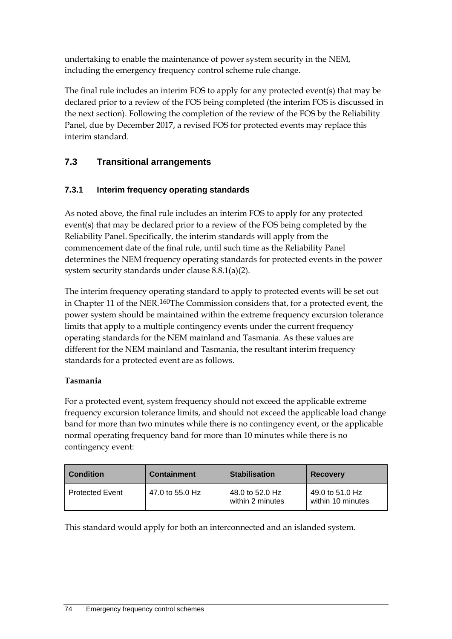undertaking to enable the maintenance of power system security in the NEM, including the emergency frequency control scheme rule change.

The final rule includes an interim FOS to apply for any protected event(s) that may be declared prior to a review of the FOS being completed (the interim FOS is discussed in the next section). Following the completion of the review of the FOS by the Reliability Panel, due by December 2017, a revised FOS for protected events may replace this interim standard.

# **7.3 Transitional arrangements**

# **7.3.1 Interim frequency operating standards**

As noted above, the final rule includes an interim FOS to apply for any protected event(s) that may be declared prior to a review of the FOS being completed by the Reliability Panel. Specifically, the interim standards will apply from the commencement date of the final rule, until such time as the Reliability Panel determines the NEM frequency operating standards for protected events in the power system security standards under clause 8.8.1(a)(2).

The interim frequency operating standard to apply to protected events will be set out in Chapter 11 of the NER.[160](#page-83-0)The Commission considers that, for a protected event, the power system should be maintained within the extreme frequency excursion tolerance limits that apply to a multiple contingency events under the current frequency operating standards for the NEM mainland and Tasmania. As these values are different for the NEM mainland and Tasmania, the resultant interim frequency standards for a protected event are as follows.

### **Tasmania**

For a protected event, system frequency should not exceed the applicable extreme frequency excursion tolerance limits, and should not exceed the applicable load change band for more than two minutes while there is no contingency event, or the applicable normal operating frequency band for more than 10 minutes while there is no contingency event:

<span id="page-83-0"></span>

| <b>Condition</b>       | <b>Containment</b> | <b>Stabilisation</b>                | <b>Recovery</b>                      |
|------------------------|--------------------|-------------------------------------|--------------------------------------|
| <b>Protected Event</b> | 47.0 to 55.0 Hz    | 48.0 to 52.0 Hz<br>within 2 minutes | 49.0 to 51.0 Hz<br>within 10 minutes |

This standard would apply for both an interconnected and an islanded system.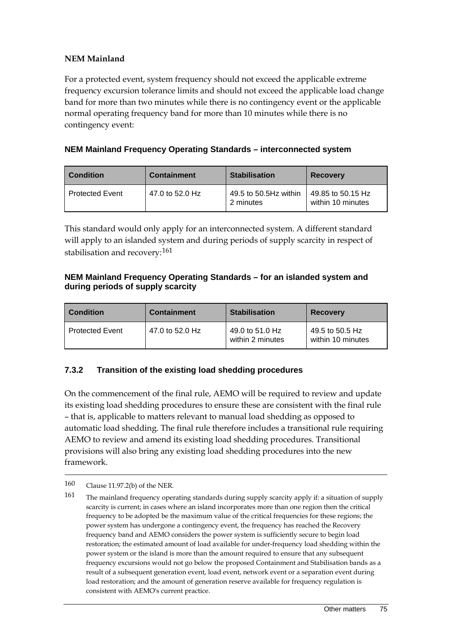#### **NEM Mainland**

For a protected event, system frequency should not exceed the applicable extreme frequency excursion tolerance limits and should not exceed the applicable load change band for more than two minutes while there is no contingency event or the applicable normal operating frequency band for more than 10 minutes while there is no contingency event:

#### **NEM Mainland Frequency Operating Standards – interconnected system**

| <b>Condition</b>       | <b>Containment</b> | <b>Stabilisation</b>               | <b>Recovery</b>                        |
|------------------------|--------------------|------------------------------------|----------------------------------------|
| <b>Protected Event</b> | 47.0 to 52.0 Hz    | 49.5 to 50.5Hz within<br>2 minutes | 49.85 to 50.15 Hz<br>within 10 minutes |

This standard would only apply for an interconnected system. A different standard will apply to an islanded system and during periods of supply scarcity in respect of stabilisation and recovery:<sup>[161](#page-84-0)</sup>

#### **NEM Mainland Frequency Operating Standards – for an islanded system and during periods of supply scarcity**

| <b>Condition</b>       | <b>Containment</b> | <b>Stabilisation</b>                | <b>Recovery</b>                      |
|------------------------|--------------------|-------------------------------------|--------------------------------------|
| <b>Protected Event</b> | 47.0 to 52.0 Hz    | 49.0 to 51.0 Hz<br>within 2 minutes | 49.5 to 50.5 Hz<br>within 10 minutes |

#### **7.3.2 Transition of the existing load shedding procedures**

On the commencement of the final rule, AEMO will be required to review and update its existing load shedding procedures to ensure these are consistent with the final rule – that is, applicable to matters relevant to manual load shedding as opposed to automatic load shedding. The final rule therefore includes a transitional rule requiring AEMO to review and amend its existing load shedding procedures. Transitional provisions will also bring any existing load shedding procedures into the new framework.

<sup>160</sup> Clause 11.97.2(b) of the NER.

<span id="page-84-0"></span><sup>161</sup> The mainland frequency operating standards during supply scarcity apply if: a situation of supply scarcity is current; in cases where an island incorporates more than one region then the critical frequency to be adopted be the maximum value of the critical frequencies for these regions; the power system has undergone a contingency event, the frequency has reached the Recovery frequency band and AEMO considers the power system is sufficiently secure to begin load restoration; the estimated amount of load available for under-frequency load shedding within the power system or the island is more than the amount required to ensure that any subsequent frequency excursions would not go below the proposed Containment and Stabilisation bands as a result of a subsequent generation event, load event, network event or a separation event during load restoration; and the amount of generation reserve available for frequency regulation is consistent with AEMO's current practice.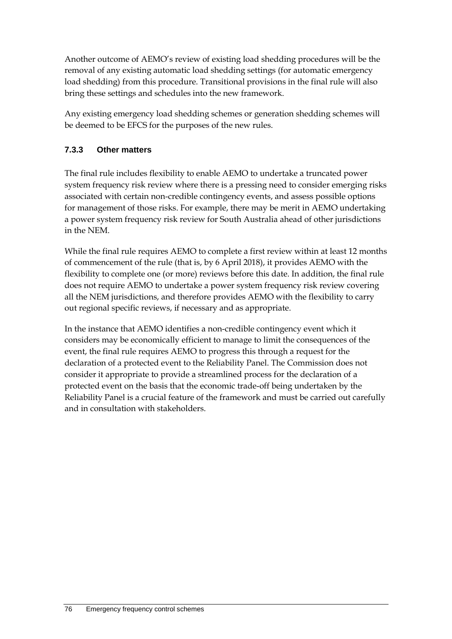Another outcome of AEMO's review of existing load shedding procedures will be the removal of any existing automatic load shedding settings (for automatic emergency load shedding) from this procedure. Transitional provisions in the final rule will also bring these settings and schedules into the new framework.

Any existing emergency load shedding schemes or generation shedding schemes will be deemed to be EFCS for the purposes of the new rules.

### **7.3.3 Other matters**

The final rule includes flexibility to enable AEMO to undertake a truncated power system frequency risk review where there is a pressing need to consider emerging risks associated with certain non-credible contingency events, and assess possible options for management of those risks. For example, there may be merit in AEMO undertaking a power system frequency risk review for South Australia ahead of other jurisdictions in the NEM.

While the final rule requires AEMO to complete a first review within at least 12 months of commencement of the rule (that is, by 6 April 2018), it provides AEMO with the flexibility to complete one (or more) reviews before this date. In addition, the final rule does not require AEMO to undertake a power system frequency risk review covering all the NEM jurisdictions, and therefore provides AEMO with the flexibility to carry out regional specific reviews, if necessary and as appropriate.

In the instance that AEMO identifies a non-credible contingency event which it considers may be economically efficient to manage to limit the consequences of the event, the final rule requires AEMO to progress this through a request for the declaration of a protected event to the Reliability Panel. The Commission does not consider it appropriate to provide a streamlined process for the declaration of a protected event on the basis that the economic trade-off being undertaken by the Reliability Panel is a crucial feature of the framework and must be carried out carefully and in consultation with stakeholders.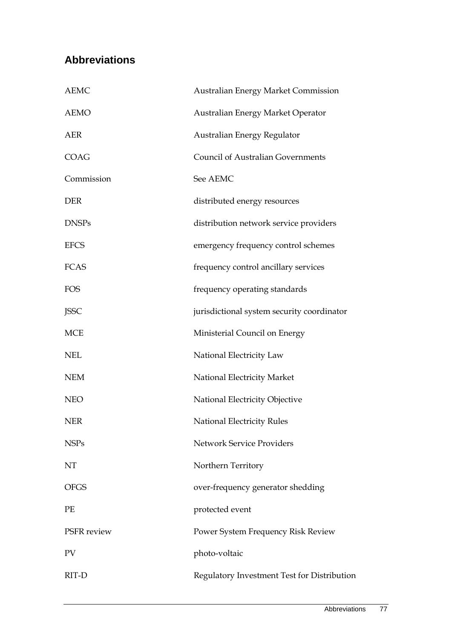# **Abbreviations**

| <b>AEMC</b>  | Australian Energy Market Commission         |  |
|--------------|---------------------------------------------|--|
| <b>AEMO</b>  | Australian Energy Market Operator           |  |
| <b>AER</b>   | Australian Energy Regulator                 |  |
| <b>COAG</b>  | <b>Council of Australian Governments</b>    |  |
| Commission   | See AEMC                                    |  |
| <b>DER</b>   | distributed energy resources                |  |
| <b>DNSPs</b> | distribution network service providers      |  |
| <b>EFCS</b>  | emergency frequency control schemes         |  |
| <b>FCAS</b>  | frequency control ancillary services        |  |
| <b>FOS</b>   | frequency operating standards               |  |
| <b>JSSC</b>  | jurisdictional system security coordinator  |  |
| <b>MCE</b>   | Ministerial Council on Energy               |  |
| <b>NEL</b>   | National Electricity Law                    |  |
| <b>NEM</b>   | National Electricity Market                 |  |
| <b>NEO</b>   | National Electricity Objective              |  |
| <b>NER</b>   | <b>National Electricity Rules</b>           |  |
| <b>NSPs</b>  | <b>Network Service Providers</b>            |  |
| NT           | Northern Territory                          |  |
| <b>OFGS</b>  | over-frequency generator shedding           |  |
| PE           | protected event                             |  |
| PSFR review  | Power System Frequency Risk Review          |  |
| PV           | photo-voltaic                               |  |
| RIT-D        | Regulatory Investment Test for Distribution |  |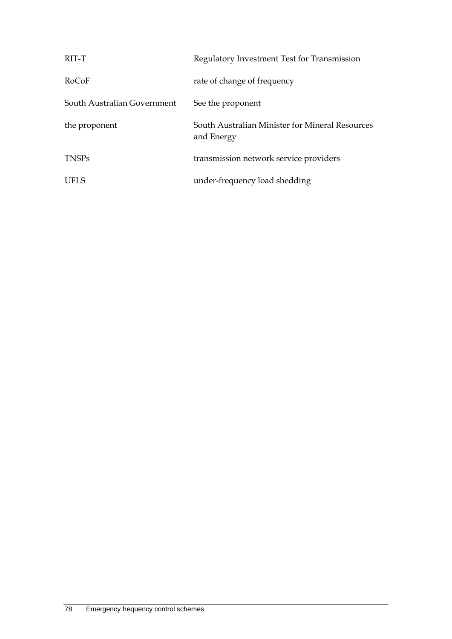| RIT-T                       | Regulatory Investment Test for Transmission                   |
|-----------------------------|---------------------------------------------------------------|
| RoCoF                       | rate of change of frequency                                   |
| South Australian Government | See the proponent                                             |
| the proponent               | South Australian Minister for Mineral Resources<br>and Energy |
| <b>TNSPs</b>                | transmission network service providers                        |
| UFLS                        | under-frequency load shedding                                 |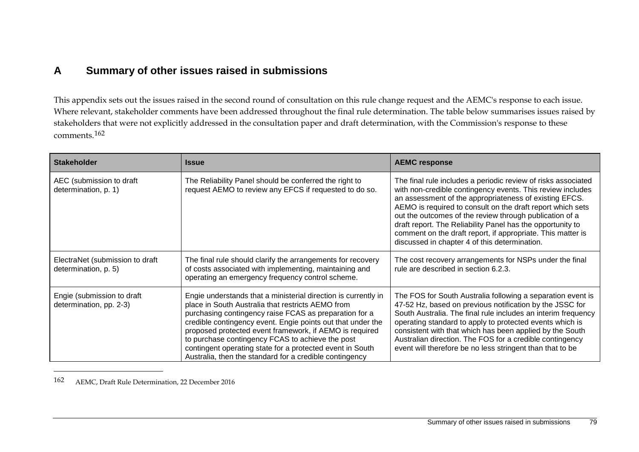# <span id="page-88-0"></span>**A Summary of other issues raised in submissions**

This appendix sets out the issues raised in the second round of consultation on this rule change request and the AEMC's response to each issue. Where relevant, stakeholder comments have been addressed throughout the final rule determination. The table below summarises issues raised by stakeholders that were not explicitly addressed in the consultation paper and draft determination, with the Commission's response to these comments.[162](#page-88-0)

| <b>Stakeholder</b>                                      | <b>Issue</b>                                                                                                                                                                                                                                                                                                                                                                                                                                                                        | <b>AEMC response</b>                                                                                                                                                                                                                                                                                                                                                                                                                                                                         |
|---------------------------------------------------------|-------------------------------------------------------------------------------------------------------------------------------------------------------------------------------------------------------------------------------------------------------------------------------------------------------------------------------------------------------------------------------------------------------------------------------------------------------------------------------------|----------------------------------------------------------------------------------------------------------------------------------------------------------------------------------------------------------------------------------------------------------------------------------------------------------------------------------------------------------------------------------------------------------------------------------------------------------------------------------------------|
| AEC (submission to draft<br>determination, p. 1)        | The Reliability Panel should be conferred the right to<br>request AEMO to review any EFCS if requested to do so.                                                                                                                                                                                                                                                                                                                                                                    | The final rule includes a periodic review of risks associated<br>with non-credible contingency events. This review includes<br>an assessment of the appropriateness of existing EFCS.<br>AEMO is required to consult on the draft report which sets<br>out the outcomes of the review through publication of a<br>draft report. The Reliability Panel has the opportunity to<br>comment on the draft report, if appropriate. This matter is<br>discussed in chapter 4 of this determination. |
| ElectraNet (submission to draft<br>determination, p. 5) | The final rule should clarify the arrangements for recovery<br>of costs associated with implementing, maintaining and<br>operating an emergency frequency control scheme.                                                                                                                                                                                                                                                                                                           | The cost recovery arrangements for NSPs under the final<br>rule are described in section 6.2.3.                                                                                                                                                                                                                                                                                                                                                                                              |
| Engie (submission to draft<br>determination, pp. 2-3)   | Engie understands that a ministerial direction is currently in<br>place in South Australia that restricts AEMO from<br>purchasing contingency raise FCAS as preparation for a<br>credible contingency event. Engie points out that under the<br>proposed protected event framework, if AEMO is required<br>to purchase contingency FCAS to achieve the post<br>contingent operating state for a protected event in South<br>Australia, then the standard for a credible contingency | The FOS for South Australia following a separation event is<br>47-52 Hz, based on previous notification by the JSSC for<br>South Australia. The final rule includes an interim frequency<br>operating standard to apply to protected events which is<br>consistent with that which has been applied by the South<br>Australian direction. The FOS for a credible contingency<br>event will therefore be no less stringent than that to be                                                    |

162 AEMC, Draft Rule Determination, 22 December 2016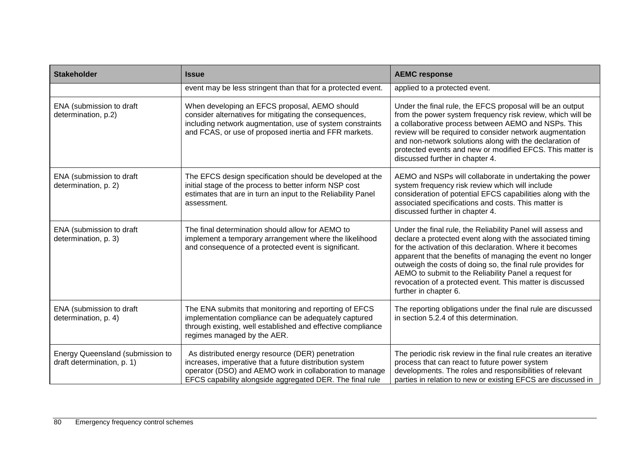| <b>Stakeholder</b>                                             | <b>Issue</b>                                                                                                                                                                                                                       | <b>AEMC response</b>                                                                                                                                                                                                                                                                                                                                                                                                                                              |
|----------------------------------------------------------------|------------------------------------------------------------------------------------------------------------------------------------------------------------------------------------------------------------------------------------|-------------------------------------------------------------------------------------------------------------------------------------------------------------------------------------------------------------------------------------------------------------------------------------------------------------------------------------------------------------------------------------------------------------------------------------------------------------------|
|                                                                | event may be less stringent than that for a protected event.                                                                                                                                                                       | applied to a protected event.                                                                                                                                                                                                                                                                                                                                                                                                                                     |
| ENA (submission to draft<br>determination, p.2)                | When developing an EFCS proposal, AEMO should<br>consider alternatives for mitigating the consequences,<br>including network augmentation, use of system constraints<br>and FCAS, or use of proposed inertia and FFR markets.      | Under the final rule, the EFCS proposal will be an output<br>from the power system frequency risk review, which will be<br>a collaborative process between AEMO and NSPs. This<br>review will be required to consider network augmentation<br>and non-network solutions along with the declaration of<br>protected events and new or modified EFCS. This matter is<br>discussed further in chapter 4.                                                             |
| ENA (submission to draft<br>determination, p. 2)               | The EFCS design specification should be developed at the<br>initial stage of the process to better inform NSP cost<br>estimates that are in turn an input to the Reliability Panel<br>assessment.                                  | AEMO and NSPs will collaborate in undertaking the power<br>system frequency risk review which will include<br>consideration of potential EFCS capabilities along with the<br>associated specifications and costs. This matter is<br>discussed further in chapter 4.                                                                                                                                                                                               |
| ENA (submission to draft<br>determination, p. 3)               | The final determination should allow for AEMO to<br>implement a temporary arrangement where the likelihood<br>and consequence of a protected event is significant.                                                                 | Under the final rule, the Reliability Panel will assess and<br>declare a protected event along with the associated timing<br>for the activation of this declaration. Where it becomes<br>apparent that the benefits of managing the event no longer<br>outweigh the costs of doing so, the final rule provides for<br>AEMO to submit to the Reliability Panel a request for<br>revocation of a protected event. This matter is discussed<br>further in chapter 6. |
| ENA (submission to draft<br>determination, p. 4)               | The ENA submits that monitoring and reporting of EFCS<br>implementation compliance can be adequately captured<br>through existing, well established and effective compliance<br>regimes managed by the AER.                        | The reporting obligations under the final rule are discussed<br>in section 5.2.4 of this determination.                                                                                                                                                                                                                                                                                                                                                           |
| Energy Queensland (submission to<br>draft determination, p. 1) | As distributed energy resource (DER) penetration<br>increases, imperative that a future distribution system<br>operator (DSO) and AEMO work in collaboration to manage<br>EFCS capability alongside aggregated DER. The final rule | The periodic risk review in the final rule creates an iterative<br>process that can react to future power system<br>developments. The roles and responsibilities of relevant<br>parties in relation to new or existing EFCS are discussed in                                                                                                                                                                                                                      |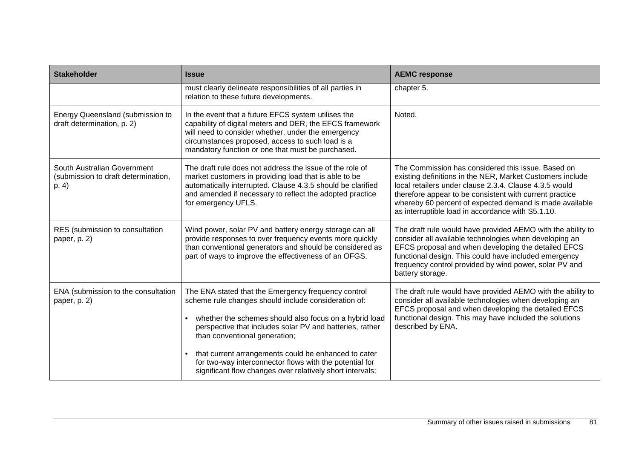| <b>Stakeholder</b>                                                          | <b>Issue</b>                                                                                                                                                                                                                                                                                                                                                                                                                                                    | <b>AEMC response</b>                                                                                                                                                                                                                                                                                                                                 |
|-----------------------------------------------------------------------------|-----------------------------------------------------------------------------------------------------------------------------------------------------------------------------------------------------------------------------------------------------------------------------------------------------------------------------------------------------------------------------------------------------------------------------------------------------------------|------------------------------------------------------------------------------------------------------------------------------------------------------------------------------------------------------------------------------------------------------------------------------------------------------------------------------------------------------|
|                                                                             | must clearly delineate responsibilities of all parties in<br>relation to these future developments.                                                                                                                                                                                                                                                                                                                                                             | chapter 5.                                                                                                                                                                                                                                                                                                                                           |
| Energy Queensland (submission to<br>draft determination, p. 2)              | In the event that a future EFCS system utilises the<br>capability of digital meters and DER, the EFCS framework<br>will need to consider whether, under the emergency<br>circumstances proposed, access to such load is a<br>mandatory function or one that must be purchased.                                                                                                                                                                                  | Noted.                                                                                                                                                                                                                                                                                                                                               |
| South Australian Government<br>(submission to draft determination,<br>p. 4) | The draft rule does not address the issue of the role of<br>market customers in providing load that is able to be<br>automatically interrupted. Clause 4.3.5 should be clarified<br>and amended if necessary to reflect the adopted practice<br>for emergency UFLS.                                                                                                                                                                                             | The Commission has considered this issue. Based on<br>existing definitions in the NER, Market Customers include<br>local retailers under clause 2.3.4. Clause 4.3.5 would<br>therefore appear to be consistent with current practice<br>whereby 60 percent of expected demand is made available<br>as interruptible load in accordance with S5.1.10. |
| RES (submission to consultation<br>paper, p. 2)                             | Wind power, solar PV and battery energy storage can all<br>provide responses to over frequency events more quickly<br>than conventional generators and should be considered as<br>part of ways to improve the effectiveness of an OFGS.                                                                                                                                                                                                                         | The draft rule would have provided AEMO with the ability to<br>consider all available technologies when developing an<br>EFCS proposal and when developing the detailed EFCS<br>functional design. This could have included emergency<br>frequency control provided by wind power, solar PV and<br>battery storage.                                  |
| ENA (submission to the consultation<br>paper, p. 2)                         | The ENA stated that the Emergency frequency control<br>scheme rule changes should include consideration of:<br>whether the schemes should also focus on a hybrid load<br>perspective that includes solar PV and batteries, rather<br>than conventional generation;<br>that current arrangements could be enhanced to cater<br>$\bullet$<br>for two-way interconnector flows with the potential for<br>significant flow changes over relatively short intervals; | The draft rule would have provided AEMO with the ability to<br>consider all available technologies when developing an<br>EFCS proposal and when developing the detailed EFCS<br>functional design. This may have included the solutions<br>described by ENA.                                                                                         |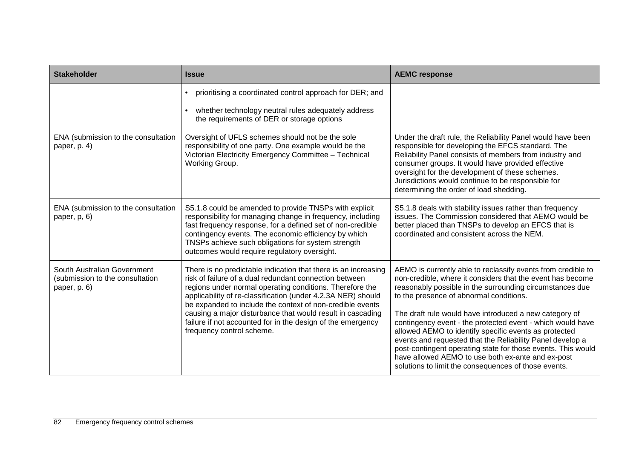| <b>Stakeholder</b>                                                             | <b>Issue</b>                                                                                                                                                                                                                                                                                                                                                                                                                                                                | <b>AEMC response</b>                                                                                                                                                                                                                                                                                                                                                                                                                                                                                                                                                                                                                                         |
|--------------------------------------------------------------------------------|-----------------------------------------------------------------------------------------------------------------------------------------------------------------------------------------------------------------------------------------------------------------------------------------------------------------------------------------------------------------------------------------------------------------------------------------------------------------------------|--------------------------------------------------------------------------------------------------------------------------------------------------------------------------------------------------------------------------------------------------------------------------------------------------------------------------------------------------------------------------------------------------------------------------------------------------------------------------------------------------------------------------------------------------------------------------------------------------------------------------------------------------------------|
|                                                                                | prioritising a coordinated control approach for DER; and<br>$\bullet$<br>whether technology neutral rules adequately address<br>$\bullet$<br>the requirements of DER or storage options                                                                                                                                                                                                                                                                                     |                                                                                                                                                                                                                                                                                                                                                                                                                                                                                                                                                                                                                                                              |
| ENA (submission to the consultation<br>paper, p. 4)                            | Oversight of UFLS schemes should not be the sole<br>responsibility of one party. One example would be the<br>Victorian Electricity Emergency Committee - Technical<br>Working Group.                                                                                                                                                                                                                                                                                        | Under the draft rule, the Reliability Panel would have been<br>responsible for developing the EFCS standard. The<br>Reliability Panel consists of members from industry and<br>consumer groups. It would have provided effective<br>oversight for the development of these schemes.<br>Jurisdictions would continue to be responsible for<br>determining the order of load shedding.                                                                                                                                                                                                                                                                         |
| ENA (submission to the consultation<br>paper, p, 6)                            | S5.1.8 could be amended to provide TNSPs with explicit<br>responsibility for managing change in frequency, including<br>fast frequency response, for a defined set of non-credible<br>contingency events. The economic efficiency by which<br>TNSPs achieve such obligations for system strength<br>outcomes would require regulatory oversight.                                                                                                                            | S5.1.8 deals with stability issues rather than frequency<br>issues. The Commission considered that AEMO would be<br>better placed than TNSPs to develop an EFCS that is<br>coordinated and consistent across the NEM.                                                                                                                                                                                                                                                                                                                                                                                                                                        |
| South Australian Government<br>(submission to the consultation<br>paper, p. 6) | There is no predictable indication that there is an increasing<br>risk of failure of a dual redundant connection between<br>regions under normal operating conditions. Therefore the<br>applicability of re-classification (under 4.2.3A NER) should<br>be expanded to include the context of non-credible events<br>causing a major disturbance that would result in cascading<br>failure if not accounted for in the design of the emergency<br>frequency control scheme. | AEMO is currently able to reclassify events from credible to<br>non-credible, where it considers that the event has become<br>reasonably possible in the surrounding circumstances due<br>to the presence of abnormal conditions.<br>The draft rule would have introduced a new category of<br>contingency event - the protected event - which would have<br>allowed AEMO to identify specific events as protected<br>events and requested that the Reliability Panel develop a<br>post-contingent operating state for those events. This would<br>have allowed AEMO to use both ex-ante and ex-post<br>solutions to limit the consequences of those events. |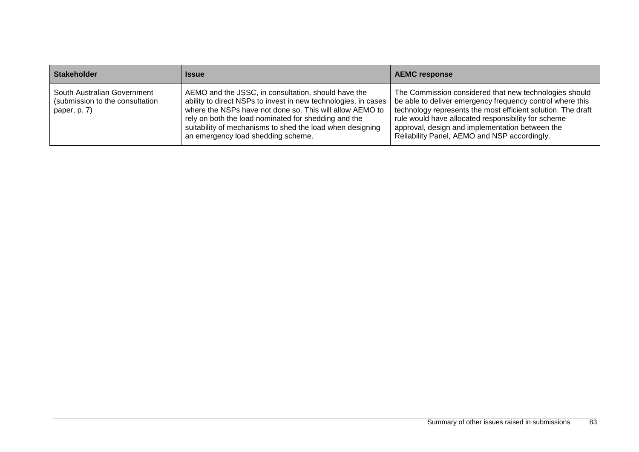| <b>Stakeholder</b>                                                             | Issue                                                                                                                                                                                                                                                                                                                                        | <b>AEMC response</b>                                                                                                                                                                                                                                                                                                                          |
|--------------------------------------------------------------------------------|----------------------------------------------------------------------------------------------------------------------------------------------------------------------------------------------------------------------------------------------------------------------------------------------------------------------------------------------|-----------------------------------------------------------------------------------------------------------------------------------------------------------------------------------------------------------------------------------------------------------------------------------------------------------------------------------------------|
| South Australian Government<br>(submission to the consultation<br>paper, p. 7) | AEMO and the JSSC, in consultation, should have the<br>ability to direct NSPs to invest in new technologies, in cases<br>where the NSPs have not done so. This will allow AEMO to<br>rely on both the load nominated for shedding and the<br>suitability of mechanisms to shed the load when designing<br>an emergency load shedding scheme. | The Commission considered that new technologies should<br>be able to deliver emergency frequency control where this<br>technology represents the most efficient solution. The draft<br>rule would have allocated responsibility for scheme<br>approval, design and implementation between the<br>Reliability Panel, AEMO and NSP accordingly. |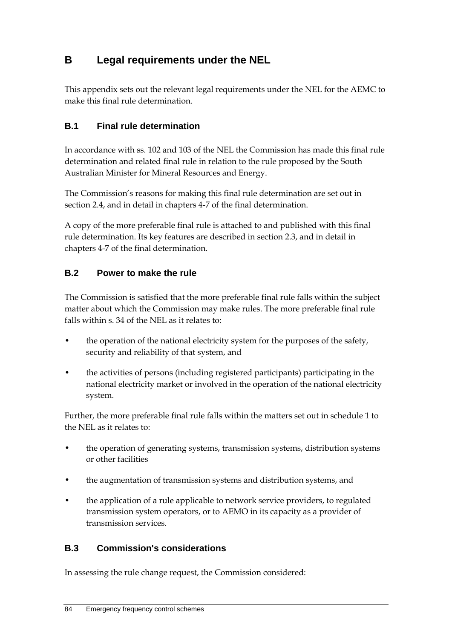# **B Legal requirements under the NEL**

This appendix sets out the relevant legal requirements under the NEL for the AEMC to make this final rule determination.

# **B.1 Final rule determination**

In accordance with ss. 102 and 103 of the NEL the Commission has made this final rule determination and related final rule in relation to the rule proposed by the South Australian Minister for Mineral Resources and Energy.

The Commission's reasons for making this final rule determination are set out in section 2.4, and in detail in chapters 4-7 of the final determination.

A copy of the more preferable final rule is attached to and published with this final rule determination. Its key features are described in section 2.3, and in detail in chapters 4-7 of the final determination.

# **B.2 Power to make the rule**

The Commission is satisfied that the more preferable final rule falls within the subject matter about which the Commission may make rules. The more preferable final rule falls within s. 34 of the NEL as it relates to:

- the operation of the national electricity system for the purposes of the safety, security and reliability of that system, and
- the activities of persons (including registered participants) participating in the national electricity market or involved in the operation of the national electricity system.

Further, the more preferable final rule falls within the matters set out in schedule 1 to the NEL as it relates to:

- the operation of generating systems, transmission systems, distribution systems or other facilities
- the augmentation of transmission systems and distribution systems, and
- the application of a rule applicable to network service providers, to regulated transmission system operators, or to AEMO in its capacity as a provider of transmission services.

### **B.3 Commission's considerations**

In assessing the rule change request, the Commission considered: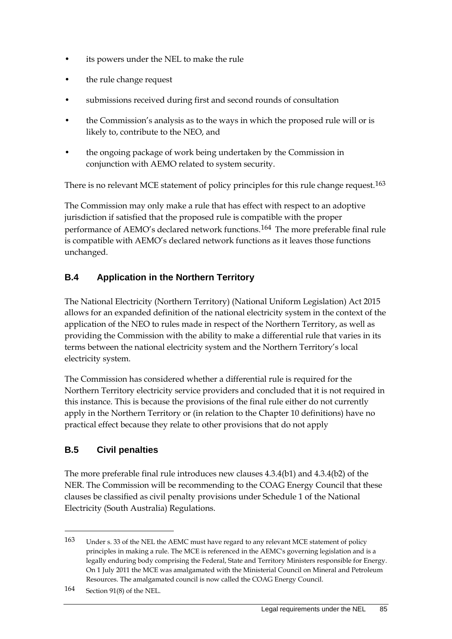- its powers under the NEL to make the rule
- the rule change request
- submissions received during first and second rounds of consultation
- the Commission's analysis as to the ways in which the proposed rule will or is likely to, contribute to the NEO, and
- the ongoing package of work being undertaken by the Commission in conjunction with AEMO related to system security.

There is no relevant MCE statement of policy principles for this rule change request.<sup>[163](#page-94-0)</sup>

The Commission may only make a rule that has effect with respect to an adoptive jurisdiction if satisfied that the proposed rule is compatible with the proper performance of AEMO's declared network functions.[164](#page-94-1) The more preferable final rule is compatible with AEMO's declared network functions as it leaves those functions unchanged.

# **B.4 Application in the Northern Territory**

The National Electricity (Northern Territory) (National Uniform Legislation) Act 2015 allows for an expanded definition of the national electricity system in the context of the application of the NEO to rules made in respect of the Northern Territory, as well as providing the Commission with the ability to make a differential rule that varies in its terms between the national electricity system and the Northern Territory's local electricity system.

The Commission has considered whether a differential rule is required for the Northern Territory electricity service providers and concluded that it is not required in this instance. This is because the provisions of the final rule either do not currently apply in the Northern Territory or (in relation to the Chapter 10 definitions) have no practical effect because they relate to other provisions that do not apply

# **B.5 Civil penalties**

The more preferable final rule introduces new clauses 4.3.4(b1) and 4.3.4(b2) of the NER. The Commission will be recommending to the COAG Energy Council that these clauses be classified as civil penalty provisions under Schedule 1 of the National Electricity (South Australia) Regulations.

<span id="page-94-0"></span><sup>163</sup> Under s. 33 of the NEL the AEMC must have regard to any relevant MCE statement of policy principles in making a rule. The MCE is referenced in the AEMC's governing legislation and is a legally enduring body comprising the Federal, State and Territory Ministers responsible for Energy. On 1 July 2011 the MCE was amalgamated with the Ministerial Council on Mineral and Petroleum Resources. The amalgamated council is now called the COAG Energy Council.

<span id="page-94-1"></span><sup>164</sup> Section 91(8) of the NEL.